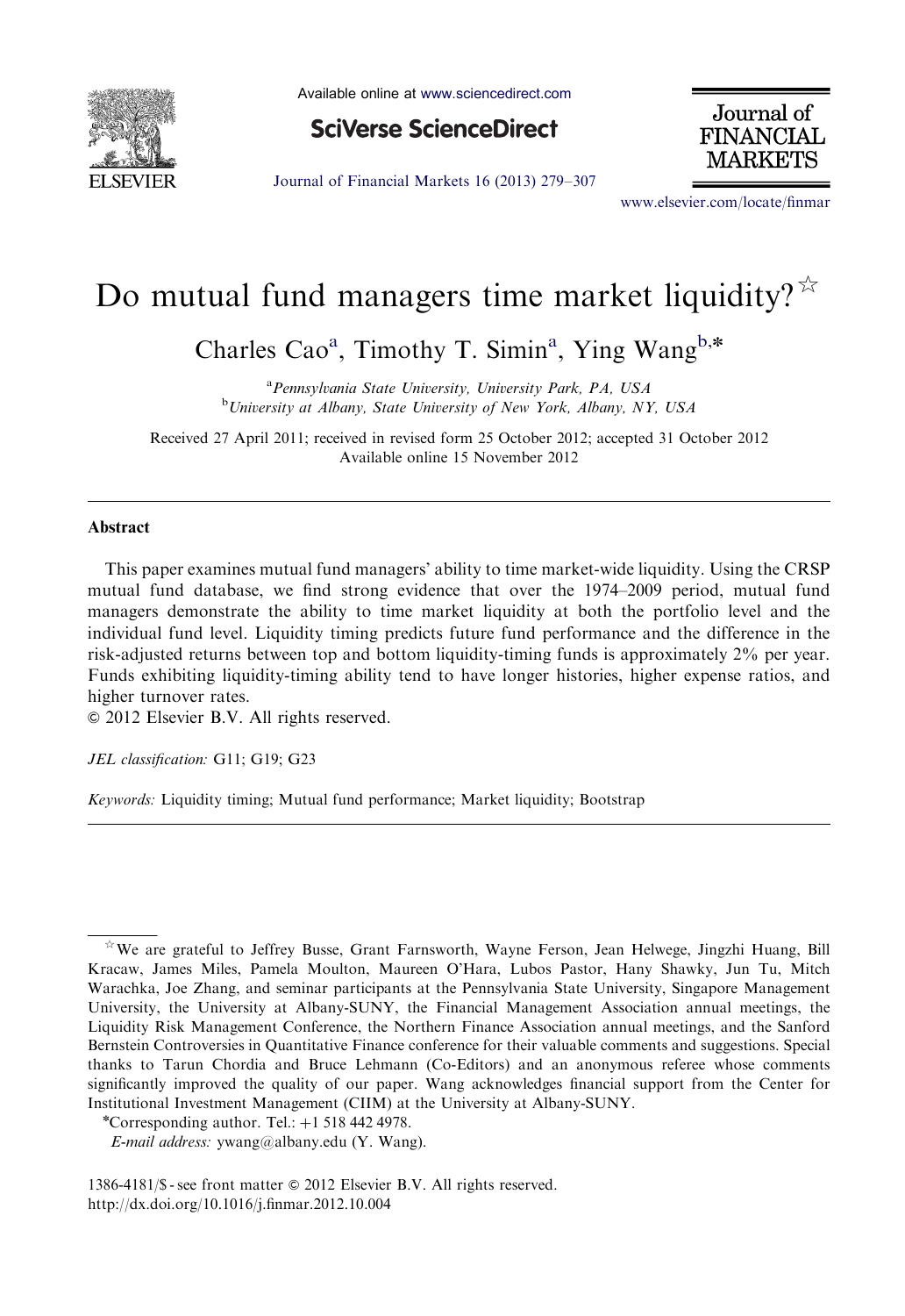

Available online at [www.sciencedirect.com](www.elsevier.com/locate/finmar)

**SciVerse ScienceDirect** 

Journal of **FINANCIAL** MARKETS

[Journal of Financial Markets 16 \(2013\) 279–307](dx.doi.org/10.1016/j.finmar.2012.10.004)

<www.elsevier.com/locate/finmar>

# Do mutual fund managers time market liquidity?  $\overline{X}$

Charles Cao<sup>a</sup>, Timothy T. Simin<sup>a</sup>, Ying Wang<sup>b,\*</sup>

<sup>a</sup> Pennsylvania State University, University Park, PA, USA <sup>b</sup>University at Albany, State University of New York, Albany, NY, USA

Received 27 April 2011; received in revised form 25 October 2012; accepted 31 October 2012 Available online 15 November 2012

## Abstract

This paper examines mutual fund managers' ability to time market-wide liquidity. Using the CRSP mutual fund database, we find strong evidence that over the 1974–2009 period, mutual fund managers demonstrate the ability to time market liquidity at both the portfolio level and the individual fund level. Liquidity timing predicts future fund performance and the difference in the risk-adjusted returns between top and bottom liquidity-timing funds is approximately 2% per year. Funds exhibiting liquidity-timing ability tend to have longer histories, higher expense ratios, and higher turnover rates.

 $\odot$  2012 Elsevier B.V. All rights reserved.

JEL classification: G11; G19; G23

Keywords: Liquidity timing; Mutual fund performance; Market liquidity; Bootstrap

 $*$  We are grateful to Jeffrey Busse, Grant Farnsworth, Wayne Ferson, Jean Helwege, Jingzhi Huang, Bill Kracaw, James Miles, Pamela Moulton, Maureen O'Hara, Lubos Pastor, Hany Shawky, Jun Tu, Mitch Warachka, Joe Zhang, and seminar participants at the Pennsylvania State University, Singapore Management University, the University at Albany-SUNY, the Financial Management Association annual meetings, the Liquidity Risk Management Conference, the Northern Finance Association annual meetings, and the Sanford Bernstein Controversies in Quantitative Finance conference for their valuable comments and suggestions. Special thanks to Tarun Chordia and Bruce Lehmann (Co-Editors) and an anonymous referee whose comments significantly improved the quality of our paper. Wang acknowledges financial support from the Center for Institutional Investment Management (CIIM) at the University at Albany-SUNY.

<sup>\*</sup>Corresponding author. Tel.:  $+1$  518 442 4978.

E-mail address: [ywang@albany.edu \(Y. Wang\)](mailto:ywang@albany.edu).

<sup>1386-4181/\$ -</sup> see front matter  $\odot$  2012 Elsevier B.V. All rights reserved. [http://dx.doi.org/10.1016/j.finmar.2012.10.004](dx.doi.org/10.1016/j.finmar.2012.10.004)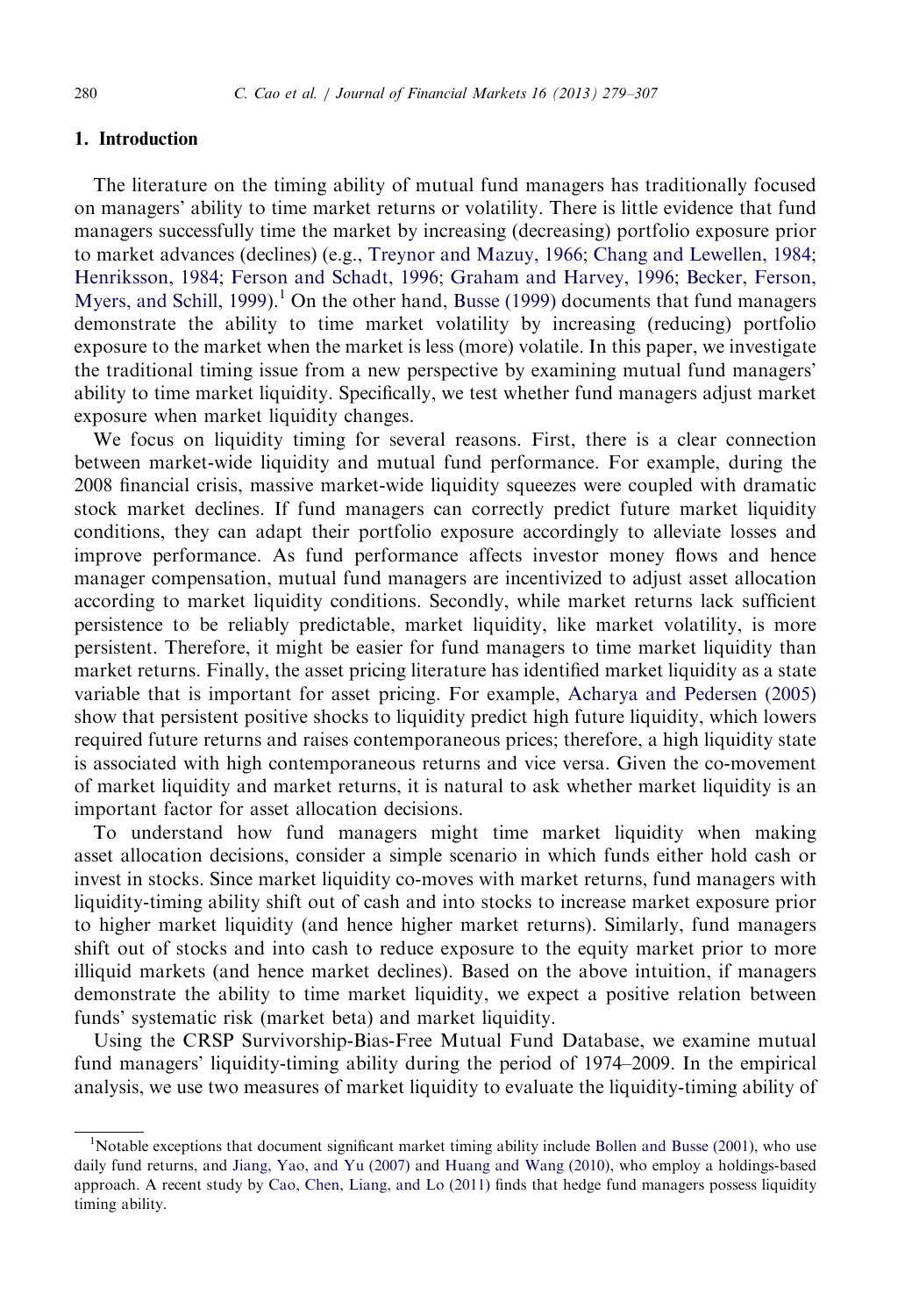## 1. Introduction

The literature on the timing ability of mutual fund managers has traditionally focused on managers' ability to time market returns or volatility. There is little evidence that fund managers successfully time the market by increasing (decreasing) portfolio exposure prior to market advances (declines) (e.g., [Treynor and Mazuy, 1966](#page-28-0); [Chang and Lewellen, 1984;](#page-27-0) [Henriksson, 1984](#page-28-0); [Ferson and Schadt, 1996;](#page-28-0) [Graham and Harvey, 1996;](#page-28-0) [Becker, Ferson,](#page-27-0) [Myers, and Schill, 1999](#page-27-0)).<sup>1</sup> On the other hand, [Busse \(1999\)](#page-27-0) documents that fund managers demonstrate the ability to time market volatility by increasing (reducing) portfolio exposure to the market when the market is less (more) volatile. In this paper, we investigate the traditional timing issue from a new perspective by examining mutual fund managers' ability to time market liquidity. Specifically, we test whether fund managers adjust market exposure when market liquidity changes.

We focus on liquidity timing for several reasons. First, there is a clear connection between market-wide liquidity and mutual fund performance. For example, during the 2008 financial crisis, massive market-wide liquidity squeezes were coupled with dramatic stock market declines. If fund managers can correctly predict future market liquidity conditions, they can adapt their portfolio exposure accordingly to alleviate losses and improve performance. As fund performance affects investor money flows and hence manager compensation, mutual fund managers are incentivized to adjust asset allocation according to market liquidity conditions. Secondly, while market returns lack sufficient persistence to be reliably predictable, market liquidity, like market volatility, is more persistent. Therefore, it might be easier for fund managers to time market liquidity than market returns. Finally, the asset pricing literature has identified market liquidity as a state variable that is important for asset pricing. For example, [Acharya and Pedersen \(2005\)](#page-27-0) show that persistent positive shocks to liquidity predict high future liquidity, which lowers required future returns and raises contemporaneous prices; therefore, a high liquidity state is associated with high contemporaneous returns and vice versa. Given the co-movement of market liquidity and market returns, it is natural to ask whether market liquidity is an important factor for asset allocation decisions.

To understand how fund managers might time market liquidity when making asset allocation decisions, consider a simple scenario in which funds either hold cash or invest in stocks. Since market liquidity co-moves with market returns, fund managers with liquidity-timing ability shift out of cash and into stocks to increase market exposure prior to higher market liquidity (and hence higher market returns). Similarly, fund managers shift out of stocks and into cash to reduce exposure to the equity market prior to more illiquid markets (and hence market declines). Based on the above intuition, if managers demonstrate the ability to time market liquidity, we expect a positive relation between funds' systematic risk (market beta) and market liquidity.

Using the CRSP Survivorship-Bias-Free Mutual Fund Database, we examine mutual fund managers' liquidity-timing ability during the period of 1974–2009. In the empirical analysis, we use two measures of market liquidity to evaluate the liquidity-timing ability of

<sup>&</sup>lt;sup>1</sup>Notable exceptions that document significant market timing ability include [Bollen and Busse \(2001\),](#page-27-0) who use daily fund returns, and [Jiang, Yao, and Yu \(2007\)](#page-28-0) and [Huang and Wang \(2010\)](#page-28-0), who employ a holdings-based approach. A recent study by [Cao, Chen, Liang, and Lo \(2011\)](#page-27-0) finds that hedge fund managers possess liquidity timing ability.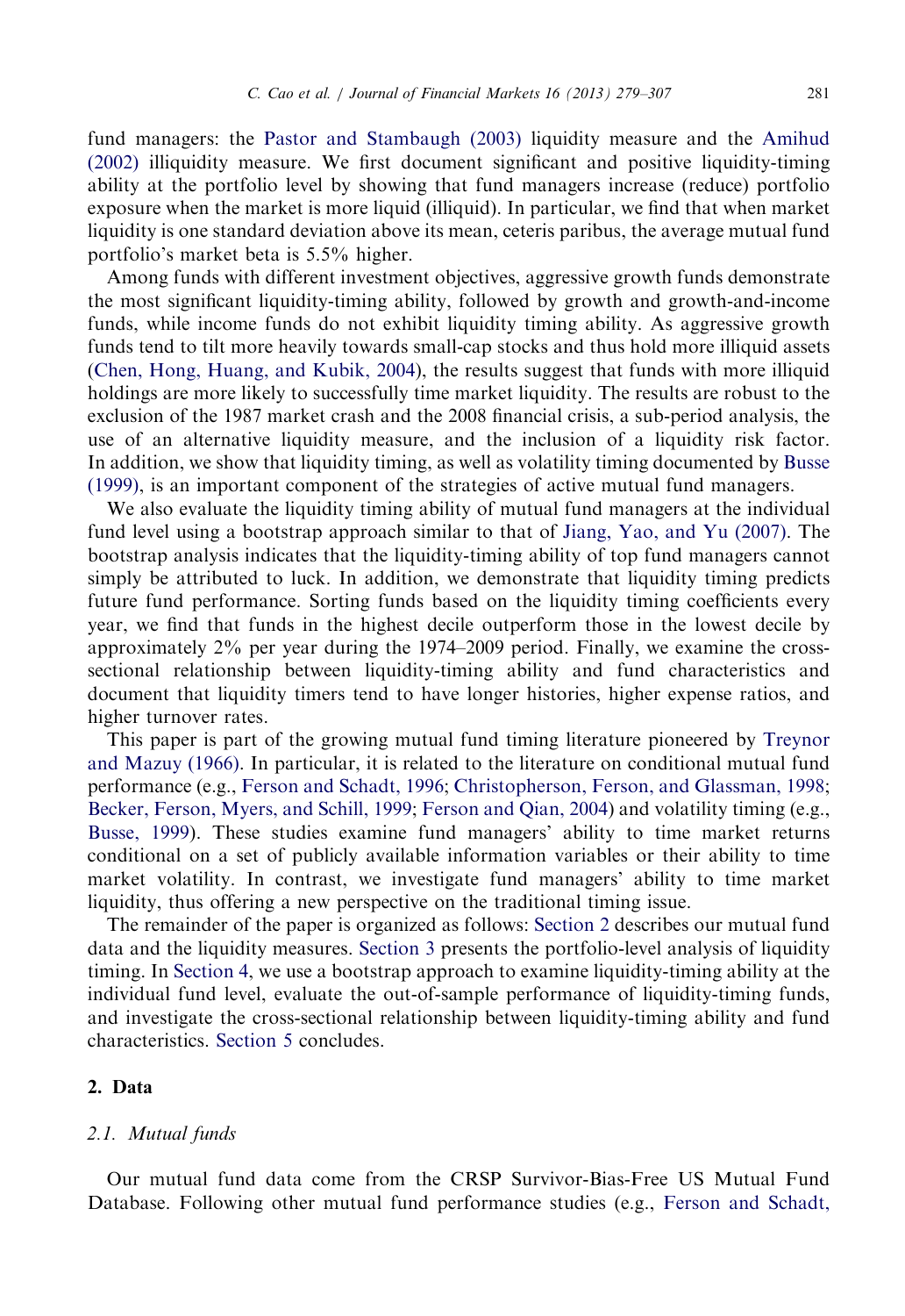fund managers: the [Pastor and Stambaugh \(2003\)](#page-28-0) liquidity measure and the [Amihud](#page-27-0) [\(2002\)](#page-27-0) illiquidity measure. We first document significant and positive liquidity-timing ability at the portfolio level by showing that fund managers increase (reduce) portfolio exposure when the market is more liquid (illiquid). In particular, we find that when market liquidity is one standard deviation above its mean, ceteris paribus, the average mutual fund portfolio's market beta is 5.5% higher.

Among funds with different investment objectives, aggressive growth funds demonstrate the most significant liquidity-timing ability, followed by growth and growth-and-income funds, while income funds do not exhibit liquidity timing ability. As aggressive growth funds tend to tilt more heavily towards small-cap stocks and thus hold more illiquid assets ([Chen, Hong, Huang, and Kubik, 2004\)](#page-27-0), the results suggest that funds with more illiquid holdings are more likely to successfully time market liquidity. The results are robust to the exclusion of the 1987 market crash and the 2008 financial crisis, a sub-period analysis, the use of an alternative liquidity measure, and the inclusion of a liquidity risk factor. In addition, we show that liquidity timing, as well as volatility timing documented by [Busse](#page-27-0) [\(1999\),](#page-27-0) is an important component of the strategies of active mutual fund managers.

We also evaluate the liquidity timing ability of mutual fund managers at the individual fund level using a bootstrap approach similar to that of [Jiang, Yao, and Yu \(2007\).](#page-28-0) The bootstrap analysis indicates that the liquidity-timing ability of top fund managers cannot simply be attributed to luck. In addition, we demonstrate that liquidity timing predicts future fund performance. Sorting funds based on the liquidity timing coefficients every year, we find that funds in the highest decile outperform those in the lowest decile by approximately 2% per year during the 1974–2009 period. Finally, we examine the crosssectional relationship between liquidity-timing ability and fund characteristics and document that liquidity timers tend to have longer histories, higher expense ratios, and higher turnover rates.

This paper is part of the growing mutual fund timing literature pioneered by [Treynor](#page-28-0) [and Mazuy \(1966\).](#page-28-0) In particular, it is related to the literature on conditional mutual fund performance (e.g., [Ferson and Schadt, 1996;](#page-28-0) [Christopherson, Ferson, and Glassman, 1998;](#page-27-0) [Becker, Ferson, Myers, and Schill, 1999](#page-27-0); [Ferson and Qian, 2004](#page-28-0)) and volatility timing (e.g., [Busse, 1999](#page-27-0)). These studies examine fund managers' ability to time market returns conditional on a set of publicly available information variables or their ability to time market volatility. In contrast, we investigate fund managers' ability to time market liquidity, thus offering a new perspective on the traditional timing issue.

The remainder of the paper is organized as follows: Section 2 describes our mutual fund data and the liquidity measures. [Section 3](#page-6-0) presents the portfolio-level analysis of liquidity timing. In [Section 4,](#page-13-0) we use a bootstrap approach to examine liquidity-timing ability at the individual fund level, evaluate the out-of-sample performance of liquidity-timing funds, and investigate the cross-sectional relationship between liquidity-timing ability and fund characteristics. [Section 5](#page-27-0) concludes.

## 2. Data

## 2.1. Mutual funds

Our mutual fund data come from the CRSP Survivor-Bias-Free US Mutual Fund Database. Following other mutual fund performance studies (e.g., [Ferson and Schadt,](#page-28-0)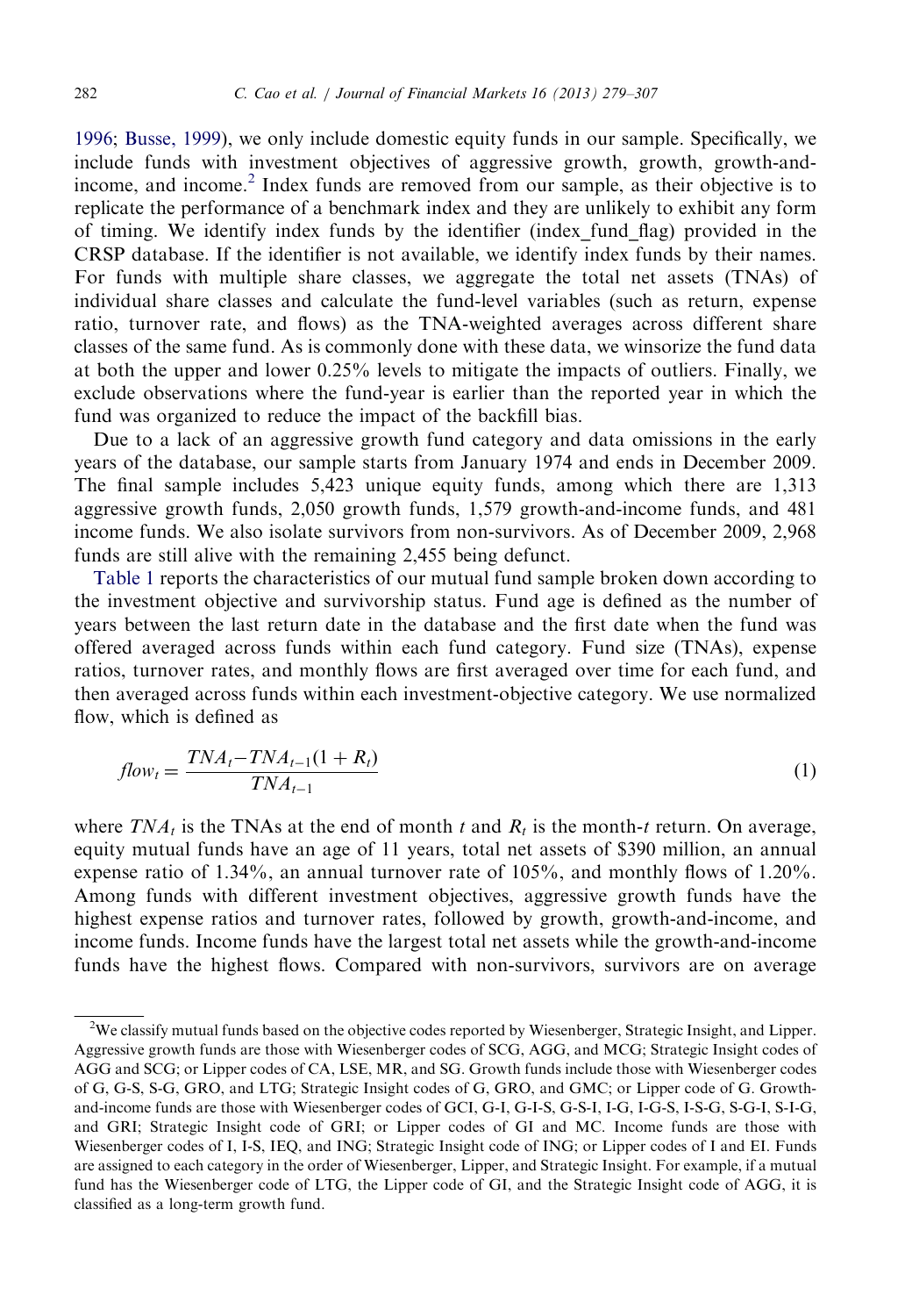[1996](#page-28-0); [Busse, 1999](#page-27-0)), we only include domestic equity funds in our sample. Specifically, we include funds with investment objectives of aggressive growth, growth, growth-andincome, and income.<sup>2</sup> Index funds are removed from our sample, as their objective is to replicate the performance of a benchmark index and they are unlikely to exhibit any form of timing. We identify index funds by the identifier (index\_fund\_flag) provided in the CRSP database. If the identifier is not available, we identify index funds by their names. For funds with multiple share classes, we aggregate the total net assets (TNAs) of individual share classes and calculate the fund-level variables (such as return, expense ratio, turnover rate, and flows) as the TNA-weighted averages across different share classes of the same fund. As is commonly done with these data, we winsorize the fund data at both the upper and lower 0.25% levels to mitigate the impacts of outliers. Finally, we exclude observations where the fund-year is earlier than the reported year in which the fund was organized to reduce the impact of the backfill bias.

Due to a lack of an aggressive growth fund category and data omissions in the early years of the database, our sample starts from January 1974 and ends in December 2009. The final sample includes 5,423 unique equity funds, among which there are 1,313 aggressive growth funds, 2,050 growth funds, 1,579 growth-and-income funds, and 481 income funds. We also isolate survivors from non-survivors. As of December 2009, 2,968 funds are still alive with the remaining 2,455 being defunct.

[Table 1](#page-4-0) reports the characteristics of our mutual fund sample broken down according to the investment objective and survivorship status. Fund age is defined as the number of years between the last return date in the database and the first date when the fund was offered averaged across funds within each fund category. Fund size (TNAs), expense ratios, turnover rates, and monthly flows are first averaged over time for each fund, and then averaged across funds within each investment-objective category. We use normalized flow, which is defined as

$$
flow_t = \frac{TNA_t - TNA_{t-1}(1 + R_t)}{TNA_{t-1}} \tag{1}
$$

where  $TNA_t$  is the TNAs at the end of month t and  $R_t$  is the month-t return. On average, equity mutual funds have an age of 11 years, total net assets of \$390 million, an annual expense ratio of 1.34%, an annual turnover rate of 105%, and monthly flows of 1.20%. Among funds with different investment objectives, aggressive growth funds have the highest expense ratios and turnover rates, followed by growth, growth-and-income, and income funds. Income funds have the largest total net assets while the growth-and-income funds have the highest flows. Compared with non-survivors, survivors are on average

 $2$ We classify mutual funds based on the objective codes reported by Wiesenberger, Strategic Insight, and Lipper. Aggressive growth funds are those with Wiesenberger codes of SCG, AGG, and MCG; Strategic Insight codes of AGG and SCG; or Lipper codes of CA, LSE, MR, and SG. Growth funds include those with Wiesenberger codes of G, G-S, S-G, GRO, and LTG; Strategic Insight codes of G, GRO, and GMC; or Lipper code of G. Growthand-income funds are those with Wiesenberger codes of GCI, G-I, G-I-S, G-S-I, I-G, I-G-S, I-S-G, S-G-I, S-I-G, and GRI; Strategic Insight code of GRI; or Lipper codes of GI and MC. Income funds are those with Wiesenberger codes of I, I-S, IEQ, and ING; Strategic Insight code of ING; or Lipper codes of I and EI. Funds are assigned to each category in the order of Wiesenberger, Lipper, and Strategic Insight. For example, if a mutual fund has the Wiesenberger code of LTG, the Lipper code of GI, and the Strategic Insight code of AGG, it is classified as a long-term growth fund.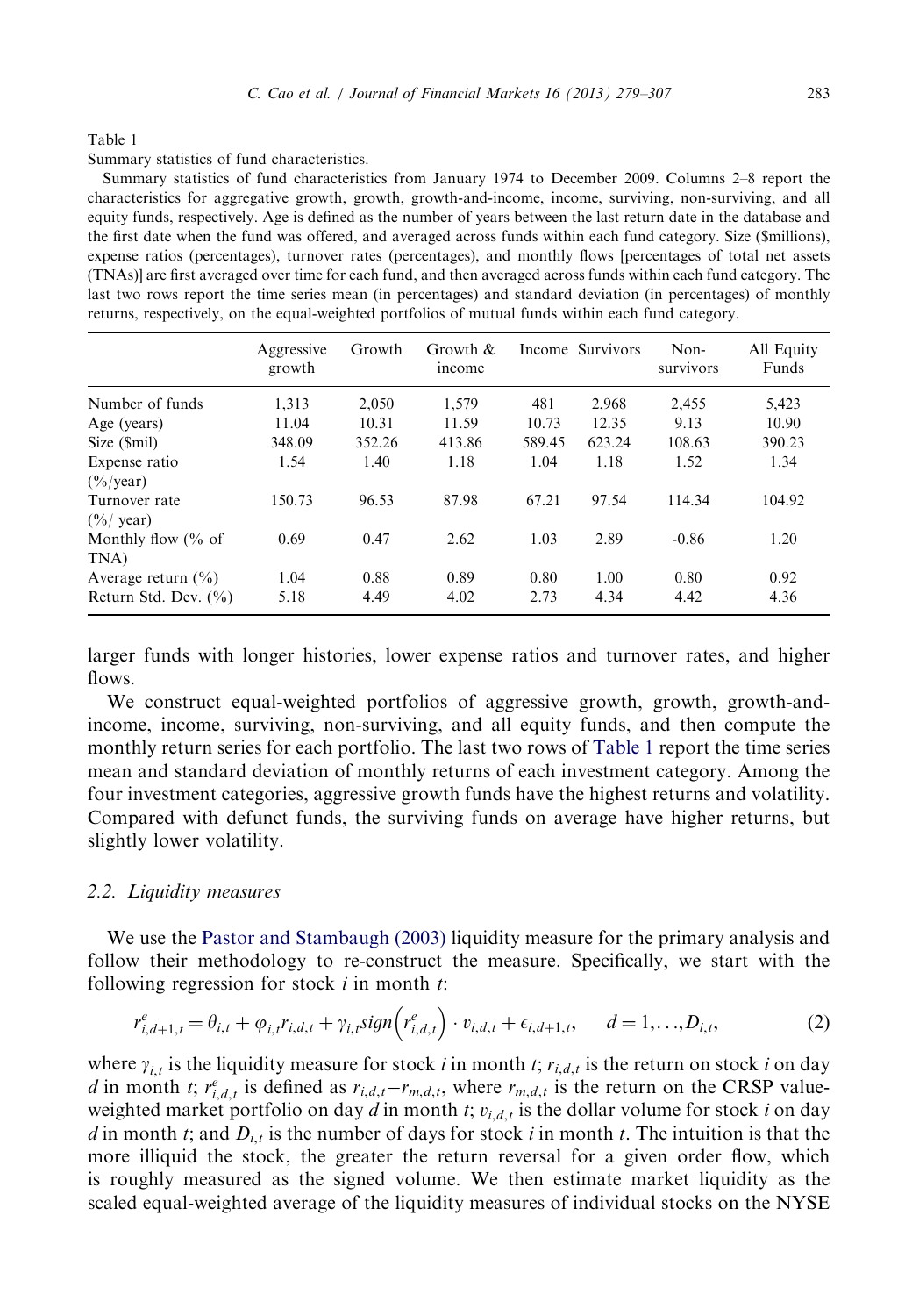<span id="page-4-0"></span>Summary statistics of fund characteristics.

Summary statistics of fund characteristics from January 1974 to December 2009. Columns 2–8 report the characteristics for aggregative growth, growth, growth-and-income, income, surviving, non-surviving, and all equity funds, respectively. Age is defined as the number of years between the last return date in the database and the first date when the fund was offered, and averaged across funds within each fund category. Size (\$millions), expense ratios (percentages), turnover rates (percentages), and monthly flows [percentages of total net assets (TNAs)] are first averaged over time for each fund, and then averaged across funds within each fund category. The last two rows report the time series mean (in percentages) and standard deviation (in percentages) of monthly returns, respectively, on the equal-weighted portfolios of mutual funds within each fund category.

|                               | Aggressive<br>growth | Growth | Growth $\&$<br>income |        | Income Survivors | Non-<br>survivors | All Equity<br>Funds |
|-------------------------------|----------------------|--------|-----------------------|--------|------------------|-------------------|---------------------|
| Number of funds               | 1,313                | 2,050  | 1,579                 | 481    | 2,968            | 2,455             | 5,423               |
| Age (years)                   | 11.04                | 10.31  | 11.59                 | 10.73  | 12.35            | 9.13              | 10.90               |
| Size (\$mil)                  | 348.09               | 352.26 | 413.86                | 589.45 | 623.24           | 108.63            | 390.23              |
| Expense ratio                 | 1.54                 | 1.40   | 1.18                  | 1.04   | 1.18             | 1.52              | 1.34                |
| $(\frac{6}{9}$ /year)         |                      |        |                       |        |                  |                   |                     |
| Turnover rate                 | 150.73               | 96.53  | 87.98                 | 67.21  | 97.54            | 114.34            | 104.92              |
| $(\frac{9}{6}$ year)          |                      |        |                       |        |                  |                   |                     |
| Monthly flow $\frac{6}{6}$ of | 0.69                 | 0.47   | 2.62                  | 1.03   | 2.89             | $-0.86$           | 1.20                |
| TNA)                          |                      |        |                       |        |                  |                   |                     |
| Average return $(\% )$        | 1.04                 | 0.88   | 0.89                  | 0.80   | 1.00             | 0.80              | 0.92                |
| Return Std. Dev. $(\% )$      | 5.18                 | 4.49   | 4.02                  | 2.73   | 4.34             | 4.42              | 4.36                |

larger funds with longer histories, lower expense ratios and turnover rates, and higher flows.

We construct equal-weighted portfolios of aggressive growth, growth, growth-andincome, income, surviving, non-surviving, and all equity funds, and then compute the monthly return series for each portfolio. The last two rows of Table 1 report the time series mean and standard deviation of monthly returns of each investment category. Among the four investment categories, aggressive growth funds have the highest returns and volatility. Compared with defunct funds, the surviving funds on average have higher returns, but slightly lower volatility.

#### 2.2. Liquidity measures

We use the [Pastor and Stambaugh \(2003\)](#page-28-0) liquidity measure for the primary analysis and follow their methodology to re-construct the measure. Specifically, we start with the following regression for stock  $i$  in month  $t$ :

$$
r_{i,d+1,t}^e = \theta_{i,t} + \varphi_{i,t} r_{i,d,t} + \gamma_{i,t} sign(r_{i,d,t}^e) \cdot v_{i,d,t} + \epsilon_{i,d+1,t}, \quad d = 1,...,D_{i,t},
$$
 (2)

where  $\gamma_{i,t}$  is the liquidity measure for stock i in month t;  $r_{i,d,t}$  is the return on stock i on day d in month t;  $r_{i,d,t}^e$  is defined as  $r_{i,d,t}-r_{m,d,t}$ , where  $r_{m,d,t}$  is the return on the CRSP valueweighted market portfolio on day d in month t;  $v_{i,d,t}$  is the dollar volume for stock i on day d in month t; and  $D_{i,t}$  is the number of days for stock i in month t. The intuition is that the more illiquid the stock, the greater the return reversal for a given order flow, which is roughly measured as the signed volume. We then estimate market liquidity as the scaled equal-weighted average of the liquidity measures of individual stocks on the NYSE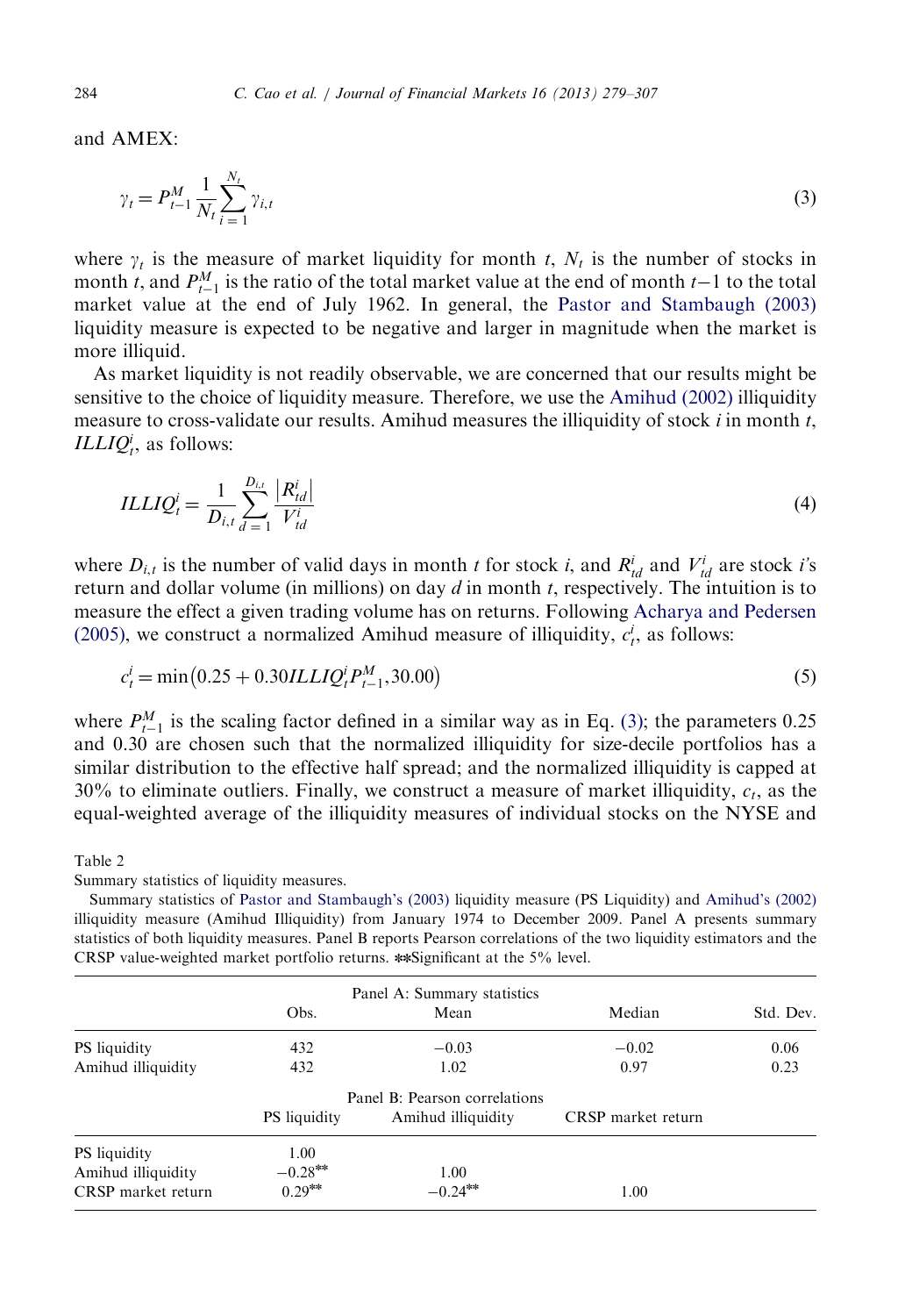<span id="page-5-0"></span>and AMEX:

$$
\gamma_t = P_{t-1}^M \frac{1}{N_t} \sum_{i=1}^{N_t} \gamma_{i,t}
$$
\n(3)

where  $\gamma_t$  is the measure of market liquidity for month t,  $N_t$  is the number of stocks in month *t*, and  $P_{t-1}^M$  is the ratio of the total market value at the end of month *t*-1 to the total market value at the end of July 1962. In general, the [Pastor and Stambaugh \(2003\)](#page-28-0) liquidity measure is expected to be negative and larger in magnitude when the market is more illiquid.

As market liquidity is not readily observable, we are concerned that our results might be sensitive to the choice of liquidity measure. Therefore, we use the [Amihud \(2002\)](#page-27-0) illiquidity measure to cross-validate our results. Amihud measures the illiquidity of stock  $i$  in month  $t$ , *ILLIQ*<sup>*i*</sup>, as follows:

$$
ILLIQ_i^i = \frac{1}{D_{i,t}} \sum_{d=1}^{D_{i,t}} \frac{|R_{id}^i|}{V_{id}^i}
$$
\n(4)

where  $D_{i,t}$  is the number of valid days in month t for stock i, and  $R_{td}^i$  and  $V_{td}^i$  are stock i's return and dollar volume (in millions) on day  $d$  in month  $t$ , respectively. The intuition is to measure the effect a given trading volume has on returns. Following [Acharya and Pedersen](#page-27-0) [\(2005\),](#page-27-0) we construct a normalized Amihud measure of illiquidity,  $c_t^i$ , as follows:

$$
c_t^i = \min(0.25 + 0.30ILLIQ_t^i P_{t-1}^M, 30.00)
$$
\n<sup>(5)</sup>

where  $P_{t-1}^{M}$  is the scaling factor defined in a similar way as in Eq. (3); the parameters 0.25 and 0.30 are chosen such that the normalized illiquidity for size-decile portfolios has a similar distribution to the effective half spread; and the normalized illiquidity is capped at 30% to eliminate outliers. Finally, we construct a measure of market illiquidity,  $c_t$ , as the equal-weighted average of the illiquidity measures of individual stocks on the NYSE and

Table 2

Summary statistics of liquidity measures.

Summary statistics of [Pastor and Stambaugh's \(2003\)](#page-28-0) liquidity measure (PS Liquidity) and [Amihud's \(2002\)](#page-27-0) illiquidity measure (Amihud Illiquidity) from January 1974 to December 2009. Panel A presents summary statistics of both liquidity measures. Panel B reports Pearson correlations of the two liquidity estimators and the CRSP value-weighted market portfolio returns. \*Significant at the  $5\%$  level.

|                     | Obs.                | Panel A: Summary statistics<br>Mean | Median             | Std. Dev. |
|---------------------|---------------------|-------------------------------------|--------------------|-----------|
|                     |                     |                                     |                    |           |
| <b>PS</b> liquidity | 432                 | $-0.03$                             | $-0.02$            | 0.06      |
| Amihud illiquidity  | 432                 | 1.02                                | 0.97               | 0.23      |
|                     |                     | Panel B: Pearson correlations       |                    |           |
|                     | <b>PS</b> liquidity | Amihud illiquidity                  | CRSP market return |           |
| <b>PS</b> liquidity | 1.00                |                                     |                    |           |
| Amihud illiquidity  | $-0.28***$          | 1.00                                |                    |           |
| CRSP market return  | $0.29***$           | $-0.24***$                          | 1.00               |           |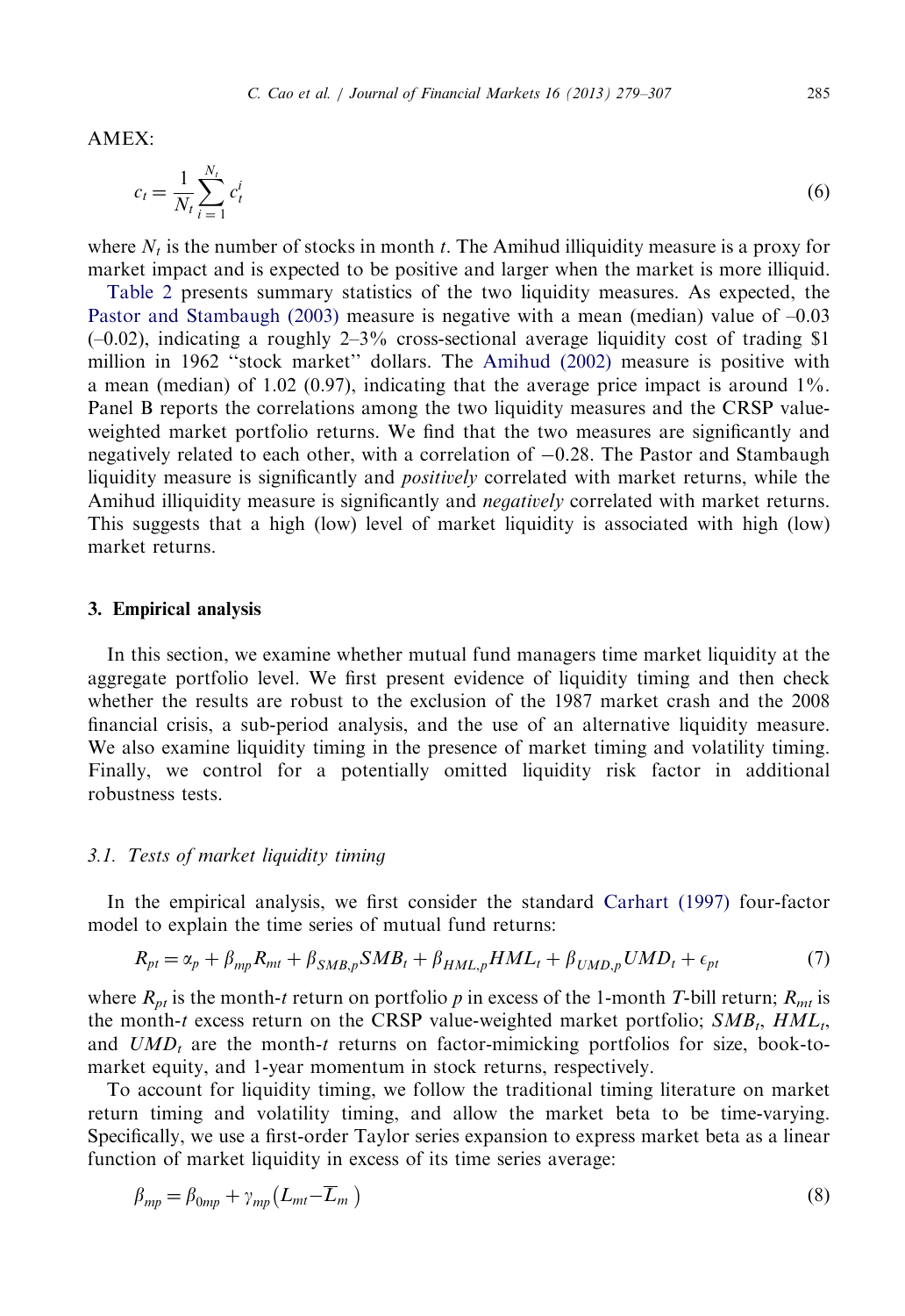<span id="page-6-0"></span> $AMEX$ 

$$
c_t = \frac{1}{N_t} \sum_{i=1}^{N_t} c_t^i \tag{6}
$$

where  $N_t$  is the number of stocks in month t. The Amihud illiquidity measure is a proxy for market impact and is expected to be positive and larger when the market is more illiquid.

[Table 2](#page-5-0) presents summary statistics of the two liquidity measures. As expected, the [Pastor and Stambaugh \(2003\)](#page-28-0) measure is negative with a mean (median) value of –0.03  $(-0.02)$ , indicating a roughly 2-3% cross-sectional average liquidity cost of trading \$1 million in 1962 ''stock market'' dollars. The [Amihud \(2002\)](#page-27-0) measure is positive with a mean (median) of  $1.02 \ (0.97)$ , indicating that the average price impact is around  $1\%$ . Panel B reports the correlations among the two liquidity measures and the CRSP valueweighted market portfolio returns. We find that the two measures are significantly and negatively related to each other, with a correlation of  $-0.28$ . The Pastor and Stambaugh liquidity measure is significantly and *positively* correlated with market returns, while the Amihud illiquidity measure is significantly and *negatively* correlated with market returns. This suggests that a high (low) level of market liquidity is associated with high (low) market returns.

## 3. Empirical analysis

In this section, we examine whether mutual fund managers time market liquidity at the aggregate portfolio level. We first present evidence of liquidity timing and then check whether the results are robust to the exclusion of the 1987 market crash and the 2008 financial crisis, a sub-period analysis, and the use of an alternative liquidity measure. We also examine liquidity timing in the presence of market timing and volatility timing. Finally, we control for a potentially omitted liquidity risk factor in additional robustness tests.

## 3.1. Tests of market liquidity timing

In the empirical analysis, we first consider the standard [Carhart \(1997\)](#page-27-0) four-factor model to explain the time series of mutual fund returns:

$$
R_{pt} = \alpha_p + \beta_{mp} R_{mt} + \beta_{SMB,p} SMB_t + \beta_{HML,p} HML_t + \beta_{UMD,p} UMD_t + \epsilon_{pt}
$$
 (7)

where  $R_{pt}$  is the month-t return on portfolio p in excess of the 1-month T-bill return;  $R_{mt}$  is the month-t excess return on the CRSP value-weighted market portfolio;  $SMB_t$ ,  $HML_t$ , and  $UMD<sub>t</sub>$  are the month-t returns on factor-mimicking portfolios for size, book-tomarket equity, and 1-year momentum in stock returns, respectively.

To account for liquidity timing, we follow the traditional timing literature on market return timing and volatility timing, and allow the market beta to be time-varying. Specifically, we use a first-order Taylor series expansion to express market beta as a linear function of market liquidity in excess of its time series average:

$$
\beta_{mp} = \beta_{0mp} + \gamma_{mp} \left( L_{mt} - \overline{L}_m \right) \tag{8}
$$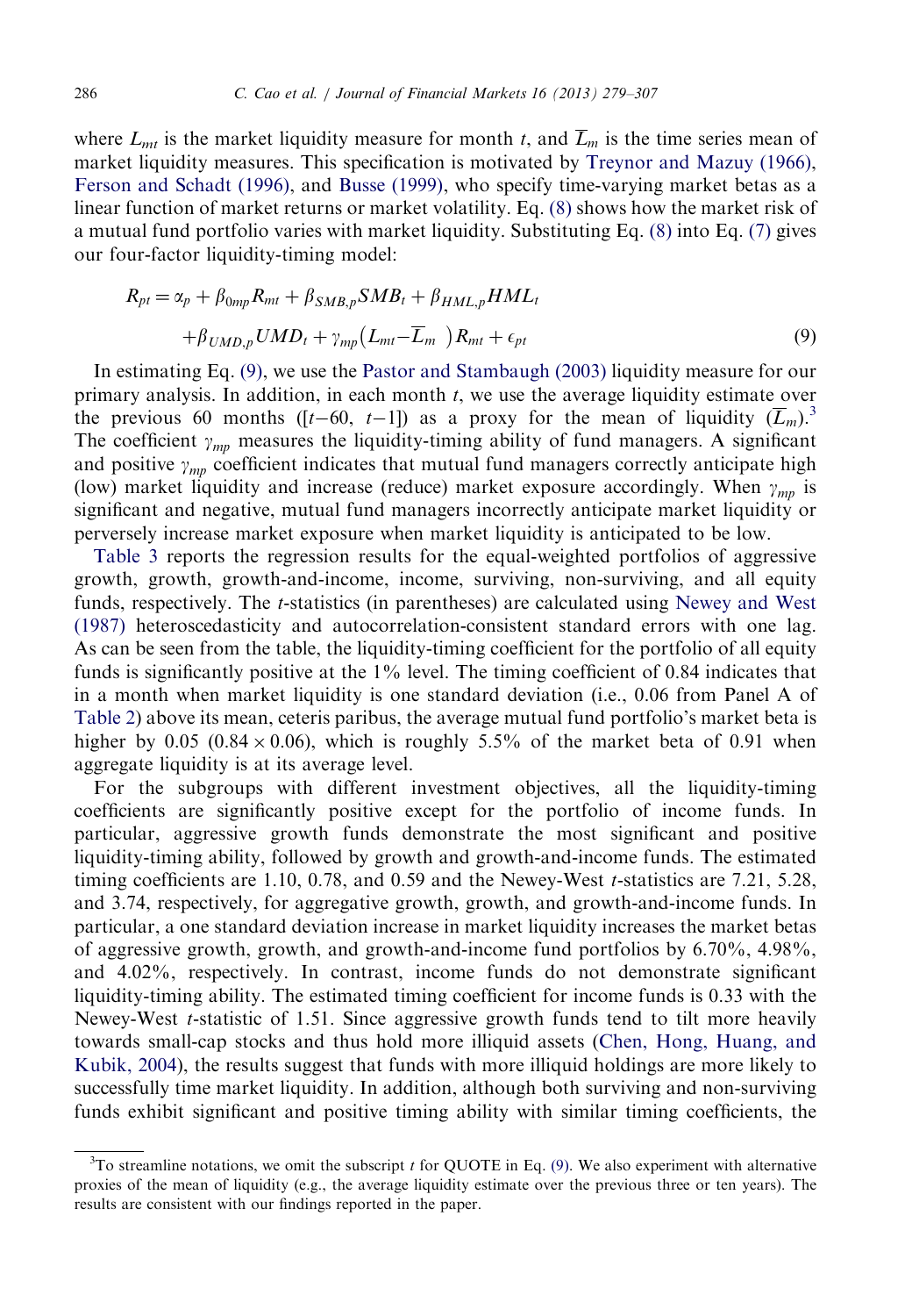where  $L_{mt}$  is the market liquidity measure for month t, and  $\overline{L}_m$  is the time series mean of market liquidity measures. This specification is motivated by [Treynor and Mazuy \(1966\),](#page-28-0) [Ferson and Schadt \(1996\),](#page-28-0) and [Busse \(1999\)](#page-27-0), who specify time-varying market betas as a linear function of market returns or market volatility. Eq. (8) shows how the market risk of a mutual fund portfolio varies with market liquidity. Substituting Eq. (8) into Eq. (7) gives our four-factor liquidity-timing model:

$$
R_{pt} = \alpha_p + \beta_{0mp} R_{mt} + \beta_{SMB,p} SMB_t + \beta_{HML,p} HML_t
$$
  
+ $\beta_{UMD,p} UMD_t + \gamma_{mp} (L_{mt} - \overline{L}_m) R_{mt} + \epsilon_{pt}$  (9)

In estimating Eq. (9), we use the [Pastor and Stambaugh \(2003\)](#page-28-0) liquidity measure for our primary analysis. In addition, in each month t, we use the average liquidity estimate over the previous 60 months ([t-60, t-1]) as a proxy for the mean of liquidity  $(\overline{L}_m)^3$ . The coefficient  $\gamma_{mn}$  measures the liquidity-timing ability of fund managers. A significant and positive  $\gamma_{mp}$  coefficient indicates that mutual fund managers correctly anticipate high (low) market liquidity and increase (reduce) market exposure accordingly. When  $\gamma_{mn}$  is significant and negative, mutual fund managers incorrectly anticipate market liquidity or perversely increase market exposure when market liquidity is anticipated to be low.

[Table 3](#page-8-0) reports the regression results for the equal-weighted portfolios of aggressive growth, growth, growth-and-income, income, surviving, non-surviving, and all equity funds, respectively. The t-statistics (in parentheses) are calculated using [Newey and West](#page-28-0) [\(1987\)](#page-28-0) heteroscedasticity and autocorrelation-consistent standard errors with one lag. As can be seen from the table, the liquidity-timing coefficient for the portfolio of all equity funds is significantly positive at the  $1\%$  level. The timing coefficient of 0.84 indicates that in a month when market liquidity is one standard deviation (i.e., 0.06 from Panel A of [Table 2\)](#page-5-0) above its mean, ceteris paribus, the average mutual fund portfolio's market beta is higher by 0.05 (0.84  $\times$  0.06), which is roughly 5.5% of the market beta of 0.91 when aggregate liquidity is at its average level.

For the subgroups with different investment objectives, all the liquidity-timing coefficients are significantly positive except for the portfolio of income funds. In particular, aggressive growth funds demonstrate the most significant and positive liquidity-timing ability, followed by growth and growth-and-income funds. The estimated timing coefficients are 1.10, 0.78, and 0.59 and the Newey-West  $t$ -statistics are 7.21, 5.28, and 3.74, respectively, for aggregative growth, growth, and growth-and-income funds. In particular, a one standard deviation increase in market liquidity increases the market betas of aggressive growth, growth, and growth-and-income fund portfolios by 6.70%, 4.98%, and 4.02%, respectively. In contrast, income funds do not demonstrate significant liquidity-timing ability. The estimated timing coefficient for income funds is 0.33 with the Newey-West *t*-statistic of 1.51. Since aggressive growth funds tend to tilt more heavily towards small-cap stocks and thus hold more illiquid assets ([Chen, Hong, Huang, and](#page-27-0) [Kubik, 2004](#page-27-0)), the results suggest that funds with more illiquid holdings are more likely to successfully time market liquidity. In addition, although both surviving and non-surviving funds exhibit significant and positive timing ability with similar timing coefficients, the

 ${}^{3}$ To streamline notations, we omit the subscript t for QUOTE in Eq. (9). We also experiment with alternative proxies of the mean of liquidity (e.g., the average liquidity estimate over the previous three or ten years). The results are consistent with our findings reported in the paper.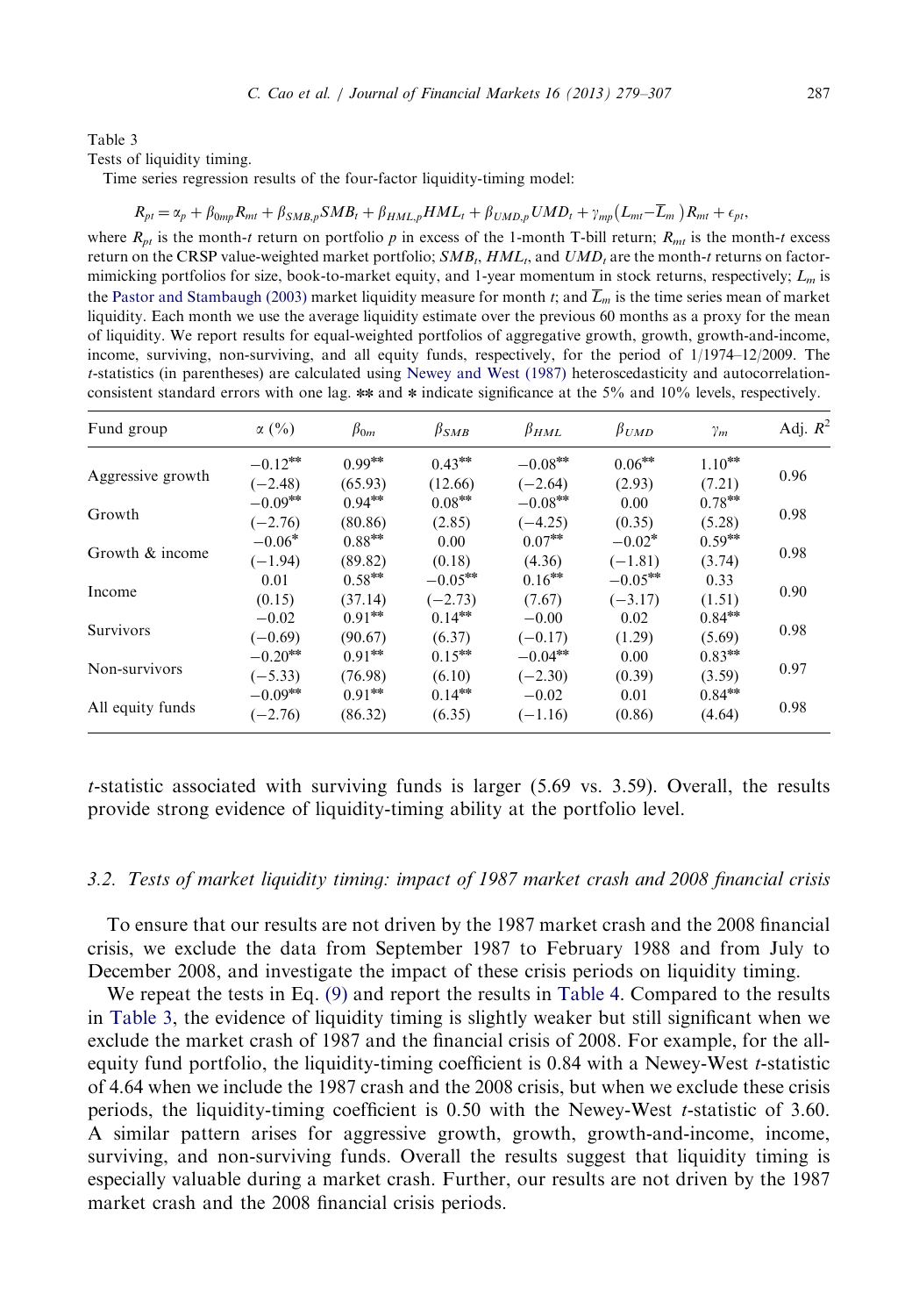<span id="page-8-0"></span>Tests of liquidity timing.

Time series regression results of the four-factor liquidity-timing model:

$$
R_{pt} = \alpha_p + \beta_{0mp} R_{mt} + \beta_{SMB,p} SMB_t + \beta_{HML,p} HML_t + \beta_{UMD,p} UMD_t + \gamma_{mp} (L_{mt} - \overline{L}_m) R_{mt} + \epsilon_{pt},
$$

where  $R_{nt}$  is the month-t return on portfolio p in excess of the 1-month T-bill return;  $R_{nt}$  is the month-t excess return on the CRSP value-weighted market portfolio;  $SMB_t, HML_t$ , and  $UMD_t$  are the month-t returns on factormimicking portfolios for size, book-to-market equity, and 1-year momentum in stock returns, respectively;  $L_m$  is the [Pastor and Stambaugh \(2003\)](#page-28-0) market liquidity measure for month t; and  $\overline{L}_m$  is the time series mean of market liquidity. Each month we use the average liquidity estimate over the previous 60 months as a proxy for the mean of liquidity. We report results for equal-weighted portfolios of aggregative growth, growth, growth-and-income, income, surviving, non-surviving, and all equity funds, respectively, for the period of 1/1974–12/2009. The t-statistics (in parentheses) are calculated using [Newey and West \(1987\)](#page-28-0) heteroscedasticity and autocorrelationconsistent standard errors with one lag.  $**$  and  $*$  indicate significance at the 5% and 10% levels, respectively.

| Fund group        | $\alpha$ (%) | $\beta_{0m}$ | $\beta_{SMB}$ | $\beta_{HML}$ | $\beta_{UMD}$ | $\gamma_m$ | Adj. $R^2$ |
|-------------------|--------------|--------------|---------------|---------------|---------------|------------|------------|
|                   | $-0.12***$   | $0.99***$    | $0.43***$     | $-0.08***$    | $0.06***$     | $1.10***$  |            |
| Aggressive growth | $(-2.48)$    | (65.93)      | (12.66)       | $(-2.64)$     | (2.93)        | (7.21)     | 0.96       |
| Growth            | $-0.09***$   | $0.94***$    | $0.08***$     | $-0.08***$    | 0.00          | $0.78***$  |            |
|                   | $(-2.76)$    | (80.86)      | (2.85)        | $(-4.25)$     | (0.35)        | (5.28)     | 0.98       |
|                   | $-0.06*$     | $0.88***$    | 0.00          | $0.07***$     | $-0.02*$      | $0.59***$  |            |
| Growth & income   | $(-1.94)$    | (89.82)      | (0.18)        | (4.36)        | $(-1.81)$     | (3.74)     | 0.98       |
|                   | 0.01         | $0.58***$    | $-0.05***$    | $0.16***$     | $-0.05***$    | 0.33       | 0.90       |
| Income            | (0.15)       | (37.14)      | $(-2.73)$     | (7.67)        | $(-3.17)$     | (1.51)     |            |
|                   | $-0.02$      | $0.91***$    | $0.14***$     | $-0.00$       | 0.02          | $0.84***$  |            |
| <b>Survivors</b>  | $(-0.69)$    | (90.67)      | (6.37)        | $(-0.17)$     | (1.29)        | (5.69)     | 0.98       |
|                   | $-0.20***$   | $0.91***$    | $0.15***$     | $-0.04***$    | 0.00          | $0.83***$  |            |
| Non-survivors     | $(-5.33)$    | (76.98)      | (6.10)        | $(-2.30)$     | (0.39)        | (3.59)     | 0.97       |
|                   | $-0.09***$   | $0.91***$    | $0.14***$     | $-0.02$       | 0.01          | $0.84***$  |            |
| All equity funds  | $(-2.76)$    | (86.32)      | (6.35)        | $(-1.16)$     | (0.86)        | (4.64)     | 0.98       |

t-statistic associated with surviving funds is larger (5.69 vs. 3.59). Overall, the results provide strong evidence of liquidity-timing ability at the portfolio level.

## 3.2. Tests of market liquidity timing: impact of 1987 market crash and 2008 financial crisis

To ensure that our results are not driven by the 1987 market crash and the 2008 financial crisis, we exclude the data from September 1987 to February 1988 and from July to December 2008, and investigate the impact of these crisis periods on liquidity timing.

We repeat the tests in Eq. (9) and report the results in [Table 4.](#page-9-0) Compared to the results in Table 3, the evidence of liquidity timing is slightly weaker but still significant when we exclude the market crash of 1987 and the financial crisis of 2008. For example, for the allequity fund portfolio, the liquidity-timing coefficient is 0.84 with a Newey-West t-statistic of 4.64 when we include the 1987 crash and the 2008 crisis, but when we exclude these crisis periods, the liquidity-timing coefficient is 0.50 with the Newey-West t-statistic of 3.60. A similar pattern arises for aggressive growth, growth, growth-and-income, income, surviving, and non-surviving funds. Overall the results suggest that liquidity timing is especially valuable during a market crash. Further, our results are not driven by the 1987 market crash and the 2008 financial crisis periods.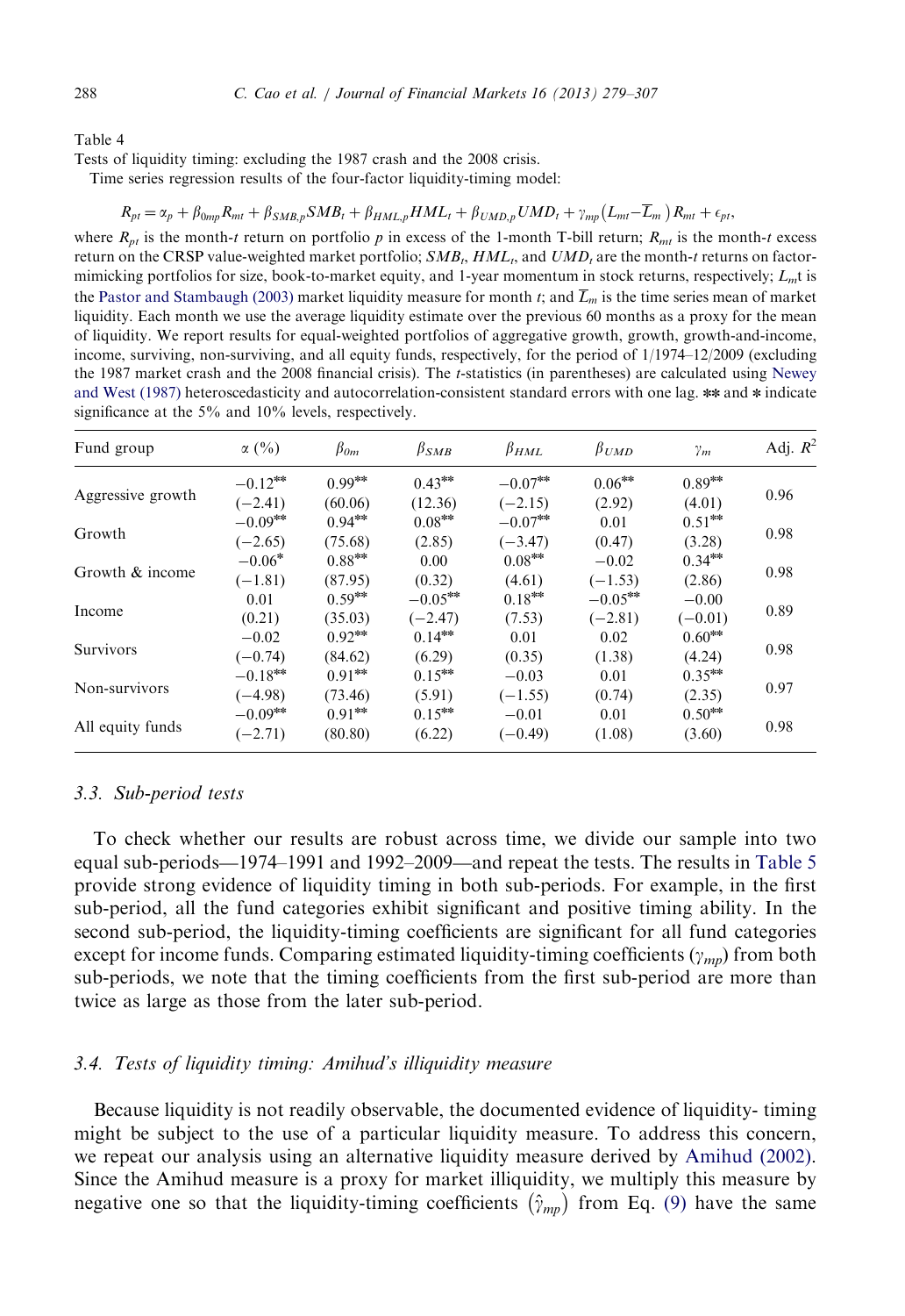<span id="page-9-0"></span>

Tests of liquidity timing: excluding the 1987 crash and the 2008 crisis.

Time series regression results of the four-factor liquidity-timing model:

$$
R_{pt} = \alpha_p + \beta_{0mp} R_{mt} + \beta_{SMB,p} SMB_t + \beta_{HML,p} HML_t + \beta_{UMD,p} UMD_t + \gamma_{mp} (L_{mt} - \overline{L}_m) R_{mt} + \epsilon_{pt},
$$

where  $R_{pt}$  is the month-t return on portfolio p in excess of the 1-month T-bill return;  $R_{mt}$  is the month-t excess return on the CRSP value-weighted market portfolio;  $SMB_t, HML_t$ , and  $UMD_t$  are the month-t returns on factormimicking portfolios for size, book-to-market equity, and 1-year momentum in stock returns, respectively;  $L_m$ t is the [Pastor and Stambaugh \(2003\)](#page-28-0) market liquidity measure for month t; and  $\overline{L}_m$  is the time series mean of market liquidity. Each month we use the average liquidity estimate over the previous 60 months as a proxy for the mean of liquidity. We report results for equal-weighted portfolios of aggregative growth, growth, growth-and-income, income, surviving, non-surviving, and all equity funds, respectively, for the period of 1/1974–12/2009 (excluding the 1987 market crash and the 2008 financial crisis). The *t*-statistics (in parentheses) are calculated using [Newey](#page-28-0) [and West \(1987\)](#page-28-0) heteroscedasticity and autocorrelation-consistent standard errors with one lag. \*\* and \* indicate significance at the 5% and 10% levels, respectively.

| Fund group        | $\alpha$ (%) | $\beta_{0m}$ | $\beta_{SMB}$ | $\beta_{HML}$ | $\beta_{UMD}$ | $\gamma_m$ | Adj. $R^2$ |
|-------------------|--------------|--------------|---------------|---------------|---------------|------------|------------|
|                   | $-0.12***$   | $0.99***$    | $0.43***$     | $-0.07***$    | $0.06***$     | $0.89***$  |            |
| Aggressive growth | $(-2.41)$    | (60.06)      | (12.36)       | $(-2.15)$     | (2.92)        | (4.01)     | 0.96       |
|                   | $-0.09***$   | $0.94***$    | $0.08***$     | $-0.07***$    | 0.01          | $0.51***$  |            |
| Growth            | $(-2.65)$    | (75.68)      | (2.85)        | $(-3.47)$     | (0.47)        | (3.28)     | 0.98       |
|                   | $-0.06*$     | $0.88***$    | 0.00          | $0.08***$     | $-0.02$       | $0.34***$  |            |
| Growth & income   | $(-1.81)$    | (87.95)      | (0.32)        | (4.61)        | $(-1.53)$     | (2.86)     | 0.98       |
|                   | 0.01         | $0.59***$    | $-0.05***$    | $0.18***$     | $-0.05***$    | $-0.00$    |            |
| Income            | (0.21)       | (35.03)      | $(-2.47)$     | (7.53)        | $(-2.81)$     | $(-0.01)$  | 0.89       |
|                   | $-0.02$      | $0.92***$    | $0.14***$     | 0.01          | 0.02          | $0.60***$  |            |
| <b>Survivors</b>  | $(-0.74)$    | (84.62)      | (6.29)        | (0.35)        | (1.38)        | (4.24)     | 0.98       |
|                   | $-0.18***$   | $0.91***$    | $0.15***$     | $-0.03$       | 0.01          | $0.35***$  |            |
| Non-survivors     | $(-4.98)$    | (73.46)      | (5.91)        | $(-1.55)$     | (0.74)        | (2.35)     | 0.97       |
|                   | $-0.09***$   | $0.91***$    | $0.15***$     | $-0.01$       | 0.01          | $0.50***$  |            |
| All equity funds  | $(-2.71)$    | (80.80)      | (6.22)        | $(-0.49)$     | (1.08)        | (3.60)     | 0.98       |

#### 3.3. Sub-period tests

To check whether our results are robust across time, we divide our sample into two equal sub-periods—1974–1991 and 1992–2009—and repeat the tests. The results in [Table 5](#page-10-0) provide strong evidence of liquidity timing in both sub-periods. For example, in the first sub-period, all the fund categories exhibit significant and positive timing ability. In the second sub-period, the liquidity-timing coefficients are significant for all fund categories except for income funds. Comparing estimated liquidity-timing coefficients  $(\gamma_{mn})$  from both sub-periods, we note that the timing coefficients from the first sub-period are more than twice as large as those from the later sub-period.

#### 3.4. Tests of liquidity timing: Amihud's illiquidity measure

Because liquidity is not readily observable, the documented evidence of liquidity- timing might be subject to the use of a particular liquidity measure. To address this concern, we repeat our analysis using an alternative liquidity measure derived by [Amihud \(2002\).](#page-27-0) Since the Amihud measure is a proxy for market illiquidity, we multiply this measure by negative one so that the liquidity-timing coefficients  $(\hat{\gamma}_{mn})$  from Eq. (9) have the same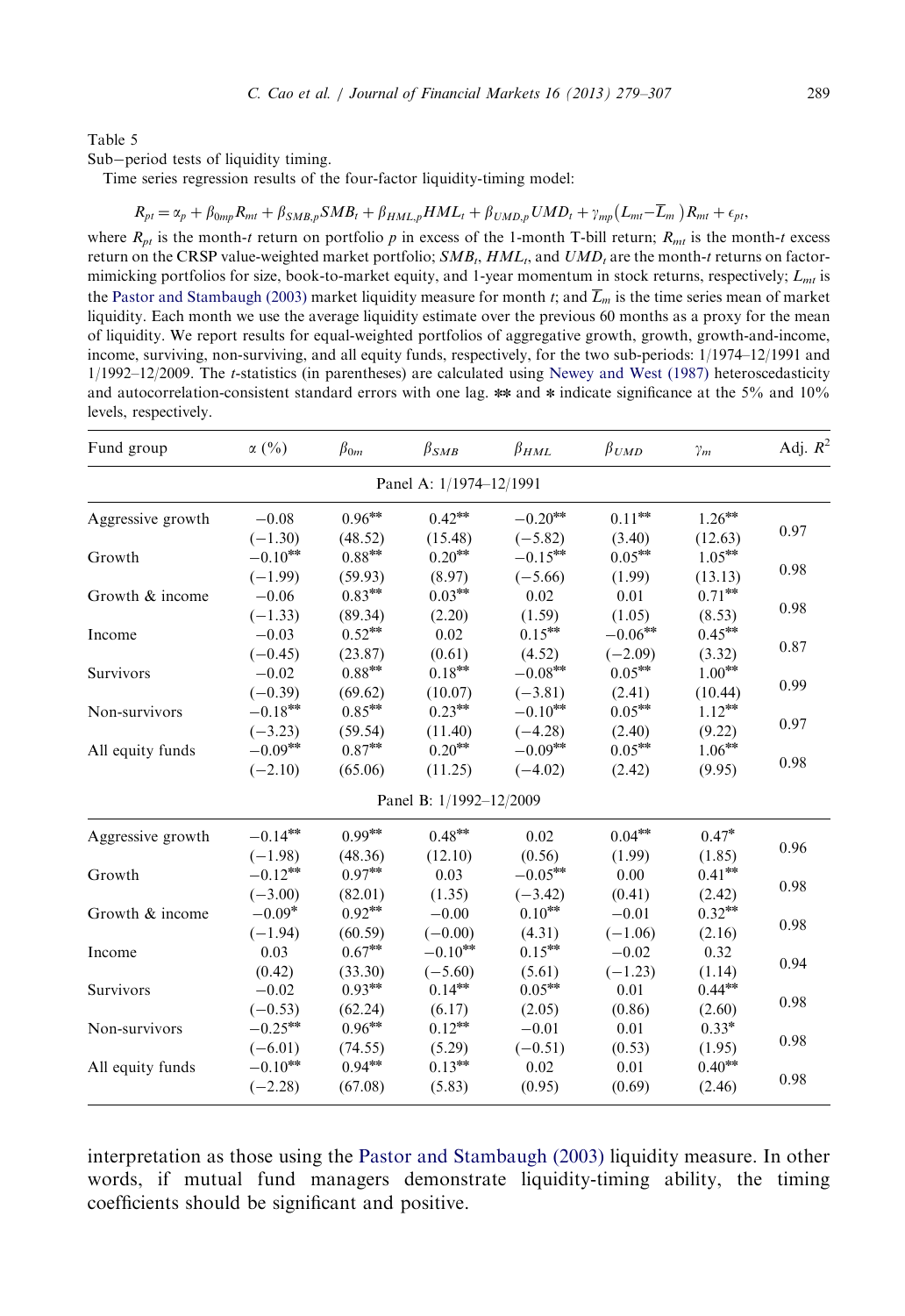<span id="page-10-0"></span>Sub-period tests of liquidity timing.

Time series regression results of the four-factor liquidity-timing model:

$$
R_{pt} = \alpha_p + \beta_{0mp} R_{mt} + \beta_{SMB,p} SMB_t + \beta_{HML,p} HML_t + \beta_{UMD,p} UMD_t + \gamma_{mp} (L_{mt} - \overline{L}_m) R_{mt} + \epsilon_{pt},
$$

where  $R_{nt}$  is the month-t return on portfolio p in excess of the 1-month T-bill return;  $R_{nt}$  is the month-t excess return on the CRSP value-weighted market portfolio;  $SMB_t, HML_t$ , and  $UMD_t$  are the month-t returns on factormimicking portfolios for size, book-to-market equity, and 1-year momentum in stock returns, respectively;  $L_{mt}$  is the [Pastor and Stambaugh \(2003\)](#page-28-0) market liquidity measure for month t; and  $\overline{L}_m$  is the time series mean of market liquidity. Each month we use the average liquidity estimate over the previous 60 months as a proxy for the mean of liquidity. We report results for equal-weighted portfolios of aggregative growth, growth, growth-and-income, income, surviving, non-surviving, and all equity funds, respectively, for the two sub-periods: 1/1974–12/1991 and 1/1992–12/2009. The t-statistics (in parentheses) are calculated using [Newey and West \(1987\)](#page-28-0) heteroscedasticity and autocorrelation-consistent standard errors with one lag. \*\* and \* indicate significance at the 5% and 10% levels, respectively.

| Fund group              | $\alpha$ (%)                                                           | $\beta_{0m}$         | $\beta_{SMB}$           | $\beta_{HML}$           | $\beta_{UMD}$                       | $\gamma_m$           | Adj. $R^2$ |  |  |  |
|-------------------------|------------------------------------------------------------------------|----------------------|-------------------------|-------------------------|-------------------------------------|----------------------|------------|--|--|--|
| Panel A: 1/1974-12/1991 |                                                                        |                      |                         |                         |                                     |                      |            |  |  |  |
| Aggressive growth       | $-0.08$<br>$(-1.30)$                                                   | $0.96***$<br>(48.52) | $0.42***$<br>(15.48)    | $-0.20***$<br>$(-5.82)$ | $0.11^{\rm{***}}$<br>(3.40)         | $1.26***$<br>(12.63) | 0.97       |  |  |  |
| Growth                  | $-0.10^{\mbox{\tiny{30}}\mbox{\tiny{30}}\mbox{\tiny{K}}}$<br>$(-1.99)$ | $0.88***$<br>(59.93) | $0.20***$<br>(8.97)     | $-0.15***$<br>$(-5.66)$ | $0.05^{\ast\!\ast\!\ast}$<br>(1.99) | $1.05***$<br>(13.13) | 0.98       |  |  |  |
| Growth & income         | $-0.06$<br>$(-1.33)$                                                   | $0.83***$<br>(89.34) | $0.03***$<br>(2.20)     | 0.02<br>(1.59)          | 0.01<br>(1.05)                      | $0.71***$<br>(8.53)  | 0.98       |  |  |  |
| Income                  | $-0.03$<br>$(-0.45)$                                                   | $0.52***$<br>(23.87) | 0.02<br>(0.61)          | $0.15***$<br>(4.52)     | $-0.06***$<br>$(-2.09)$             | $0.45***$<br>(3.32)  | 0.87       |  |  |  |
| Survivors               | $-0.02$<br>$(-0.39)$                                                   | $0.88***$<br>(69.62) | $0.18***$<br>(10.07)    | $-0.08***$<br>$(-3.81)$ | $0.05***$<br>(2.41)                 | $1.00***$<br>(10.44) | 0.99       |  |  |  |
| Non-survivors           | $-0.18***$<br>$(-3.23)$                                                | $0.85***$<br>(59.54) | $0.23***$<br>(11.40)    | $-0.10***$<br>$(-4.28)$ | $0.05***$<br>(2.40)                 | $1.12***$<br>(9.22)  | 0.97       |  |  |  |
| All equity funds        | $-0.09***$<br>$(-2.10)$                                                | $0.87***$<br>(65.06) | $0.20***$<br>(11.25)    | $-0.09***$<br>$(-4.02)$ | $0.05***$<br>(2.42)                 | $1.06***$<br>(9.95)  | 0.98       |  |  |  |
|                         |                                                                        |                      | Panel B: 1/1992-12/2009 |                         |                                     |                      |            |  |  |  |
| Aggressive growth       | $-0.14***$<br>$(-1.98)$                                                | $0.99***$<br>(48.36) | $0.48***$<br>(12.10)    | 0.02<br>(0.56)          | $0.04***$<br>(1.99)                 | $0.47*$<br>(1.85)    | 0.96       |  |  |  |
| Growth                  | $-0.12***$<br>$(-3.00)$                                                | $0.97***$<br>(82.01) | 0.03<br>(1.35)          | $-0.05***$<br>$(-3.42)$ | 0.00<br>(0.41)                      | $0.41***$<br>(2.42)  | 0.98       |  |  |  |
| Growth & income         | $-0.09*$<br>$(-1.94)$                                                  | $0.92***$<br>(60.59) | $-0.00$<br>$(-0.00)$    | $0.10***$<br>(4.31)     | $-0.01$<br>$(-1.06)$                | $0.32***$<br>(2.16)  | 0.98       |  |  |  |
| Income                  | 0.03<br>(0.42)                                                         | $0.67***$<br>(33.30) | $-0.10***$<br>$(-5.60)$ | $0.15***$<br>(5.61)     | $-0.02$<br>$(-1.23)$                | 0.32<br>(1.14)       | 0.94       |  |  |  |
| Survivors               | $-0.02$<br>$(-0.53)$                                                   | $0.93***$<br>(62.24) | $0.14***$<br>(6.17)     | $0.05***$<br>(2.05)     | 0.01<br>(0.86)                      | $0.44***$<br>(2.60)  | 0.98       |  |  |  |
| Non-survivors           | $-0.25***$<br>$(-6.01)$                                                | $0.96***$<br>(74.55) | $0.12***$<br>(5.29)     | $-0.01$<br>$(-0.51)$    | 0.01<br>(0.53)                      | $0.33*$<br>(1.95)    | 0.98       |  |  |  |
| All equity funds        | $-0.10***$<br>$(-2.28)$                                                | $0.94***$<br>(67.08) | $0.13***$<br>(5.83)     | 0.02<br>(0.95)          | 0.01<br>(0.69)                      | $0.40***$<br>(2.46)  | 0.98       |  |  |  |

interpretation as those using the [Pastor and Stambaugh \(2003\)](#page-28-0) liquidity measure. In other words, if mutual fund managers demonstrate liquidity-timing ability, the timing coefficients should be significant and positive.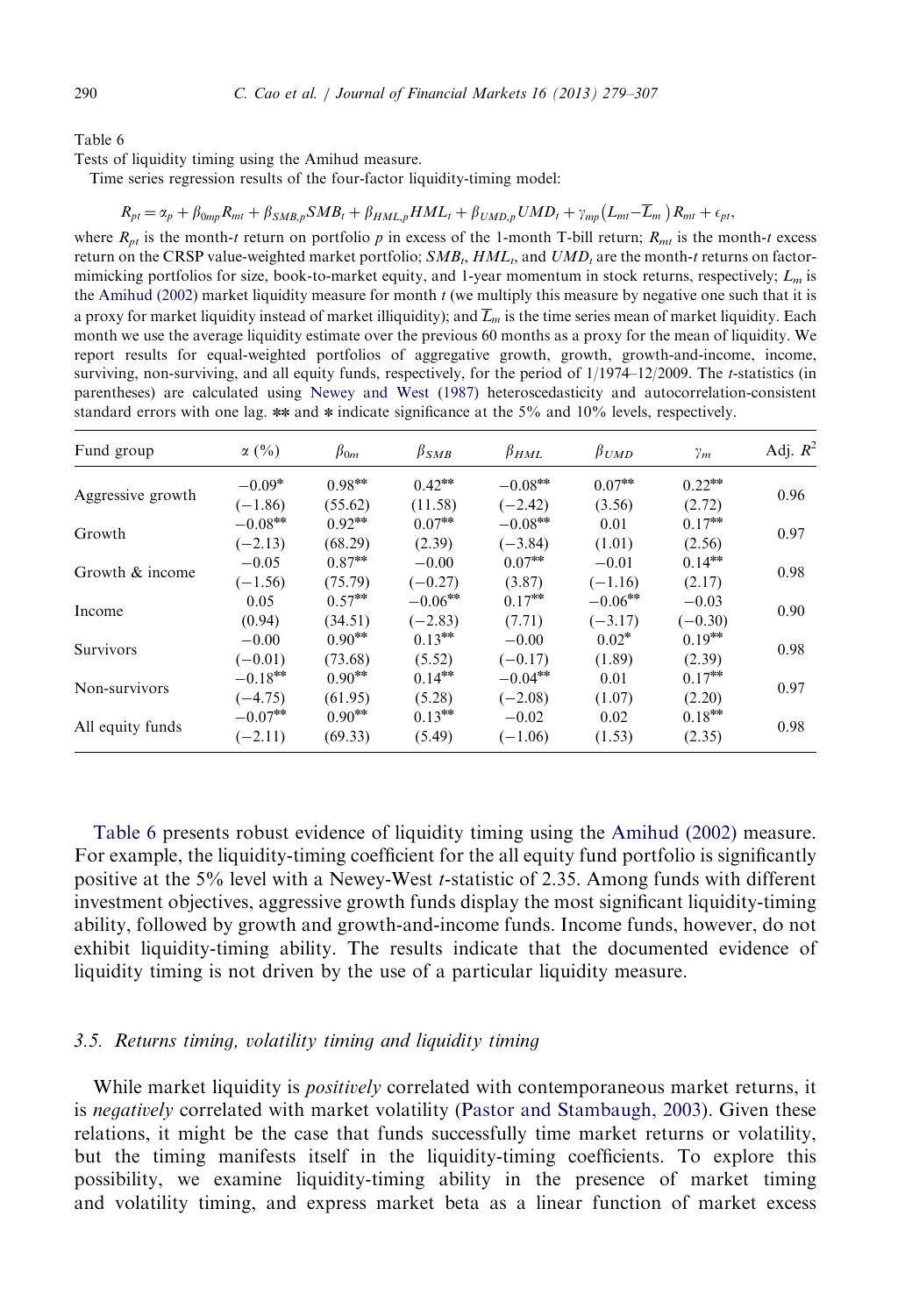<span id="page-11-0"></span>Tests of liquidity timing using the Amihud measure.

Time series regression results of the four-factor liquidity-timing model:

$$
R_{pt} = \alpha_p + \beta_{0mp} R_{mt} + \beta_{SMB,p} SMB_t + \beta_{HML,p} HML_t + \beta_{UMD,p} UMD_t + \gamma_{mp} (L_{mt} - \overline{L}_m) R_{mt} + \epsilon_{pt},
$$

where  $R_{pt}$  is the month-t return on portfolio p in excess of the 1-month T-bill return;  $R_{mt}$  is the month-t excess return on the CRSP value-weighted market portfolio;  $SMB_t, HML_t$ , and  $UMD_t$  are the month-t returns on factormimicking portfolios for size, book-to-market equity, and 1-year momentum in stock returns, respectively;  $L_m$  is the [Amihud \(2002\)](#page-27-0) market liquidity measure for month  $t$  (we multiply this measure by negative one such that it is a proxy for market liquidity instead of market illiquidity); and  $\overline{L}_m$  is the time series mean of market liquidity. Each month we use the average liquidity estimate over the previous 60 months as a proxy for the mean of liquidity. We report results for equal-weighted portfolios of aggregative growth, growth, growth-and-income, income, surviving, non-surviving, and all equity funds, respectively, for the period of  $1/1974-12/2009$ . The t-statistics (in parentheses) are calculated using [Newey and West \(1987\)](#page-28-0) heteroscedasticity and autocorrelation-consistent standard errors with one lag.  $**$  and  $*$  indicate significance at the 5% and 10% levels, respectively.

| Fund group        | $\alpha$ (%) | $\beta_{0m}$ | $\beta_{SMB}$ | $\beta_{HML}$ | $\beta_{UMD}$ | $\gamma_m$ | Adj. $R^2$ |
|-------------------|--------------|--------------|---------------|---------------|---------------|------------|------------|
|                   | $-0.09*$     | $0.98***$    | $0.42***$     | $-0.08***$    | $0.07***$     | $0.22***$  |            |
| Aggressive growth | $(-1.86)$    | (55.62)      | (11.58)       | $(-2.42)$     | (3.56)        | (2.72)     | 0.96       |
| Growth            | $-0.08***$   | $0.92***$    | $0.07***$     | $-0.08***$    | 0.01          | $0.17***$  | 0.97       |
|                   | $(-2.13)$    | (68.29)      | (2.39)        | $(-3.84)$     | (1.01)        | (2.56)     |            |
| Growth & income   | $-0.05$      | $0.87***$    | $-0.00$       | $0.07***$     | $-0.01$       | $0.14***$  | 0.98       |
|                   | $(-1.56)$    | (75.79)      | $(-0.27)$     | (3.87)        | $(-1.16)$     | (2.17)     |            |
| Income            | 0.05         | $0.57***$    | $-0.06***$    | $0.17***$     | $-0.06***$    | $-0.03$    | 0.90       |
|                   | (0.94)       | (34.51)      | $(-2.83)$     | (7.71)        | $(-3.17)$     | $(-0.30)$  |            |
| Survivors         | $-0.00$      | $0.90***$    | $0.13***$     | $-0.00$       | $0.02*$       | $0.19***$  | 0.98       |
|                   | $(-0.01)$    | (73.68)      | (5.52)        | $(-0.17)$     | (1.89)        | (2.39)     |            |
|                   | $-0.18***$   | $0.90***$    | $0.14***$     | $-0.04***$    | 0.01          | $0.17***$  | 0.97       |
| Non-survivors     | $(-4.75)$    | (61.95)      | (5.28)        | $(-2.08)$     | (1.07)        | (2.20)     |            |
| All equity funds  | $-0.07***$   | $0.90***$    | $0.13***$     | $-0.02$       | 0.02          | $0.18***$  | 0.98       |
|                   | $(-2.11)$    | (69.33)      | (5.49)        | $(-1.06)$     | (1.53)        | (2.35)     |            |

Table 6 presents robust evidence of liquidity timing using the [Amihud \(2002\)](#page-27-0) measure. For example, the liquidity-timing coefficient for the all equity fund portfolio is significantly positive at the 5% level with a Newey-West t-statistic of 2.35. Among funds with different investment objectives, aggressive growth funds display the most significant liquidity-timing ability, followed by growth and growth-and-income funds. Income funds, however, do not exhibit liquidity-timing ability. The results indicate that the documented evidence of liquidity timing is not driven by the use of a particular liquidity measure.

## 3.5. Returns timing, volatility timing and liquidity timing

While market liquidity is *positively* correlated with contemporaneous market returns, it is *negatively* correlated with market volatility ([Pastor and Stambaugh, 2003\)](#page-28-0). Given these relations, it might be the case that funds successfully time market returns or volatility, but the timing manifests itself in the liquidity-timing coefficients. To explore this possibility, we examine liquidity-timing ability in the presence of market timing and volatility timing, and express market beta as a linear function of market excess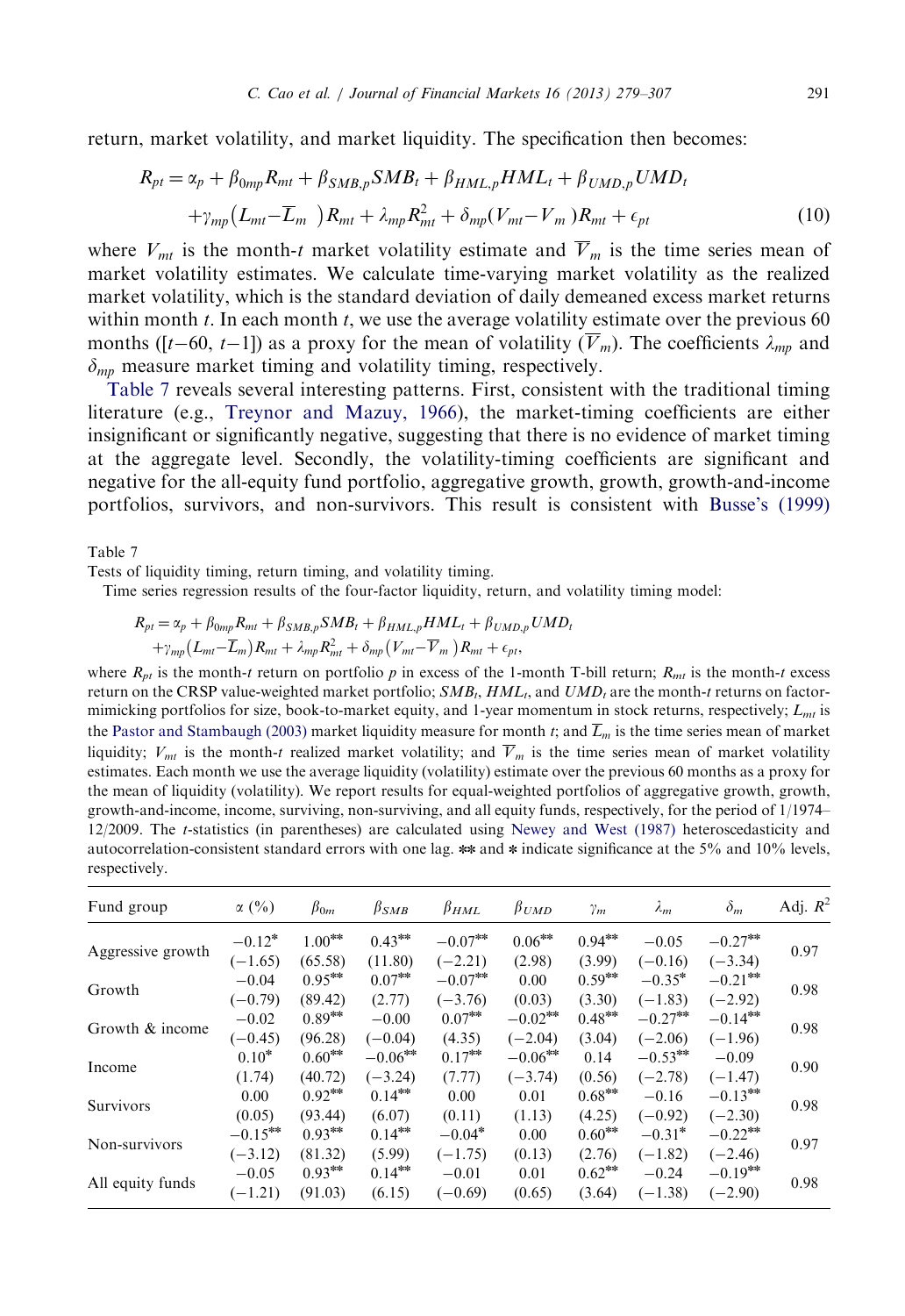<span id="page-12-0"></span>return, market volatility, and market liquidity. The specification then becomes:

$$
R_{pt} = \alpha_p + \beta_{0mp} R_{mt} + \beta_{SMB,p} SMB_t + \beta_{HML,p} HML_t + \beta_{UMD,p} UMD_t
$$

$$
+ \gamma_{mp} (L_{mt} - \overline{L}_m) R_{mt} + \lambda_{mp} R_{mt}^2 + \delta_{mp} (V_{mt} - V_m) R_{mt} + \epsilon_{pt}
$$
(10)

where  $V_{mt}$  is the month-t market volatility estimate and  $\overline{V}_m$  is the time series mean of market volatility estimates. We calculate time-varying market volatility as the realized market volatility, which is the standard deviation of daily demeaned excess market returns within month  $t$ . In each month  $t$ , we use the average volatility estimate over the previous 60 months ([t–60, t–1]) as a proxy for the mean of volatility ( $V_m$ ). The coefficients  $\lambda_{mp}$  and  $\delta_{mn}$  measure market timing and volatility timing, respectively.

Table 7 reveals several interesting patterns. First, consistent with the traditional timing literature (e.g., [Treynor and Mazuy, 1966](#page-28-0)), the market-timing coefficients are either insignificant or significantly negative, suggesting that there is no evidence of market timing at the aggregate level. Secondly, the volatility-timing coefficients are significant and negative for the all-equity fund portfolio, aggregative growth, growth, growth-and-income portfolios, survivors, and non-survivors. This result is consistent with [Busse's \(1999\)](#page-27-0)

Table 7

Tests of liquidity timing, return timing, and volatility timing.

Time series regression results of the four-factor liquidity, return, and volatility timing model:

$$
R_{pt} = \alpha_p + \beta_{0mp} R_{mt} + \beta_{SMB,p} SMB_t + \beta_{HML,p} HML_t + \beta_{UMD,p} UMD_t
$$
  
+ $\gamma_{mp} (L_{mt} - \overline{L}_m) R_{mt} + \lambda_{mp} R_{mt}^2 + \delta_{mp} (V_{mt} - \overline{V}_m) R_{mt} + \epsilon_{pt},$ 

where  $R_{nt}$  is the month-t return on portfolio p in excess of the 1-month T-bill return;  $R_{nt}$  is the month-t excess return on the CRSP value-weighted market portfolio;  $SMB_t, HML_t$ , and  $UMD_t$  are the month-t returns on factormimicking portfolios for size, book-to-market equity, and 1-year momentum in stock returns, respectively;  $L_{mt}$  is the [Pastor and Stambaugh \(2003\)](#page-28-0) market liquidity measure for month t; and  $\overline{L}_m$  is the time series mean of market liquidity;  $V_{mt}$  is the month-t realized market volatility; and  $\overline{V}_m$  is the time series mean of market volatility estimates. Each month we use the average liquidity (volatility) estimate over the previous 60 months as a proxy for the mean of liquidity (volatility). We report results for equal-weighted portfolios of aggregative growth, growth, growth-and-income, income, surviving, non-surviving, and all equity funds, respectively, for the period of 1/1974– 12/2009. The t-statistics (in parentheses) are calculated using [Newey and West \(1987\)](#page-28-0) heteroscedasticity and autocorrelation-consistent standard errors with one lag. \*\* and \* indicate significance at the 5% and 10% levels, respectively.

| Fund group        | $\alpha$ (%) | $\beta_{0m}$ | $\beta_{SMB}$ | $\beta_{HML}$ | $\beta_{UMD}$ | $\gamma_m$ | $\lambda_m$ | $\delta_m$ | Adj. $R^2$ |
|-------------------|--------------|--------------|---------------|---------------|---------------|------------|-------------|------------|------------|
|                   | $-0.12*$     | $1.00***$    | $0.43***$     | $-0.07***$    | $0.06***$     | $0.94***$  | $-0.05$     | $-0.27***$ |            |
| Aggressive growth | $(-1.65)$    | (65.58)      | (11.80)       | $(-2.21)$     | (2.98)        | (3.99)     | $(-0.16)$   | $(-3.34)$  | 0.97       |
|                   | $-0.04$      | $0.95***$    | $0.07***$     | $-0.07***$    | 0.00          | $0.59***$  | $-0.35*$    | $-0.21***$ |            |
| Growth            | $(-0.79)$    | (89.42)      | (2.77)        | $(-3.76)$     | (0.03)        | (3.30)     | $(-1.83)$   | $(-2.92)$  | 0.98       |
|                   | $-0.02$      | $0.89***$    | $-0.00$       | $0.07***$     | $-0.02***$    | $0.48***$  | $-0.27***$  | $-0.14***$ |            |
| Growth & income   | $(-0.45)$    | (96.28)      | $(-0.04)$     | (4.35)        | $(-2.04)$     | (3.04)     | $(-2.06)$   | $(-1.96)$  | 0.98       |
|                   | $0.10*$      | $0.60***$    | $-0.06***$    | $0.17***$     | $-0.06***$    | 0.14       | $-0.53***$  | $-0.09$    | 0.90       |
| Income            | (1.74)       | (40.72)      | $(-3.24)$     | (7.77)        | $(-3.74)$     | (0.56)     | $(-2.78)$   | $(-1.47)$  |            |
| Survivors         | 0.00         | $0.92***$    | $0.14***$     | 0.00          | 0.01          | $0.68***$  | $-0.16$     | $-0.13***$ | 0.98       |
|                   | (0.05)       | (93.44)      | (6.07)        | (0.11)        | (1.13)        | (4.25)     | $(-0.92)$   | $(-2.30)$  |            |
|                   | $-0.15***$   | $0.93***$    | $0.14***$     | $-0.04*$      | 0.00          | $0.60***$  | $-0.31*$    | $-0.22**$  | 0.97       |
| Non-survivors     | $(-3.12)$    | (81.32)      | (5.99)        | $(-1.75)$     | (0.13)        | (2.76)     | $(-1.82)$   | $(-2.46)$  |            |
|                   | $-0.05$      | $0.93***$    | $0.14***$     | $-0.01$       | 0.01          | $0.62***$  | $-0.24$     | $-0.19***$ | 0.98       |
| All equity funds  | $(-1.21)$    | (91.03)      | (6.15)        | $(-0.69)$     | (0.65)        | (3.64)     | $(-1.38)$   | $(-2.90)$  |            |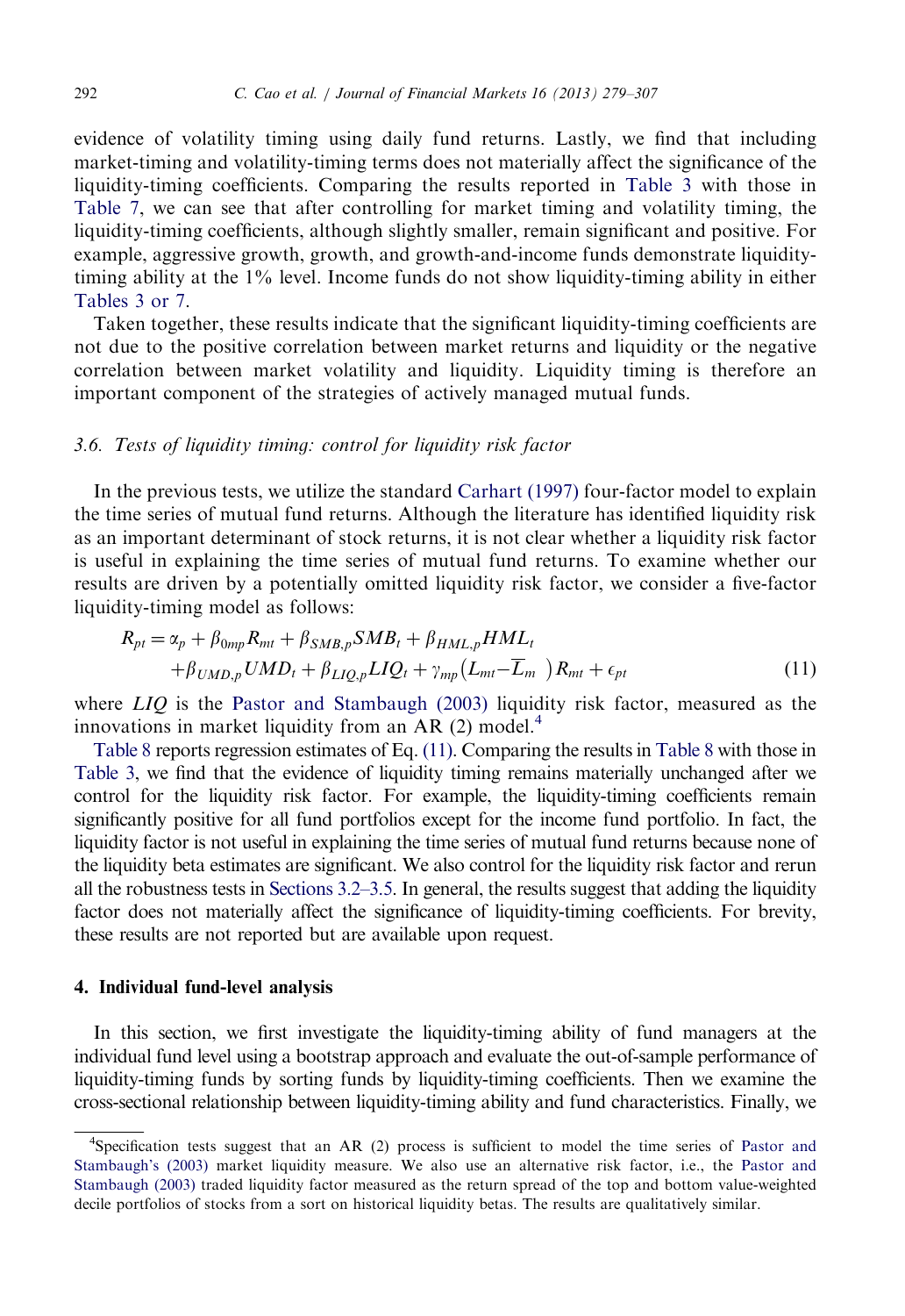<span id="page-13-0"></span>evidence of volatility timing using daily fund returns. Lastly, we find that including market-timing and volatility-timing terms does not materially affect the significance of the liquidity-timing coefficients. Comparing the results reported in [Table 3](#page-8-0) with those in [Table 7](#page-12-0), we can see that after controlling for market timing and volatility timing, the liquidity-timing coefficients, although slightly smaller, remain significant and positive. For example, aggressive growth, growth, and growth-and-income funds demonstrate liquiditytiming ability at the 1% level. Income funds do not show liquidity-timing ability in either [Tables 3 or 7.](#page-8-0)

Taken together, these results indicate that the significant liquidity-timing coefficients are not due to the positive correlation between market returns and liquidity or the negative correlation between market volatility and liquidity. Liquidity timing is therefore an important component of the strategies of actively managed mutual funds.

## 3.6. Tests of liquidity timing: control for liquidity risk factor

In the previous tests, we utilize the standard [Carhart \(1997\)](#page-27-0) four-factor model to explain the time series of mutual fund returns. Although the literature has identified liquidity risk as an important determinant of stock returns, it is not clear whether a liquidity risk factor is useful in explaining the time series of mutual fund returns. To examine whether our results are driven by a potentially omitted liquidity risk factor, we consider a five-factor liquidity-timing model as follows:

$$
R_{pt} = \alpha_p + \beta_{0mp} R_{mt} + \beta_{SMB,p} SMB_t + \beta_{HML,p} HML_t
$$
  
+ $\beta_{UMD,p} UMD_t + \beta_{LIQ,p} LIQ_t + \gamma_{mp} (L_{mt} - \overline{L}_m) R_{mt} + \epsilon_{pt}$  (11)

where  $LIO$  is the [Pastor and Stambaugh \(2003\)](#page-28-0) liquidity risk factor, measured as the innovations in market liquidity from an AR  $(2)$  model.<sup>4</sup>

[Table 8](#page-14-0) reports regression estimates of Eq. (11). Comparing the results in [Table 8](#page-14-0) with those in [Table 3,](#page-8-0) we find that the evidence of liquidity timing remains materially unchanged after we control for the liquidity risk factor. For example, the liquidity-timing coefficients remain significantly positive for all fund portfolios except for the income fund portfolio. In fact, the liquidity factor is not useful in explaining the time series of mutual fund returns because none of the liquidity beta estimates are significant. We also control for the liquidity risk factor and rerun all the robustness tests in [Sections 3.2–3.5.](#page-8-0) In general, the results suggest that adding the liquidity factor does not materially affect the significance of liquidity-timing coefficients. For brevity, these results are not reported but are available upon request.

## 4. Individual fund-level analysis

In this section, we first investigate the liquidity-timing ability of fund managers at the individual fund level using a bootstrap approach and evaluate the out-of-sample performance of liquidity-timing funds by sorting funds by liquidity-timing coefficients. Then we examine the cross-sectional relationship between liquidity-timing ability and fund characteristics. Finally, we

<sup>4</sup> Specification tests suggest that an AR (2) process is sufficient to model the time series of [Pastor and](#page-28-0) [Stambaugh's \(2003\)](#page-28-0) market liquidity measure. We also use an alternative risk factor, i.e., the [Pastor and](#page-28-0) [Stambaugh \(2003\)](#page-28-0) traded liquidity factor measured as the return spread of the top and bottom value-weighted decile portfolios of stocks from a sort on historical liquidity betas. The results are qualitatively similar.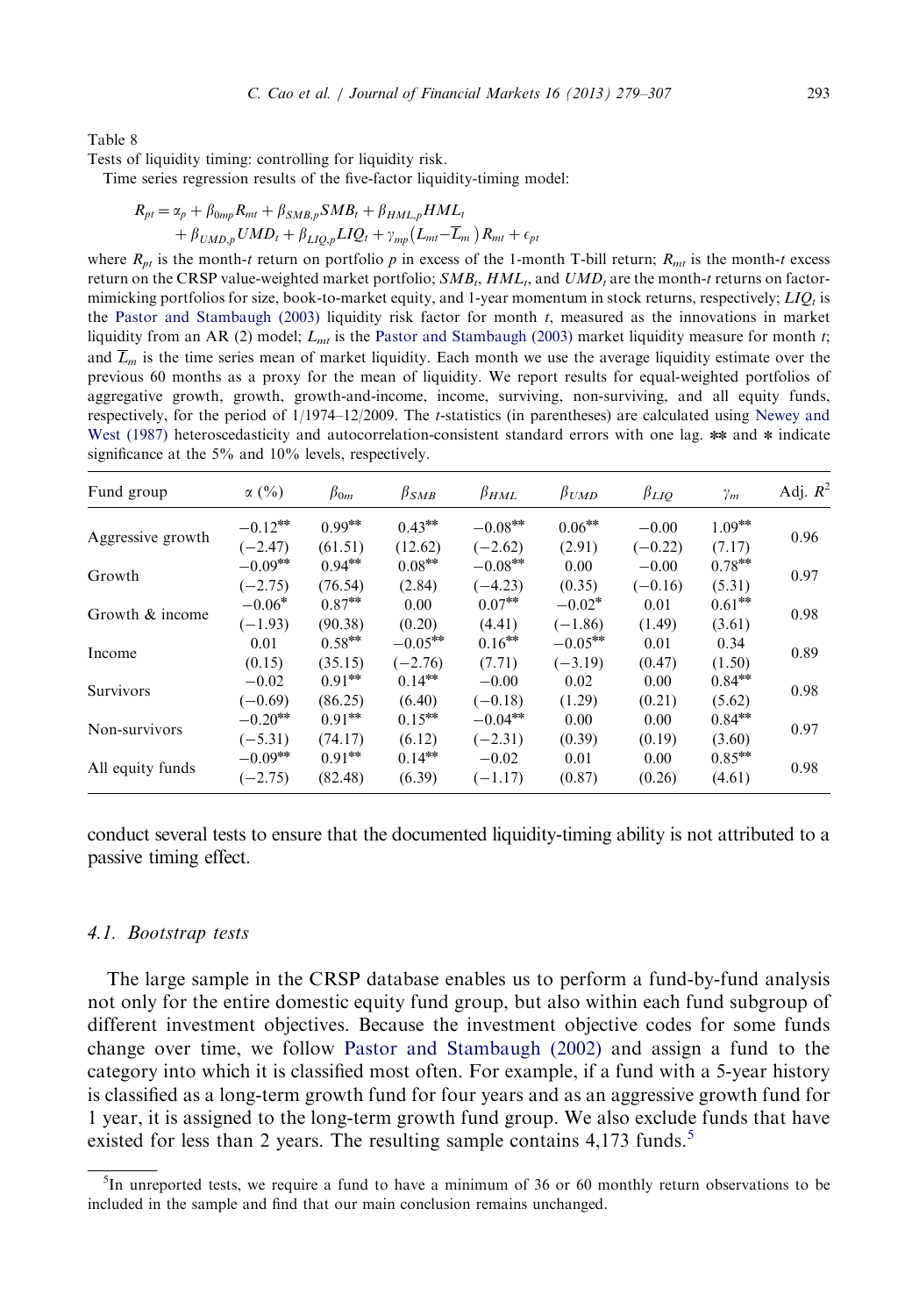<span id="page-14-0"></span>Tests of liquidity timing: controlling for liquidity risk.

Time series regression results of the five-factor liquidity-timing model:

$$
R_{pt} = \alpha_p + \beta_{0mp} R_{mt} + \beta_{SMB,p} SMB_t + \beta_{HML,p} HML_t
$$
  
+  $\beta_{UMD,p} UMD_t + \beta_{LIQ,p} LIQ_t + \gamma_{mp} (L_{mt} - \overline{L}_m) R_{mt} + \epsilon_{pt}$ 

where  $R_{pt}$  is the month-t return on portfolio p in excess of the 1-month T-bill return;  $R_{mt}$  is the month-t excess return on the CRSP value-weighted market portfolio;  $SMB_t, HML_t$ , and  $UMD_t$  are the month-t returns on factormimicking portfolios for size, book-to-market equity, and 1-year momentum in stock returns, respectively;  $LIQ_t$  is the [Pastor and Stambaugh \(2003\)](#page-28-0) liquidity risk factor for month t, measured as the innovations in market liquidity from an AR (2) model;  $L<sub>mt</sub>$  is the [Pastor and Stambaugh \(2003\)](#page-28-0) market liquidity measure for month t; and  $\overline{L}_m$  is the time series mean of market liquidity. Each month we use the average liquidity estimate over the previous 60 months as a proxy for the mean of liquidity. We report results for equal-weighted portfolios of aggregative growth, growth, growth-and-income, income, surviving, non-surviving, and all equity funds, respectively, for the period of 1/1974–12/2009. The t-statistics (in parentheses) are calculated using [Newey and](#page-28-0) [West \(1987\)](#page-28-0) heteroscedasticity and autocorrelation-consistent standard errors with one lag.  $**$  and  $*$  indicate significance at the 5% and 10% levels, respectively.

| Fund group        | $\alpha$ (%) | $\beta_{0m}$ | $\beta_{SMB}$ | $\beta_{HML}$     | $\beta_{UMD}$ | $\beta_{LIO}$ | $\gamma_m$ | Adj. $R^2$ |
|-------------------|--------------|--------------|---------------|-------------------|---------------|---------------|------------|------------|
|                   | $-0.12***$   | $0.99***$    | $0.43***$     | $-0.08^{\rm sec}$ | $0.06***$     | $-0.00$       | $1.09***$  |            |
| Aggressive growth | $(-2.47)$    | (61.51)      | (12.62)       | $(-2.62)$         | (2.91)        | $(-0.22)$     | (7.17)     | 0.96       |
| Growth            | $-0.09***$   | $0.94***$    | $0.08***$     | $-0.08***$        | 0.00          | $-0.00$       | $0.78***$  | 0.97       |
|                   | $(-2.75)$    | (76.54)      | (2.84)        | $(-4.23)$         | (0.35)        | $(-0.16)$     | (5.31)     |            |
| Growth & income   | $-0.06*$     | $0.87***$    | 0.00          | $0.07***$         | $-0.02*$      | 0.01          | $0.61***$  | 0.98       |
|                   | $(-1.93)$    | (90.38)      | (0.20)        | (4.41)            | $(-1.86)$     | (1.49)        | (3.61)     |            |
| Income            | 0.01         | $0.58***$    | $-0.05***$    | $0.16***$         | $-0.05***$    | 0.01          | 0.34       | 0.89       |
|                   | (0.15)       | (35.15)      | $(-2.76)$     | (7.71)            | $(-3.19)$     | (0.47)        | (1.50)     |            |
| Survivors         | $-0.02$      | $0.91***$    | $0.14***$     | $-0.00$           | 0.02          | 0.00          | $0.84***$  | 0.98       |
|                   | $(-0.69)$    | (86.25)      | (6.40)        | $(-0.18)$         | (1.29)        | (0.21)        | (5.62)     |            |
| Non-survivors     | $-0.20***$   | $0.91***$    | $0.15***$     | $-0.04***$        | 0.00          | 0.00          | $0.84***$  | 0.97       |
|                   | $(-5.31)$    | (74.17)      | (6.12)        | $(-2.31)$         | (0.39)        | (0.19)        | (3.60)     |            |
|                   | $-0.09***$   | $0.91***$    | $0.14***$     | $-0.02$           | 0.01          | 0.00          | $0.85***$  | 0.98       |
| All equity funds  | $(-2.75)$    | (82.48)      | (6.39)        | $(-1.17)$         | (0.87)        | (0.26)        | (4.61)     |            |

conduct several tests to ensure that the documented liquidity-timing ability is not attributed to a passive timing effect.

#### 4.1. Bootstrap tests

The large sample in the CRSP database enables us to perform a fund-by-fund analysis not only for the entire domestic equity fund group, but also within each fund subgroup of different investment objectives. Because the investment objective codes for some funds change over time, we follow [Pastor and Stambaugh \(2002\)](#page-28-0) and assign a fund to the category into which it is classified most often. For example, if a fund with a 5-year history is classified as a long-term growth fund for four years and as an aggressive growth fund for 1 year, it is assigned to the long-term growth fund group. We also exclude funds that have existed for less than 2 years. The resulting sample contains 4,173 funds.<sup>5</sup>

<sup>&</sup>lt;sup>5</sup>In unreported tests, we require a fund to have a minimum of 36 or 60 monthly return observations to be included in the sample and find that our main conclusion remains unchanged.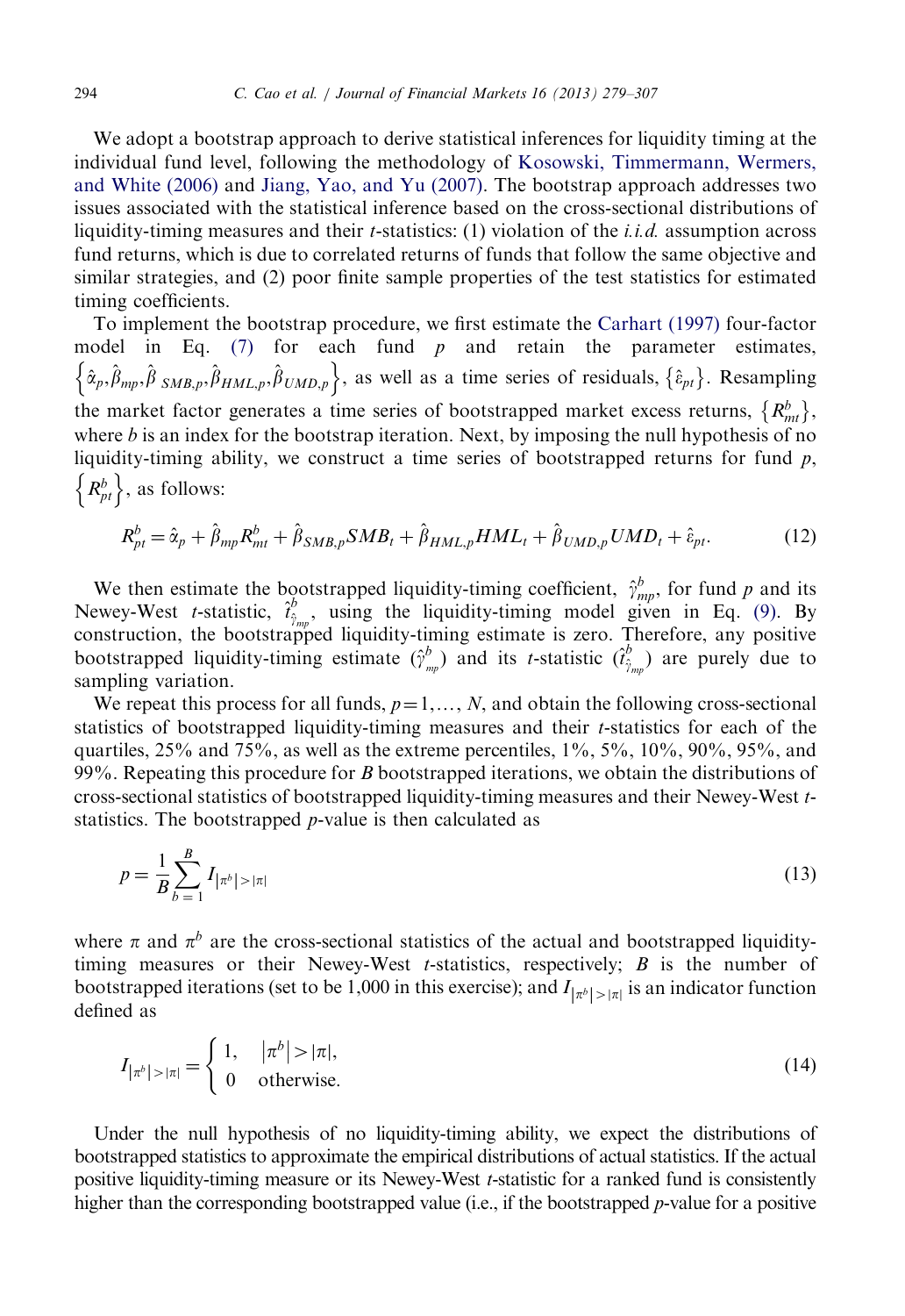We adopt a bootstrap approach to derive statistical inferences for liquidity timing at the individual fund level, following the methodology of [Kosowski, Timmermann, Wermers,](#page-28-0) [and White \(2006\)](#page-28-0) and [Jiang, Yao, and Yu \(2007\).](#page-28-0) The bootstrap approach addresses two issues associated with the statistical inference based on the cross-sectional distributions of liquidity-timing measures and their *t*-statistics: (1) violation of the *i.i.d.* assumption across fund returns, which is due to correlated returns of funds that follow the same objective and similar strategies, and (2) poor finite sample properties of the test statistics for estimated timing coefficients.

To implement the bootstrap procedure, we first estimate the [Carhart \(1997\)](#page-27-0) four-factor model in Eq.  $(7)$  for each fund p and retain the parameter estimates,  $\{\hat{\alpha}_p, \hat{\beta}_{mp}, \hat{\beta}_{SMB,p}, \hat{\beta}_{HML,p}, \hat{\beta}_{UMD,p}\}$ , as well as a time series of residuals,  $\{\hat{\epsilon}_{pt}\}$ . Resampling the market factor generates a time series of bootstrapped market excess returns,  $\{R_{mt}^b\}$ , where  $b$  is an index for the bootstrap iteration. Next, by imposing the null hypothesis of no liquidity-timing ability, we construct a time series of bootstrapped returns for fund  $p$ ,  $\{R_{pt}^b\}$ , as follows:

$$
R_{pt}^{b} = \hat{\alpha}_p + \hat{\beta}_{mp} R_{mt}^{b} + \hat{\beta}_{SMB,p} SMB_t + \hat{\beta}_{HML,p} HML_t + \hat{\beta}_{UMD,p} UMD_t + \hat{\epsilon}_{pt}.
$$
 (12)

We then estimate the bootstrapped liquidity-timing coefficient,  $\hat{\gamma}_{mp}^b$ , for fund p and its Newey-West *t*-statistic,  $\hat{t}_{\hat{\gamma}_{mp}}^b$ , using the liquidity-timing model given in Eq. (9). By construction, the bootstrapped liquidity-timing estimate is zero. Therefore, any positive bootstrapped liquidity-timing estimate  $(\hat{\gamma}_{mp}^b)$  and its *t*-statistic  $(\hat{\gamma}_{mp}^b)$  are purely due to sampling variation.

We repeat this process for all funds,  $p=1,\ldots,N$ , and obtain the following cross-sectional statistics of bootstrapped liquidity-timing measures and their t-statistics for each of the quartiles,  $25%$  and  $75%$ , as well as the extreme percentiles,  $1\%$ ,  $5\%$ ,  $10\%$ ,  $90\%$ ,  $95%$ , and 99%. Repeating this procedure for B bootstrapped iterations, we obtain the distributions of cross-sectional statistics of bootstrapped liquidity-timing measures and their Newey-West tstatistics. The bootstrapped p-value is then calculated as

$$
p = \frac{1}{B} \sum_{b=1}^{B} I_{|\pi^b| > |\pi|}
$$
\n(13)

where  $\pi$  and  $\pi^b$  are the cross-sectional statistics of the actual and bootstrapped liquiditytiming measures or their Newey-West *t*-statistics, respectively;  $B$  is the number of bootstrapped iterations (set to be 1,000 in this exercise); and  $I_{\vert \pi^b \vert > \vert \pi \vert}$  is an indicator function defined as

$$
I_{\left|\pi^{b}\right|>\left|\pi\right|} = \begin{cases} 1, & \left|\pi^{b}\right|>\left|\pi\right|, \\ 0 & \text{otherwise.} \end{cases} \tag{14}
$$

Under the null hypothesis of no liquidity-timing ability, we expect the distributions of bootstrapped statistics to approximate the empirical distributions of actual statistics. If the actual positive liquidity-timing measure or its Newey-West t-statistic for a ranked fund is consistently higher than the corresponding bootstrapped value (i.e., if the bootstrapped *p*-value for a positive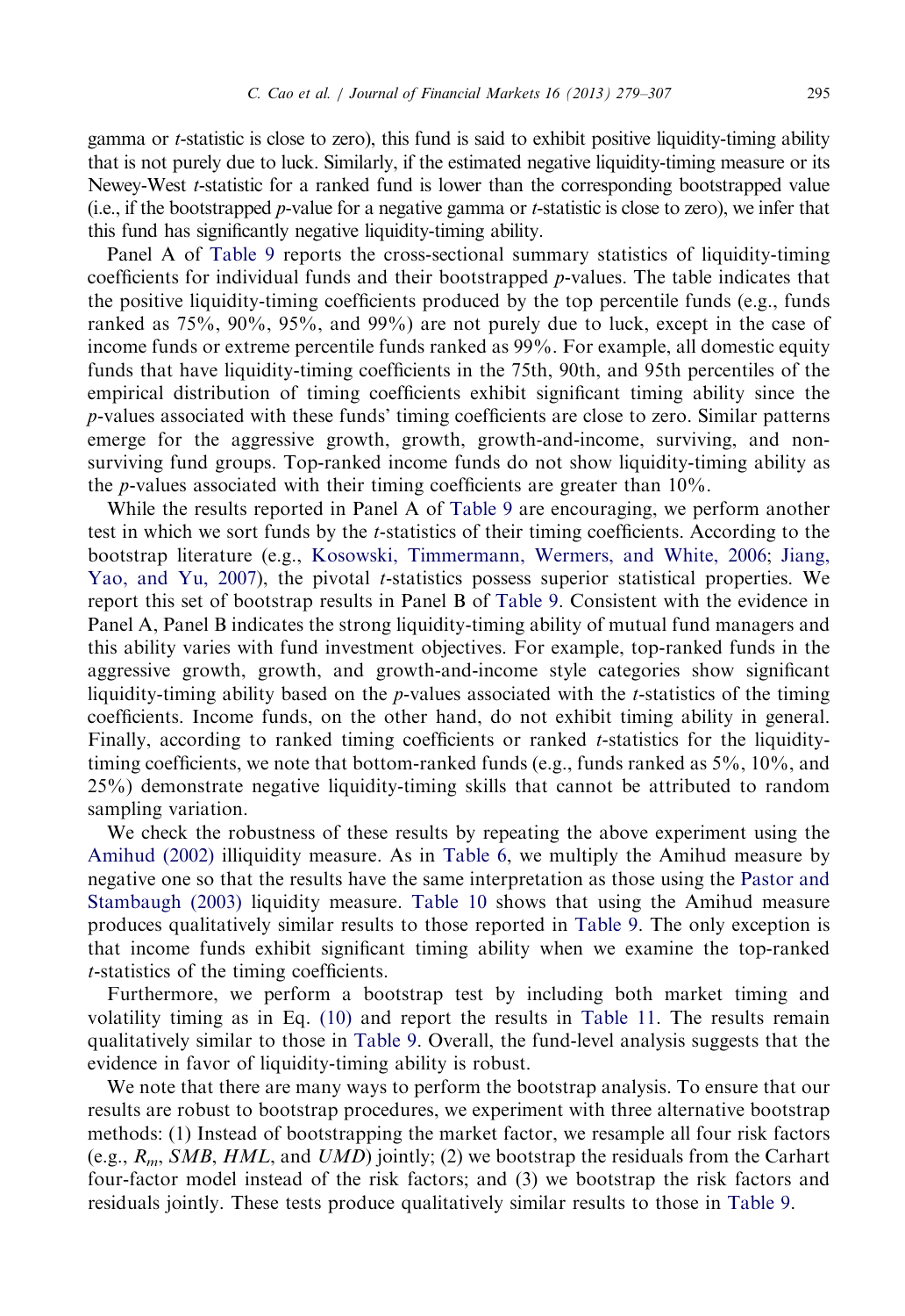gamma or t-statistic is close to zero), this fund is said to exhibit positive liquidity-timing ability that is not purely due to luck. Similarly, if the estimated negative liquidity-timing measure or its Newey-West *t*-statistic for a ranked fund is lower than the corresponding bootstrapped value (i.e., if the bootstrapped p-value for a negative gamma or t-statistic is close to zero), we infer that this fund has significantly negative liquidity-timing ability.

Panel A of [Table 9](#page-17-0) reports the cross-sectional summary statistics of liquidity-timing coefficients for individual funds and their bootstrapped p-values. The table indicates that the positive liquidity-timing coefficients produced by the top percentile funds (e.g., funds ranked as 75%, 90%, 95%, and 99%) are not purely due to luck, except in the case of income funds or extreme percentile funds ranked as 99%. For example, all domestic equity funds that have liquidity-timing coefficients in the 75th, 90th, and 95th percentiles of the empirical distribution of timing coefficients exhibit significant timing ability since the p-values associated with these funds' timing coefficients are close to zero. Similar patterns emerge for the aggressive growth, growth, growth-and-income, surviving, and nonsurviving fund groups. Top-ranked income funds do not show liquidity-timing ability as the p-values associated with their timing coefficients are greater than 10%.

While the results reported in Panel A of [Table 9](#page-17-0) are encouraging, we perform another test in which we sort funds by the t-statistics of their timing coefficients. According to the bootstrap literature (e.g., [Kosowski, Timmermann, Wermers, and White, 2006;](#page-28-0) [Jiang,](#page-28-0) [Yao, and Yu, 2007\)](#page-28-0), the pivotal t-statistics possess superior statistical properties. We report this set of bootstrap results in Panel B of [Table 9.](#page-17-0) Consistent with the evidence in Panel A, Panel B indicates the strong liquidity-timing ability of mutual fund managers and this ability varies with fund investment objectives. For example, top-ranked funds in the aggressive growth, growth, and growth-and-income style categories show significant liquidity-timing ability based on the  $p$ -values associated with the  $t$ -statistics of the timing coefficients. Income funds, on the other hand, do not exhibit timing ability in general. Finally, according to ranked timing coefficients or ranked  $t$ -statistics for the liquiditytiming coefficients, we note that bottom-ranked funds (e.g., funds ranked as 5%, 10%, and 25%) demonstrate negative liquidity-timing skills that cannot be attributed to random sampling variation.

We check the robustness of these results by repeating the above experiment using the [Amihud \(2002\)](#page-27-0) illiquidity measure. As in [Table 6](#page-11-0), we multiply the Amihud measure by negative one so that the results have the same interpretation as those using the [Pastor and](#page-28-0) [Stambaugh \(2003\)](#page-28-0) liquidity measure. [Table 10](#page-18-0) shows that using the Amihud measure produces qualitatively similar results to those reported in [Table 9](#page-17-0). The only exception is that income funds exhibit significant timing ability when we examine the top-ranked t-statistics of the timing coefficients.

Furthermore, we perform a bootstrap test by including both market timing and volatility timing as in Eq. (10) and report the results in [Table 11](#page-19-0). The results remain qualitatively similar to those in [Table 9.](#page-17-0) Overall, the fund-level analysis suggests that the evidence in favor of liquidity-timing ability is robust.

We note that there are many ways to perform the bootstrap analysis. To ensure that our results are robust to bootstrap procedures, we experiment with three alternative bootstrap methods: (1) Instead of bootstrapping the market factor, we resample all four risk factors (e.g.,  $R_m$ , SMB, HML, and UMD) jointly; (2) we bootstrap the residuals from the Carhart four-factor model instead of the risk factors; and (3) we bootstrap the risk factors and residuals jointly. These tests produce qualitatively similar results to those in [Table 9.](#page-17-0)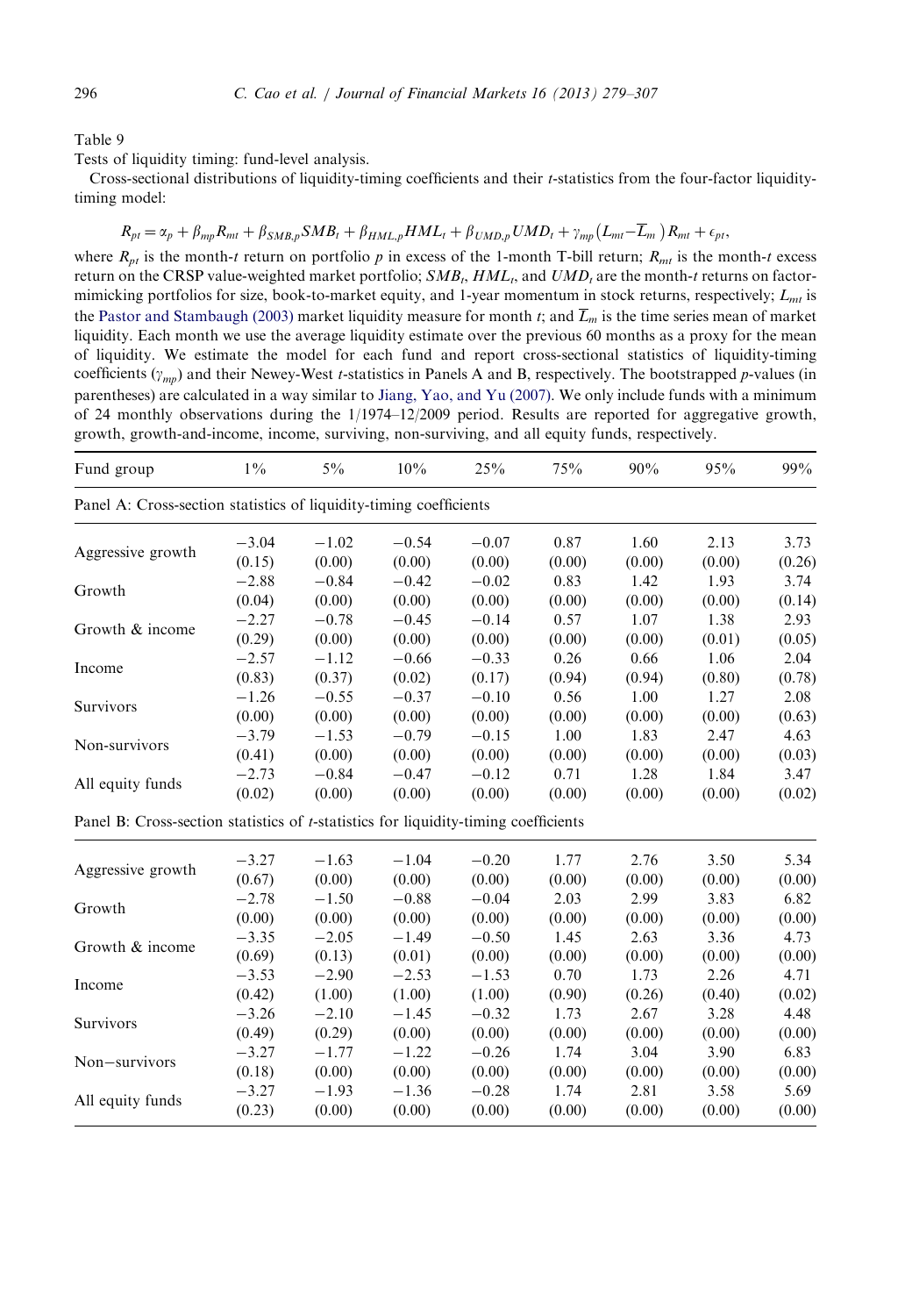<span id="page-17-0"></span>Tests of liquidity timing: fund-level analysis.

Cross-sectional distributions of liquidity-timing coefficients and their t-statistics from the four-factor liquiditytiming model:

$$
R_{pt} = \alpha_p + \beta_{mp} R_{mt} + \beta_{SMB,p} SMB_t + \beta_{HML,p} HML_t + \beta_{UMD,p} UMD_t + \gamma_{mp} (L_{mt} - \overline{L}_m) R_{mt} + \epsilon_{pt},
$$

where  $R_{pt}$  is the month-t return on portfolio p in excess of the 1-month T-bill return;  $R_{mt}$  is the month-t excess return on the CRSP value-weighted market portfolio;  $SMB_t, HML_t$ , and  $UMD_t$  are the month-t returns on factormimicking portfolios for size, book-to-market equity, and 1-year momentum in stock returns, respectively;  $L_{mt}$  is the [Pastor and Stambaugh \(2003\)](#page-28-0) market liquidity measure for month t; and  $\overline{L}_m$  is the time series mean of market liquidity. Each month we use the average liquidity estimate over the previous 60 months as a proxy for the mean of liquidity. We estimate the model for each fund and report cross-sectional statistics of liquidity-timing coefficients  $(\gamma_{mn})$  and their Newey-West *t*-statistics in Panels A and B, respectively. The bootstrapped *p*-values (in parentheses) are calculated in a way similar to [Jiang, Yao, and Yu \(2007\).](#page-28-0) We only include funds with a minimum of 24 monthly observations during the 1/1974–12/2009 period. Results are reported for aggregative growth, growth, growth-and-income, income, surviving, non-surviving, and all equity funds, respectively.

| Fund group                                                                                  | $1\%$   | $5\%$   | 10%     | 25%     | 75%    | 90%    | 95%    | 99%    |
|---------------------------------------------------------------------------------------------|---------|---------|---------|---------|--------|--------|--------|--------|
| Panel A: Cross-section statistics of liquidity-timing coefficients                          |         |         |         |         |        |        |        |        |
| Aggressive growth                                                                           | $-3.04$ | $-1.02$ | $-0.54$ | $-0.07$ | 0.87   | 1.60   | 2.13   | 3.73   |
|                                                                                             | (0.15)  | (0.00)  | (0.00)  | (0.00)  | (0.00) | (0.00) | (0.00) | (0.26) |
| Growth                                                                                      | $-2.88$ | $-0.84$ | $-0.42$ | $-0.02$ | 0.83   | 1.42   | 1.93   | 3.74   |
|                                                                                             | (0.04)  | (0.00)  | (0.00)  | (0.00)  | (0.00) | (0.00) | (0.00) | (0.14) |
| Growth & income                                                                             | $-2.27$ | $-0.78$ | $-0.45$ | $-0.14$ | 0.57   | 1.07   | 1.38   | 2.93   |
|                                                                                             | (0.29)  | (0.00)  | (0.00)  | (0.00)  | (0.00) | (0.00) | (0.01) | (0.05) |
|                                                                                             | $-2.57$ | $-1.12$ | $-0.66$ | $-0.33$ | 0.26   | 0.66   | 1.06   | 2.04   |
| Income                                                                                      | (0.83)  | (0.37)  | (0.02)  | (0.17)  | (0.94) | (0.94) | (0.80) | (0.78) |
| Survivors                                                                                   | $-1.26$ | $-0.55$ | $-0.37$ | $-0.10$ | 0.56   | 1.00   | 1.27   | 2.08   |
|                                                                                             | (0.00)  | (0.00)  | (0.00)  | (0.00)  | (0.00) | (0.00) | (0.00) | (0.63) |
| Non-survivors                                                                               | $-3.79$ | $-1.53$ | $-0.79$ | $-0.15$ | 1.00   | 1.83   | 2.47   | 4.63   |
|                                                                                             | (0.41)  | (0.00)  | (0.00)  | (0.00)  | (0.00) | (0.00) | (0.00) | (0.03) |
| All equity funds                                                                            | $-2.73$ | $-0.84$ | $-0.47$ | $-0.12$ | 0.71   | 1.28   | 1.84   | 3.47   |
|                                                                                             | (0.02)  | (0.00)  | (0.00)  | (0.00)  | (0.00) | (0.00) | (0.00) | (0.02) |
| Panel B: Cross-section statistics of <i>t</i> -statistics for liquidity-timing coefficients |         |         |         |         |        |        |        |        |
|                                                                                             | $-3.27$ | $-1.63$ | $-1.04$ | $-0.20$ | 1.77   | 2.76   | 3.50   | 5.34   |
| Aggressive growth                                                                           | (0.67)  | (0.00)  | (0.00)  | (0.00)  | (0.00) | (0.00) | (0.00) | (0.00) |
|                                                                                             | $-2.78$ | $-1.50$ | $-0.88$ | $-0.04$ | 2.03   | 2.99   | 3.83   | 6.82   |
| Growth                                                                                      | (0.00)  | (0.00)  | (0.00)  | (0.00)  | (0.00) | (0.00) | (0.00) | (0.00) |
|                                                                                             | $-3.35$ | $-2.05$ | $-1.49$ | $-0.50$ | 1.45   | 2.63   | 3.36   | 4.73   |
| Growth & income                                                                             | (0.69)  | (0.13)  | (0.01)  | (0.00)  | (0.00) | (0.00) | (0.00) | (0.00) |
|                                                                                             | $-3.53$ | $-2.90$ | $-2.53$ | $-1.53$ | 0.70   | 1.73   | 2.26   | 4.71   |
| Income                                                                                      | (0.42)  | (1.00)  | (1.00)  | (1.00)  | (0.90) | (0.26) | (0.40) | (0.02) |
|                                                                                             | $-3.26$ | $-2.10$ | $-1.45$ | $-0.32$ | 1.73   | 2.67   | 3.28   | 4.48   |
| Survivors                                                                                   | (0.49)  | (0.29)  | (0.00)  | (0.00)  | (0.00) | (0.00) | (0.00) | (0.00) |
|                                                                                             | $-3.27$ | $-1.77$ | $-1.22$ | $-0.26$ | 1.74   | 3.04   | 3.90   | 6.83   |
| Non-survivors                                                                               | (0.18)  | (0.00)  | (0.00)  | (0.00)  | (0.00) | (0.00) | (0.00) | (0.00) |
|                                                                                             | $-3.27$ | $-1.93$ | $-1.36$ | $-0.28$ | 1.74   | 2.81   | 3.58   | 5.69   |
| All equity funds                                                                            | (0.23)  | (0.00)  | (0.00)  | (0.00)  | (0.00) | (0.00) | (0.00) | (0.00) |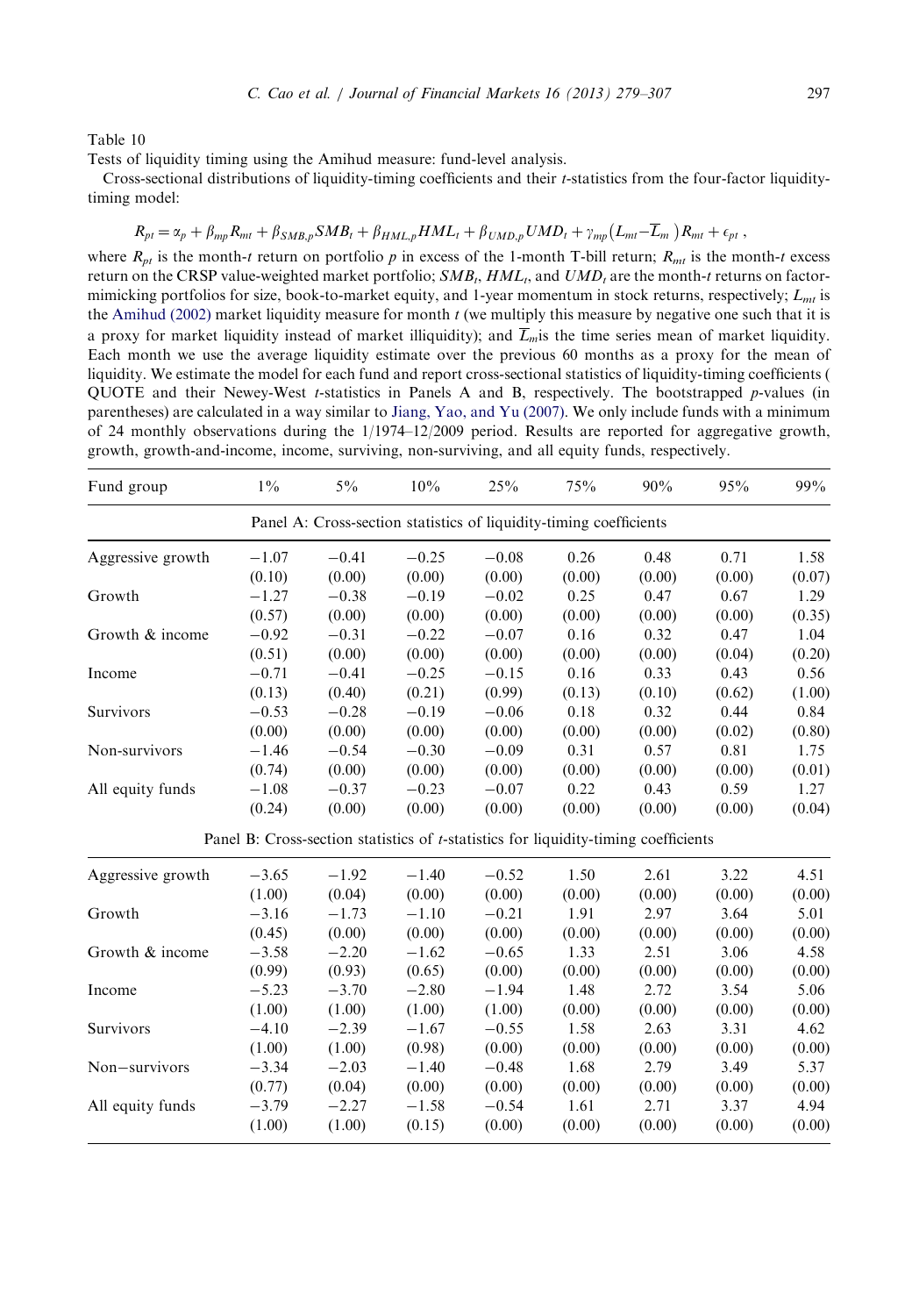<span id="page-18-0"></span>Tests of liquidity timing using the Amihud measure: fund-level analysis.

Cross-sectional distributions of liquidity-timing coefficients and their t-statistics from the four-factor liquiditytiming model:

## $R_{pt} = \alpha_p + \beta_{mp} R_{mt} + \beta_{SMB,p} SMB_t + \beta_{HML,p} HML_t + \beta_{UMD,p} UMD_t + \gamma_{mp} (L_{mt}-\overline{L}_m) R_{mt} + \epsilon_{pt}$

where  $R_{nt}$  is the month-t return on portfolio p in excess of the 1-month T-bill return;  $R_{nt}$  is the month-t excess return on the CRSP value-weighted market portfolio;  $SMB_t, HML_t$ , and  $UMD_t$  are the month-t returns on factormimicking portfolios for size, book-to-market equity, and 1-year momentum in stock returns, respectively;  $L_{mt}$  is the [Amihud \(2002\)](#page-27-0) market liquidity measure for month  $t$  (we multiply this measure by negative one such that it is a proxy for market liquidity instead of market illiquidity); and  $\overline{L}_m$  is the time series mean of market liquidity. Each month we use the average liquidity estimate over the previous 60 months as a proxy for the mean of liquidity. We estimate the model for each fund and report cross-sectional statistics of liquidity-timing coefficients ( QUOTE and their Newey-West t-statistics in Panels A and B, respectively. The bootstrapped p-values (in parentheses) are calculated in a way similar to [Jiang, Yao, and Yu \(2007\).](#page-28-0) We only include funds with a minimum of 24 monthly observations during the 1/1974–12/2009 period. Results are reported for aggregative growth, growth, growth-and-income, income, surviving, non-surviving, and all equity funds, respectively.

| Fund group        | $1\%$   | $5\%$                                                                                       | 10%     | 25%     | 75%    | 90%    | 95%    | 99%    |
|-------------------|---------|---------------------------------------------------------------------------------------------|---------|---------|--------|--------|--------|--------|
|                   |         | Panel A: Cross-section statistics of liquidity-timing coefficients                          |         |         |        |        |        |        |
| Aggressive growth | $-1.07$ | $-0.41$                                                                                     | $-0.25$ | $-0.08$ | 0.26   | 0.48   | 0.71   | 1.58   |
|                   | (0.10)  | (0.00)                                                                                      | (0.00)  | (0.00)  | (0.00) | (0.00) | (0.00) | (0.07) |
| Growth            | $-1.27$ | $-0.38$                                                                                     | $-0.19$ | $-0.02$ | 0.25   | 0.47   | 0.67   | 1.29   |
|                   | (0.57)  | (0.00)                                                                                      | (0.00)  | (0.00)  | (0.00) | (0.00) | (0.00) | (0.35) |
| Growth & income   | $-0.92$ | $-0.31$                                                                                     | $-0.22$ | $-0.07$ | 0.16   | 0.32   | 0.47   | 1.04   |
|                   | (0.51)  | (0.00)                                                                                      | (0.00)  | (0.00)  | (0.00) | (0.00) | (0.04) | (0.20) |
| Income            | $-0.71$ | $-0.41$                                                                                     | $-0.25$ | $-0.15$ | 0.16   | 0.33   | 0.43   | 0.56   |
|                   | (0.13)  | (0.40)                                                                                      | (0.21)  | (0.99)  | (0.13) | (0.10) | (0.62) | (1.00) |
| Survivors         | $-0.53$ | $-0.28$                                                                                     | $-0.19$ | $-0.06$ | 0.18   | 0.32   | 0.44   | 0.84   |
|                   | (0.00)  | (0.00)                                                                                      | (0.00)  | (0.00)  | (0.00) | (0.00) | (0.02) | (0.80) |
| Non-survivors     | $-1.46$ | $-0.54$                                                                                     | $-0.30$ | $-0.09$ | 0.31   | 0.57   | 0.81   | 1.75   |
|                   | (0.74)  | (0.00)                                                                                      | (0.00)  | (0.00)  | (0.00) | (0.00) | (0.00) | (0.01) |
| All equity funds  | $-1.08$ | $-0.37$                                                                                     | $-0.23$ | $-0.07$ | 0.22   | 0.43   | 0.59   | 1.27   |
|                   | (0.24)  | (0.00)                                                                                      | (0.00)  | (0.00)  | (0.00) | (0.00) | (0.00) | (0.04) |
|                   |         | Panel B: Cross-section statistics of <i>t</i> -statistics for liquidity-timing coefficients |         |         |        |        |        |        |
| Aggressive growth | $-3.65$ | $-1.92$                                                                                     | $-1.40$ | $-0.52$ | 1.50   | 2.61   | 3.22   | 4.51   |
|                   | (1.00)  | (0.04)                                                                                      | (0.00)  | (0.00)  | (0.00) | (0.00) | (0.00) | (0.00) |
| Growth            | $-3.16$ | $-1.73$                                                                                     | $-1.10$ | $-0.21$ | 1.91   | 2.97   | 3.64   | 5.01   |
|                   | (0.45)  | (0.00)                                                                                      | (0.00)  | (0.00)  | (0.00) | (0.00) | (0.00) | (0.00) |
| Growth & income   | $-3.58$ | $-2.20$                                                                                     | $-1.62$ | $-0.65$ | 1.33   | 2.51   | 3.06   | 4.58   |
|                   | (0.99)  | (0.93)                                                                                      | (0.65)  | (0.00)  | (0.00) | (0.00) | (0.00) | (0.00) |
| Income            | $-5.23$ | $-3.70$                                                                                     | $-2.80$ | $-1.94$ | 1.48   | 2.72   | 3.54   | 5.06   |
|                   | (1.00)  | (1.00)                                                                                      | (1.00)  | (1.00)  | (0.00) | (0.00) | (0.00) | (0.00) |
| Survivors         | $-4.10$ | $-2.39$                                                                                     | $-1.67$ | $-0.55$ | 1.58   | 2.63   | 3.31   | 4.62   |
|                   | (1.00)  | (1.00)                                                                                      | (0.98)  | (0.00)  | (0.00) | (0.00) | (0.00) | (0.00) |
| Non-survivors     | $-3.34$ | $-2.03$                                                                                     | $-1.40$ | $-0.48$ | 1.68   | 2.79   | 3.49   | 5.37   |
|                   | (0.77)  | (0.04)                                                                                      | (0.00)  | (0.00)  | (0.00) | (0.00) | (0.00) | (0.00) |
| All equity funds  | $-3.79$ | $-2.27$                                                                                     | $-1.58$ | $-0.54$ | 1.61   | 2.71   | 3.37   | 4.94   |
|                   | (1.00)  | (1.00)                                                                                      | (0.15)  | (0.00)  | (0.00) | (0.00) | (0.00) | (0.00) |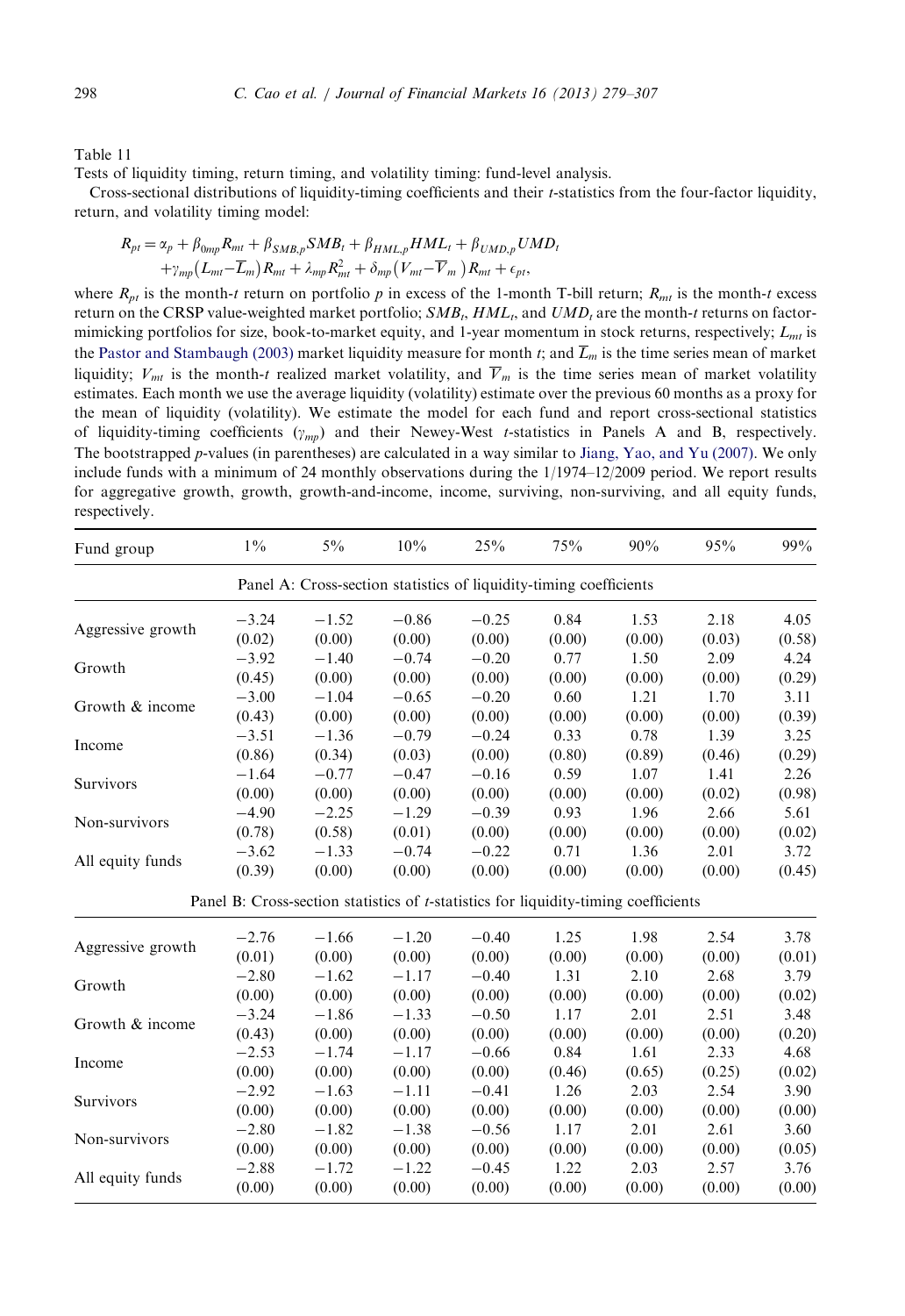<span id="page-19-0"></span>Tests of liquidity timing, return timing, and volatility timing: fund-level analysis.

Cross-sectional distributions of liquidity-timing coefficients and their t-statistics from the four-factor liquidity, return, and volatility timing model:

$$
R_{pt} = \alpha_p + \beta_{0mp} R_{mt} + \beta_{SMB,p} SMB_t + \beta_{HML,p} HML_t + \beta_{UMD,p} UMD_t
$$
  
+ $\gamma_{mp} (L_{mt} - \overline{L}_m) R_{mt} + \lambda_{mp} R_{mt}^2 + \delta_{mp} (V_{mt} - \overline{V}_m) R_{mt} + \epsilon_{pt},$ 

where  $R_{pt}$  is the month-t return on portfolio p in excess of the 1-month T-bill return;  $R_{mt}$  is the month-t excess return on the CRSP value-weighted market portfolio;  $SMB_t, HML_t$ , and  $UMD_t$  are the month-t returns on factormimicking portfolios for size, book-to-market equity, and 1-year momentum in stock returns, respectively;  $L_{mt}$  is the [Pastor and Stambaugh \(2003\)](#page-28-0) market liquidity measure for month t; and  $\overline{L}_m$  is the time series mean of market liquidity;  $V_{mt}$  is the month-t realized market volatility, and  $\overline{V}_m$  is the time series mean of market volatility estimates. Each month we use the average liquidity (volatility) estimate over the previous 60 months as a proxy for the mean of liquidity (volatility). We estimate the model for each fund and report cross-sectional statistics of liquidity-timing coefficients  $(y_{mn})$  and their Newey-West t-statistics in Panels A and B, respectively. The bootstrapped p-values (in parentheses) are calculated in a way similar to [Jiang, Yao, and Yu \(2007\).](#page-28-0) We only include funds with a minimum of 24 monthly observations during the 1/1974–12/2009 period. We report results for aggregative growth, growth, growth-and-income, income, surviving, non-surviving, and all equity funds, respectively.

| Fund group        | $1\%$   | $5\%$                                                                                       | 10%     | 25%     | 75%    | 90%    | 95%    | 99%    |
|-------------------|---------|---------------------------------------------------------------------------------------------|---------|---------|--------|--------|--------|--------|
|                   |         | Panel A: Cross-section statistics of liquidity-timing coefficients                          |         |         |        |        |        |        |
| Aggressive growth | $-3.24$ | $-1.52$                                                                                     | $-0.86$ | $-0.25$ | 0.84   | 1.53   | 2.18   | 4.05   |
|                   | (0.02)  | (0.00)                                                                                      | (0.00)  | (0.00)  | (0.00) | (0.00) | (0.03) | (0.58) |
| Growth            | $-3.92$ | $-1.40$                                                                                     | $-0.74$ | $-0.20$ | 0.77   | 1.50   | 2.09   | 4.24   |
|                   | (0.45)  | (0.00)                                                                                      | (0.00)  | (0.00)  | (0.00) | (0.00) | (0.00) | (0.29) |
| Growth & income   | $-3.00$ | $-1.04$                                                                                     | $-0.65$ | $-0.20$ | 0.60   | 1.21   | 1.70   | 3.11   |
|                   | (0.43)  | (0.00)                                                                                      | (0.00)  | (0.00)  | (0.00) | (0.00) | (0.00) | (0.39) |
| Income            | $-3.51$ | $-1.36$                                                                                     | $-0.79$ | $-0.24$ | 0.33   | 0.78   | 1.39   | 3.25   |
|                   | (0.86)  | (0.34)                                                                                      | (0.03)  | (0.00)  | (0.80) | (0.89) | (0.46) | (0.29) |
| Survivors         | $-1.64$ | $-0.77$                                                                                     | $-0.47$ | $-0.16$ | 0.59   | 1.07   | 1.41   | 2.26   |
|                   | (0.00)  | (0.00)                                                                                      | (0.00)  | (0.00)  | (0.00) | (0.00) | (0.02) | (0.98) |
| Non-survivors     | $-4.90$ | $-2.25$                                                                                     | $-1.29$ | $-0.39$ | 0.93   | 1.96   | 2.66   | 5.61   |
|                   | (0.78)  | (0.58)                                                                                      | (0.01)  | (0.00)  | (0.00) | (0.00) | (0.00) | (0.02) |
| All equity funds  | $-3.62$ | $-1.33$                                                                                     | $-0.74$ | $-0.22$ | 0.71   | 1.36   | 2.01   | 3.72   |
|                   | (0.39)  | (0.00)                                                                                      | (0.00)  | (0.00)  | (0.00) | (0.00) | (0.00) | (0.45) |
|                   |         | Panel B: Cross-section statistics of <i>t</i> -statistics for liquidity-timing coefficients |         |         |        |        |        |        |
| Aggressive growth | $-2.76$ | $-1.66$                                                                                     | $-1.20$ | $-0.40$ | 1.25   | 1.98   | 2.54   | 3.78   |
|                   | (0.01)  | (0.00)                                                                                      | (0.00)  | (0.00)  | (0.00) | (0.00) | (0.00) | (0.01) |
| Growth            | $-2.80$ | $-1.62$                                                                                     | $-1.17$ | $-0.40$ | 1.31   | 2.10   | 2.68   | 3.79   |
|                   | (0.00)  | (0.00)                                                                                      | (0.00)  | (0.00)  | (0.00) | (0.00) | (0.00) | (0.02) |
|                   | $-3.24$ | $-1.86$                                                                                     | $-1.33$ | $-0.50$ | 1.17   | 2.01   | 2.51   | 3.48   |
| Growth & income   | (0.43)  | (0.00)                                                                                      | (0.00)  | (0.00)  | (0.00) | (0.00) | (0.00) | (0.20) |
|                   | $-2.53$ | $-1.74$                                                                                     | $-1.17$ | $-0.66$ | 0.84   | 1.61   | 2.33   | 4.68   |
| Income            | (0.00)  | (0.00)                                                                                      | (0.00)  | (0.00)  | (0.46) | (0.65) | (0.25) | (0.02) |
|                   | $-2.92$ | $-1.63$                                                                                     | $-1.11$ | $-0.41$ | 1.26   | 2.03   | 2.54   | 3.90   |
| Survivors         | (0.00)  | (0.00)                                                                                      | (0.00)  | (0.00)  | (0.00) | (0.00) | (0.00) | (0.00) |
|                   | $-2.80$ | $-1.82$                                                                                     | $-1.38$ | $-0.56$ | 1.17   | 2.01   | 2.61   | 3.60   |
| Non-survivors     | (0.00)  | (0.00)                                                                                      | (0.00)  | (0.00)  | (0.00) | (0.00) | (0.00) | (0.05) |
|                   | $-2.88$ | $-1.72$                                                                                     | $-1.22$ | $-0.45$ | 1.22   | 2.03   | 2.57   | 3.76   |
| All equity funds  | (0.00)  | (0.00)                                                                                      | (0.00)  | (0.00)  | (0.00) | (0.00) | (0.00) | (0.00) |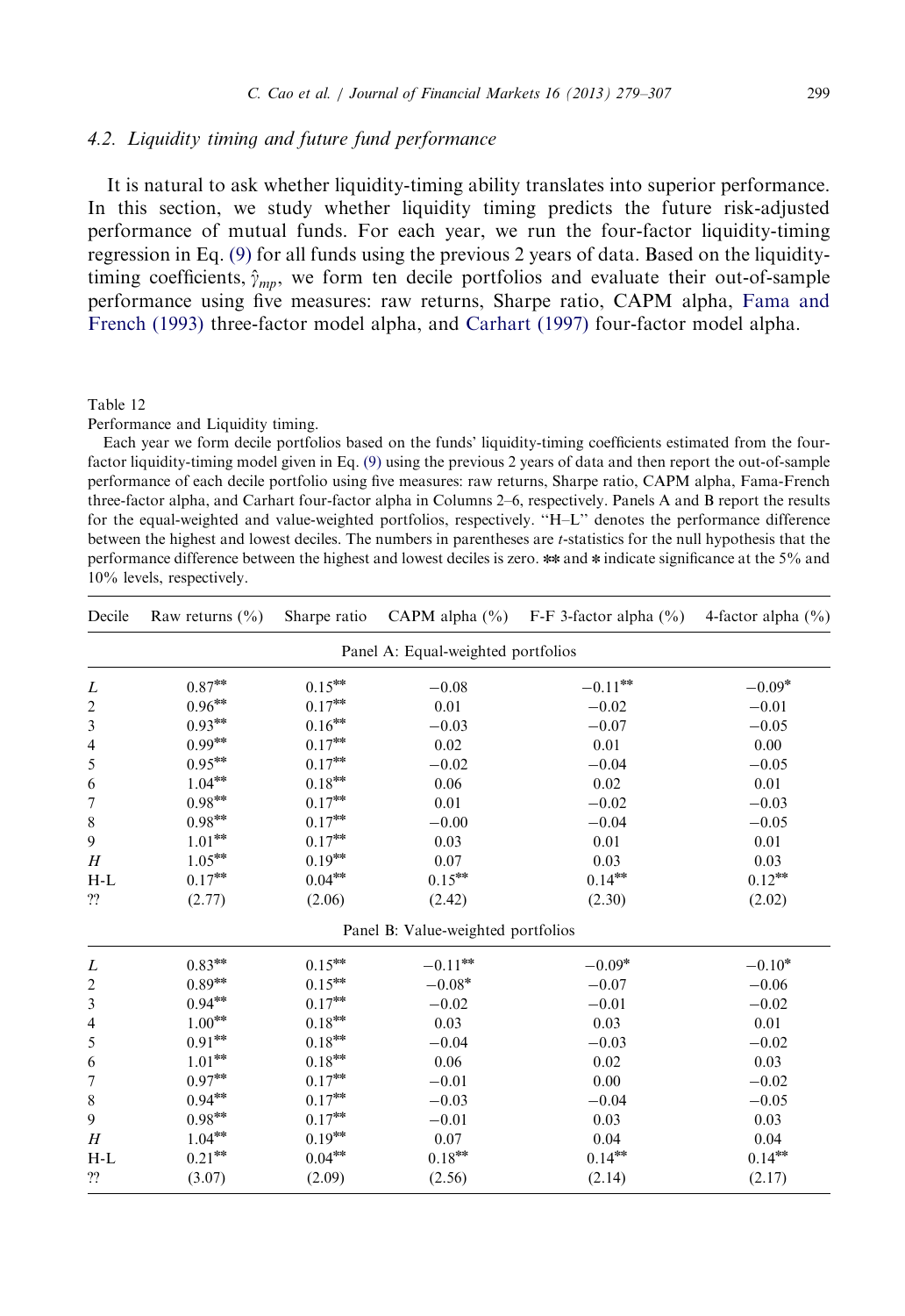## <span id="page-20-0"></span>4.2. Liquidity timing and future fund performance

It is natural to ask whether liquidity-timing ability translates into superior performance. In this section, we study whether liquidity timing predicts the future risk-adjusted performance of mutual funds. For each year, we run the four-factor liquidity-timing regression in Eq. (9) for all funds using the previous 2 years of data. Based on the liquiditytiming coefficients,  $\hat{\gamma}_{mn}$ , we form ten decile portfolios and evaluate their out-of-sample performance using five measures: raw returns, Sharpe ratio, CAPM alpha, [Fama and](#page-28-0) [French \(1993\)](#page-28-0) three-factor model alpha, and [Carhart \(1997\)](#page-27-0) four-factor model alpha.

#### Table 12

Performance and Liquidity timing.

Each year we form decile portfolios based on the funds' liquidity-timing coefficients estimated from the fourfactor liquidity-timing model given in Eq. (9) using the previous 2 years of data and then report the out-of-sample performance of each decile portfolio using five measures: raw returns, Sharpe ratio, CAPM alpha, Fama-French three-factor alpha, and Carhart four-factor alpha in Columns 2–6, respectively. Panels A and B report the results for the equal-weighted and value-weighted portfolios, respectively. ''H–L'' denotes the performance difference between the highest and lowest deciles. The numbers in parentheses are t-statistics for the null hypothesis that the performance difference between the highest and lowest deciles is zero. \*\* and \* indicate significance at the 5% and 10% levels, respectively.

| Decile         | Raw returns $(\% )$                | Sharpe ratio               |                                    | CAPM alpha $(\% )$ F-F 3-factor alpha $(\% )$ | 4-factor alpha $(\% )$ |  |  |  |  |  |  |
|----------------|------------------------------------|----------------------------|------------------------------------|-----------------------------------------------|------------------------|--|--|--|--|--|--|
|                | Panel A: Equal-weighted portfolios |                            |                                    |                                               |                        |  |  |  |  |  |  |
| L              | $0.87^{\ast\!\ast}$                | $0.15***$                  | $-0.08$                            | $-0.11***$                                    | $-0.09*$               |  |  |  |  |  |  |
| $\mathfrak{2}$ | $0.96^{\ast\ast}$                  | $0.17^{*\!*}$              | 0.01                               | $-0.02$                                       | $-0.01$                |  |  |  |  |  |  |
| 3              | $0.93***$                          | $0.16***$                  | $-0.03$                            | $-0.07$                                       | $-0.05$                |  |  |  |  |  |  |
| 4              | $0.99***$                          | $0.17^{*\!\times\!\times}$ | 0.02                               | $0.01\,$                                      | 0.00                   |  |  |  |  |  |  |
| 5              | $0.95***$                          | $0.17^{*\!\!*\!\!*\!\!*}$  | $-0.02$                            | $-0.04$                                       | $-0.05$                |  |  |  |  |  |  |
| 6              | $1.04^{\ast\!\ast\!\ast}$          | $0.18^{\ast\!\ast\!\ast}$  | 0.06                               | 0.02                                          | 0.01                   |  |  |  |  |  |  |
| 7              | $0.98^{\ast\!\ast\!\ast}$          | $0.17^{*\!\times\!\times}$ | 0.01                               | $-0.02$                                       | $-0.03$                |  |  |  |  |  |  |
| 8              | $0.98^{\ast\!\ast\!\ast}$          | $0.17^{*\!\times\!*}$      | $-0.00$                            | $-0.04$                                       | $-0.05$                |  |  |  |  |  |  |
| 9              | $1.01***$                          | $0.17^{*\!\times\!\times}$ | 0.03                               | 0.01                                          | 0.01                   |  |  |  |  |  |  |
| H              | $1.05^{\rm{***}}$                  | $0.19***$                  | 0.07                               | 0.03                                          | 0.03                   |  |  |  |  |  |  |
| $H-L$          | $0.17***$                          | $0.04***$                  | $0.15***$                          | $0.14***$                                     | $0.12***$              |  |  |  |  |  |  |
| ??             | (2.77)                             | (2.06)                     | (2.42)                             | (2.30)                                        | (2.02)                 |  |  |  |  |  |  |
|                |                                    |                            | Panel B: Value-weighted portfolios |                                               |                        |  |  |  |  |  |  |
| L              | $0.83***$                          | $0.15***$                  | $-0.11^{\rm{***}}$                 | $-0.09*$                                      | $-0.10*$               |  |  |  |  |  |  |
| $\overline{c}$ | $0.89^{*\!*}$                      | $0.15***$                  | $-0.08*$                           | $-0.07$                                       | $-0.06$                |  |  |  |  |  |  |
| 3              | $0.94^{\ast\!\ast\!\ast}$          | $0.17^{*\!\times\!*}$      | $-0.02$                            | $-0.01$                                       | $-0.02$                |  |  |  |  |  |  |
| 4              | $1.00***$                          | $0.18^{*\!\times\!*}$      | 0.03                               | 0.03                                          | 0.01                   |  |  |  |  |  |  |
| 5              | $0.91^{\ast\!\ast\!\ast}$          | $0.18***$                  | $-0.04$                            | $-0.03$                                       | $-0.02$                |  |  |  |  |  |  |
| 6              | $1.01^{*\!\times\!*}$              | $0.18***$                  | 0.06                               | 0.02                                          | 0.03                   |  |  |  |  |  |  |
| 7              | $0.97^{\ast\!\ast\!\ast}$          | $0.17^{*\!\times\!\times}$ | $-0.01$                            | 0.00                                          | $-0.02$                |  |  |  |  |  |  |
| 8              | $0.94**$                           | $0.17***$                  | $-0.03$                            | $-0.04$                                       | $-0.05$                |  |  |  |  |  |  |
| 9              | $0.98***$                          | $0.17^{*\!\times\!\times}$ | $-0.01$                            | 0.03                                          | 0.03                   |  |  |  |  |  |  |
| H              | $1.04***$                          | $0.19***$                  | $0.07\,$                           | 0.04                                          | 0.04                   |  |  |  |  |  |  |
| $H-L$          | $0.21***$                          | $0.04***$                  | $0.18***$                          | $0.14***$                                     | $0.14***$              |  |  |  |  |  |  |
| ??             | (3.07)                             | (2.09)                     | (2.56)                             | (2.14)                                        | (2.17)                 |  |  |  |  |  |  |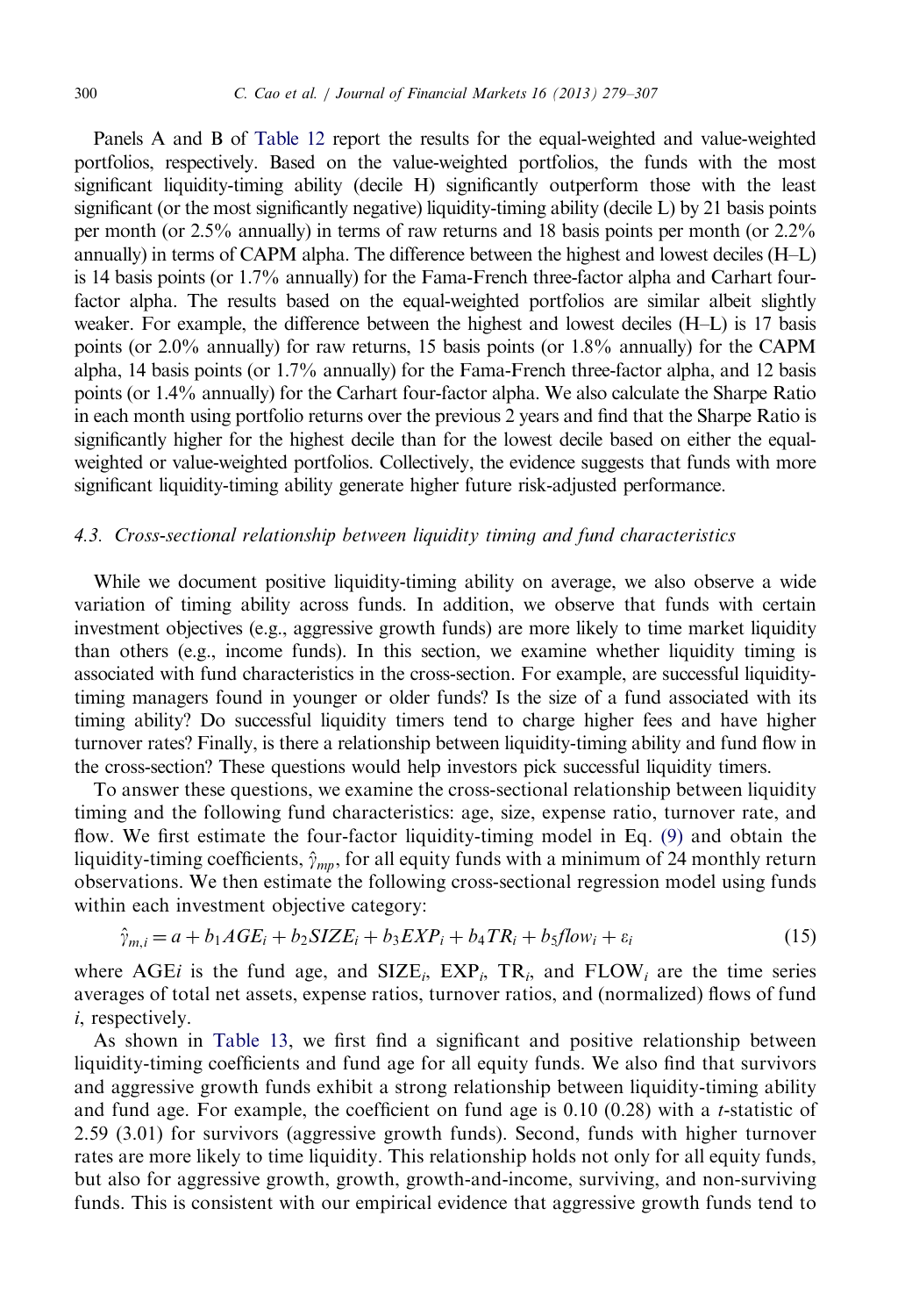Panels A and B of [Table 12](#page-20-0) report the results for the equal-weighted and value-weighted portfolios, respectively. Based on the value-weighted portfolios, the funds with the most significant liquidity-timing ability (decile H) significantly outperform those with the least significant (or the most significantly negative) liquidity-timing ability (decile L) by 21 basis points per month (or 2.5% annually) in terms of raw returns and 18 basis points per month (or 2.2% annually) in terms of CAPM alpha. The difference between the highest and lowest deciles (H–L) is 14 basis points (or 1.7% annually) for the Fama-French three-factor alpha and Carhart fourfactor alpha. The results based on the equal-weighted portfolios are similar albeit slightly weaker. For example, the difference between the highest and lowest deciles (H–L) is 17 basis points (or 2.0% annually) for raw returns, 15 basis points (or 1.8% annually) for the CAPM alpha, 14 basis points (or 1.7% annually) for the Fama-French three-factor alpha, and 12 basis points (or 1.4% annually) for the Carhart four-factor alpha. We also calculate the Sharpe Ratio in each month using portfolio returns over the previous 2 years and find that the Sharpe Ratio is significantly higher for the highest decile than for the lowest decile based on either the equalweighted or value-weighted portfolios. Collectively, the evidence suggests that funds with more significant liquidity-timing ability generate higher future risk-adjusted performance.

## 4.3. Cross-sectional relationship between liquidity timing and fund characteristics

While we document positive liquidity-timing ability on average, we also observe a wide variation of timing ability across funds. In addition, we observe that funds with certain investment objectives (e.g., aggressive growth funds) are more likely to time market liquidity than others (e.g., income funds). In this section, we examine whether liquidity timing is associated with fund characteristics in the cross-section. For example, are successful liquiditytiming managers found in younger or older funds? Is the size of a fund associated with its timing ability? Do successful liquidity timers tend to charge higher fees and have higher turnover rates? Finally, is there a relationship between liquidity-timing ability and fund flow in the cross-section? These questions would help investors pick successful liquidity timers.

To answer these questions, we examine the cross-sectional relationship between liquidity timing and the following fund characteristics: age, size, expense ratio, turnover rate, and flow. We first estimate the four-factor liquidity-timing model in Eq. (9) and obtain the liquidity-timing coefficients,  $\hat{\gamma}_{mn}$ , for all equity funds with a minimum of 24 monthly return observations. We then estimate the following cross-sectional regression model using funds within each investment objective category:

$$
\hat{\gamma}_{m,i} = a + b_1 A G E_i + b_2 S I Z E_i + b_3 E X P_i + b_4 T R_i + b_5 f l \omega_i + \varepsilon_i
$$
\n(15)

where AGEi is the fund age, and  $SIZE_i$ ,  $EXP_i$ ,  $TR_i$ , and  $FLOW_i$  are the time series averages of total net assets, expense ratios, turnover ratios, and (normalized) flows of fund i, respectively.

As shown in [Table 13](#page-22-0), we first find a significant and positive relationship between liquidity-timing coefficients and fund age for all equity funds. We also find that survivors and aggressive growth funds exhibit a strong relationship between liquidity-timing ability and fund age. For example, the coefficient on fund age is  $0.10$   $(0.28)$  with a *t*-statistic of 2.59 (3.01) for survivors (aggressive growth funds). Second, funds with higher turnover rates are more likely to time liquidity. This relationship holds not only for all equity funds, but also for aggressive growth, growth, growth-and-income, surviving, and non-surviving funds. This is consistent with our empirical evidence that aggressive growth funds tend to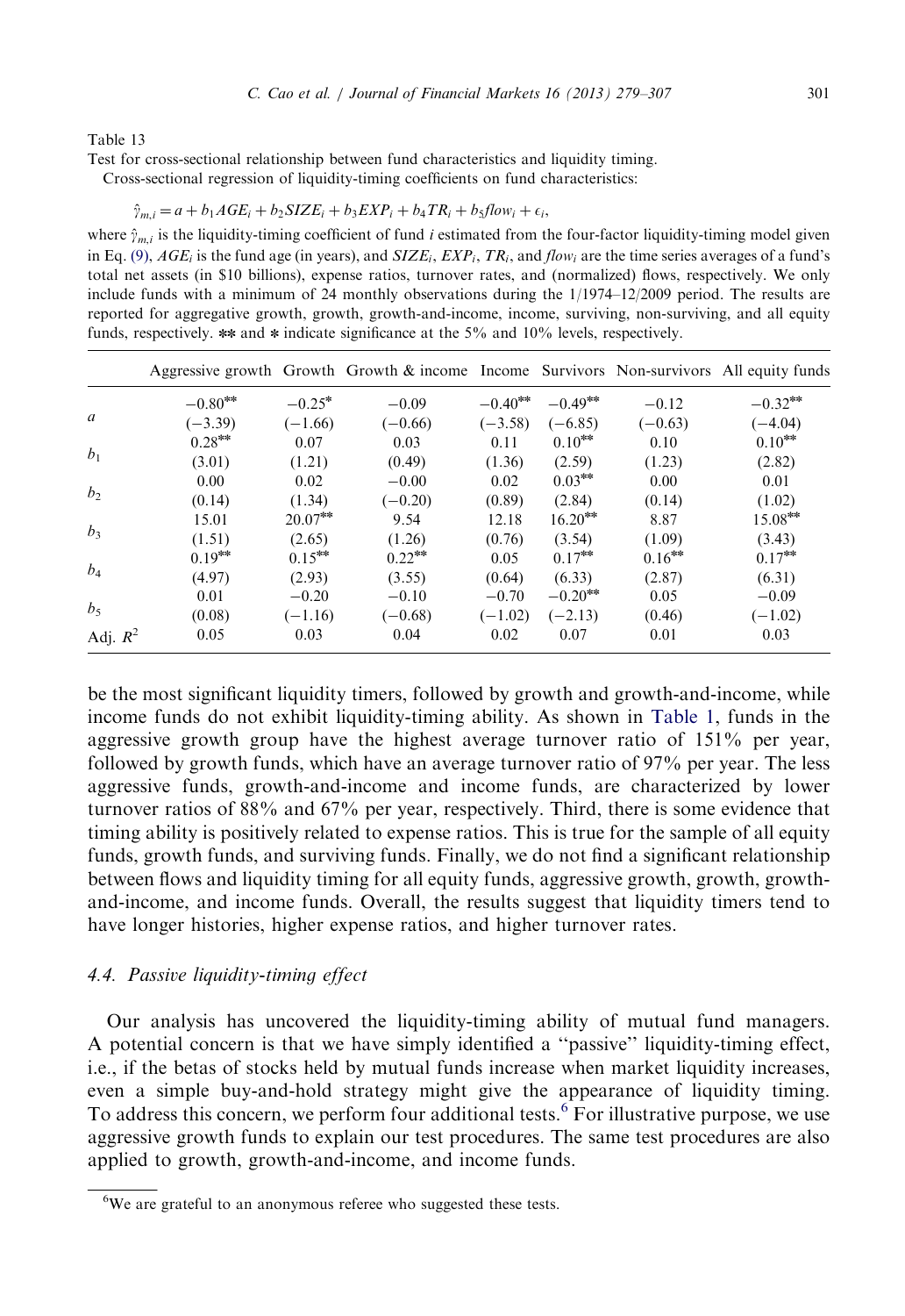<span id="page-22-0"></span>Test for cross-sectional relationship between fund characteristics and liquidity timing.

Cross-sectional regression of liquidity-timing coefficients on fund characteristics:

$$
\hat{\gamma}_{m,i} = a + b_1 AGE_i + b_2 SIZE_i + b_3 EXP_i + b_4 TR_i + b_5 flow_i + \epsilon_i,
$$

where  $\hat{\gamma}_{m,i}$  is the liquidity-timing coefficient of fund i estimated from the four-factor liquidity-timing model given in Eq. (9),  $AGE_i$  is the fund age (in years), and  $SIZE_i, EXP_i, TR_i$ , and flow; are the time series averages of a fund's total net assets (in \$10 billions), expense ratios, turnover rates, and (normalized) flows, respectively. We only include funds with a minimum of 24 monthly observations during the 1/1974–12/2009 period. The results are reported for aggregative growth, growth, growth-and-income, income, surviving, non-surviving, and all equity funds, respectively. \*\* and \* indicate significance at the 5% and 10% levels, respectively.

|                |            |            | Aggressive growth Growth Growth & income Income Survivors Non-survivors All equity funds |            |                       |           |            |
|----------------|------------|------------|------------------------------------------------------------------------------------------|------------|-----------------------|-----------|------------|
| a              | $-0.80***$ | $-0.25*$   | $-0.09$                                                                                  | $-0.40***$ | $-0.49**$             | $-0.12$   | $-0.32***$ |
|                | $(-3.39)$  | $(-1.66)$  | $(-0.66)$                                                                                | $(-3.58)$  | $(-6.85)$             | $(-0.63)$ | $(-4.04)$  |
| b <sub>1</sub> | $0.28***$  | 0.07       | 0.03                                                                                     | 0.11       | $0.10***$             | 0.10      | $0.10***$  |
|                | (3.01)     | (1.21)     | (0.49)                                                                                   | (1.36)     | (2.59)                | (1.23)    | (2.82)     |
| b <sub>2</sub> | 0.00       | 0.02       | $-0.00$                                                                                  | 0.02       | $0.03***$             | 0.00      | 0.01       |
|                | (0.14)     | (1.34)     | $(-0.20)$                                                                                | (0.89)     | (2.84)                | (0.14)    | (1.02)     |
| $b_3$          | 15.01      | $20.07***$ | 9.54                                                                                     | 12.18      | $16.20***$            | 8.87      | $15.08***$ |
|                | (1.51)     | (2.65)     | (1.26)                                                                                   | (0.76)     | (3.54)                | (1.09)    | (3.43)     |
| $b_4$          | $0.19***$  | $0.15***$  | $0.22***$                                                                                | 0.05       | $0.17***$             | $0.16***$ | $0.17***$  |
|                | (4.97)     | (2.93)     | (3.55)                                                                                   | (0.64)     | (6.33)                | (2.87)    | (6.31)     |
| $b_5$          | 0.01       | $-0.20$    | $-0.10$                                                                                  | $-0.70$    | $-0.20$ <sup>**</sup> | 0.05      | $-0.09$    |
|                | (0.08)     | $(-1.16)$  | $(-0.68)$                                                                                | $(-1.02)$  | $(-2.13)$             | (0.46)    | $(-1.02)$  |
| Adj. $R^2$     | 0.05       | 0.03       | 0.04                                                                                     | 0.02       | 0.07                  | 0.01      | 0.03       |

be the most significant liquidity timers, followed by growth and growth-and-income, while income funds do not exhibit liquidity-timing ability. As shown in [Table 1,](#page-4-0) funds in the aggressive growth group have the highest average turnover ratio of  $151\%$  per year, followed by growth funds, which have an average turnover ratio of 97% per year. The less aggressive funds, growth-and-income and income funds, are characterized by lower turnover ratios of 88% and 67% per year, respectively. Third, there is some evidence that timing ability is positively related to expense ratios. This is true for the sample of all equity funds, growth funds, and surviving funds. Finally, we do not find a significant relationship between flows and liquidity timing for all equity funds, aggressive growth, growth, growthand-income, and income funds. Overall, the results suggest that liquidity timers tend to have longer histories, higher expense ratios, and higher turnover rates.

## 4.4. Passive liquidity-timing effect

Our analysis has uncovered the liquidity-timing ability of mutual fund managers. A potential concern is that we have simply identified a ''passive'' liquidity-timing effect, i.e., if the betas of stocks held by mutual funds increase when market liquidity increases, even a simple buy-and-hold strategy might give the appearance of liquidity timing. To address this concern, we perform four additional tests.<sup>6</sup> For illustrative purpose, we use aggressive growth funds to explain our test procedures. The same test procedures are also applied to growth, growth-and-income, and income funds.

 $6$ We are grateful to an anonymous referee who suggested these tests.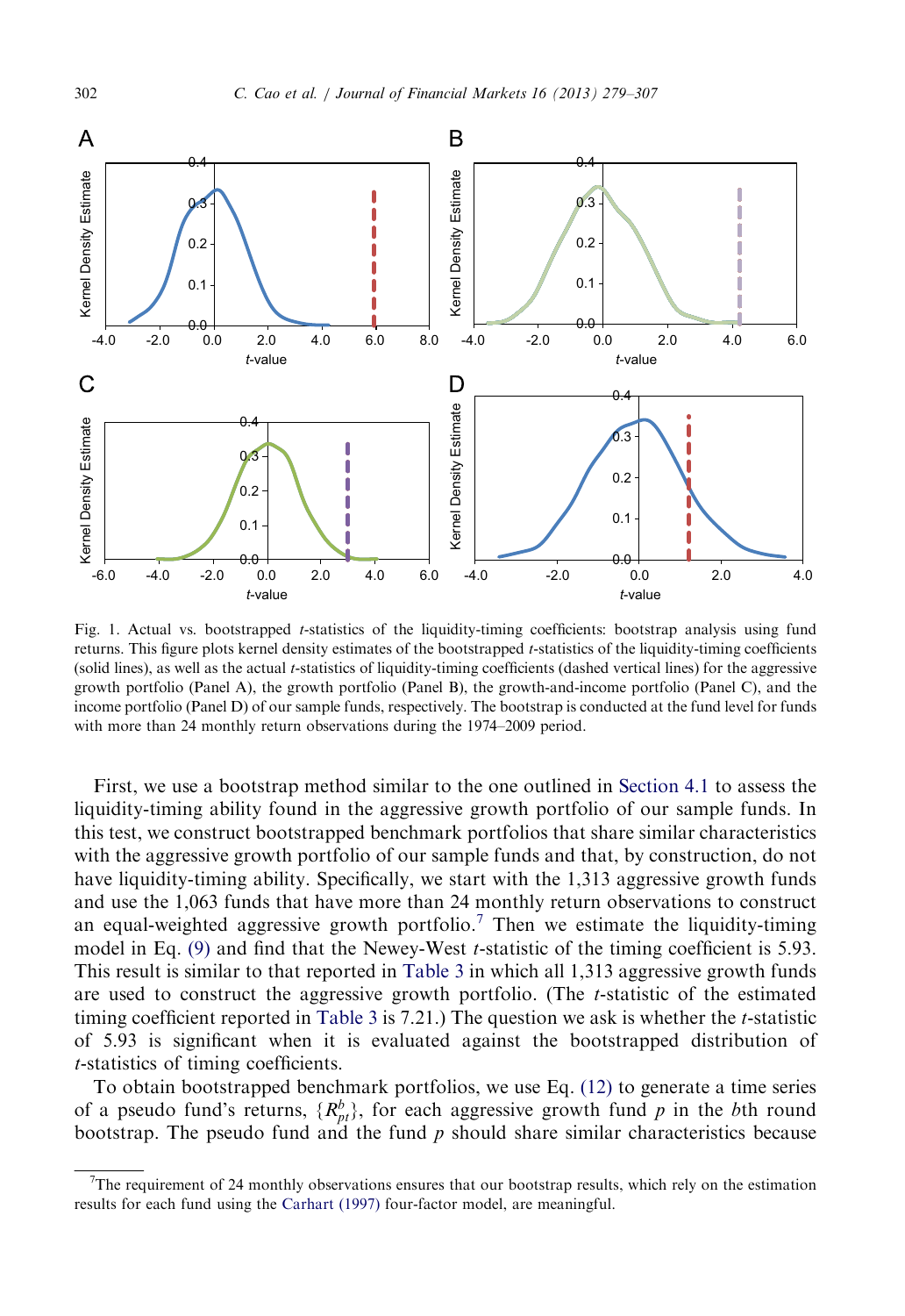<span id="page-23-0"></span>

Fig. 1. Actual vs. bootstrapped t-statistics of the liquidity-timing coefficients: bootstrap analysis using fund returns. This figure plots kernel density estimates of the bootstrapped t-statistics of the liquidity-timing coefficients (solid lines), as well as the actual t-statistics of liquidity-timing coefficients (dashed vertical lines) for the aggressive growth portfolio (Panel A), the growth portfolio (Panel B), the growth-and-income portfolio (Panel C), and the income portfolio (Panel D) of our sample funds, respectively. The bootstrap is conducted at the fund level for funds with more than 24 monthly return observations during the 1974–2009 period.

First, we use a bootstrap method similar to the one outlined in [Section 4.1](#page-14-0) to assess the liquidity-timing ability found in the aggressive growth portfolio of our sample funds. In this test, we construct bootstrapped benchmark portfolios that share similar characteristics with the aggressive growth portfolio of our sample funds and that, by construction, do not have liquidity-timing ability. Specifically, we start with the 1,313 aggressive growth funds and use the 1,063 funds that have more than 24 monthly return observations to construct an equal-weighted aggressive growth portfolio.<sup>7</sup> Then we estimate the liquidity-timing model in Eq. (9) and find that the Newey-West t-statistic of the timing coefficient is 5.93. This result is similar to that reported in [Table 3](#page-8-0) in which all 1,313 aggressive growth funds are used to construct the aggressive growth portfolio. (The  $t$ -statistic of the estimated timing coefficient reported in [Table 3](#page-8-0) is 7.21.) The question we ask is whether the t-statistic of 5.93 is significant when it is evaluated against the bootstrapped distribution of t-statistics of timing coefficients.

To obtain bootstrapped benchmark portfolios, we use Eq. (12) to generate a time series of a pseudo fund's returns,  $\{R_{pt}^b\}$ , for each aggressive growth fund p in the bth round bootstrap. The pseudo fund and the fund  $p$  should share similar characteristics because

<sup>7</sup> The requirement of 24 monthly observations ensures that our bootstrap results, which rely on the estimation results for each fund using the [Carhart \(1997\)](#page-27-0) four-factor model, are meaningful.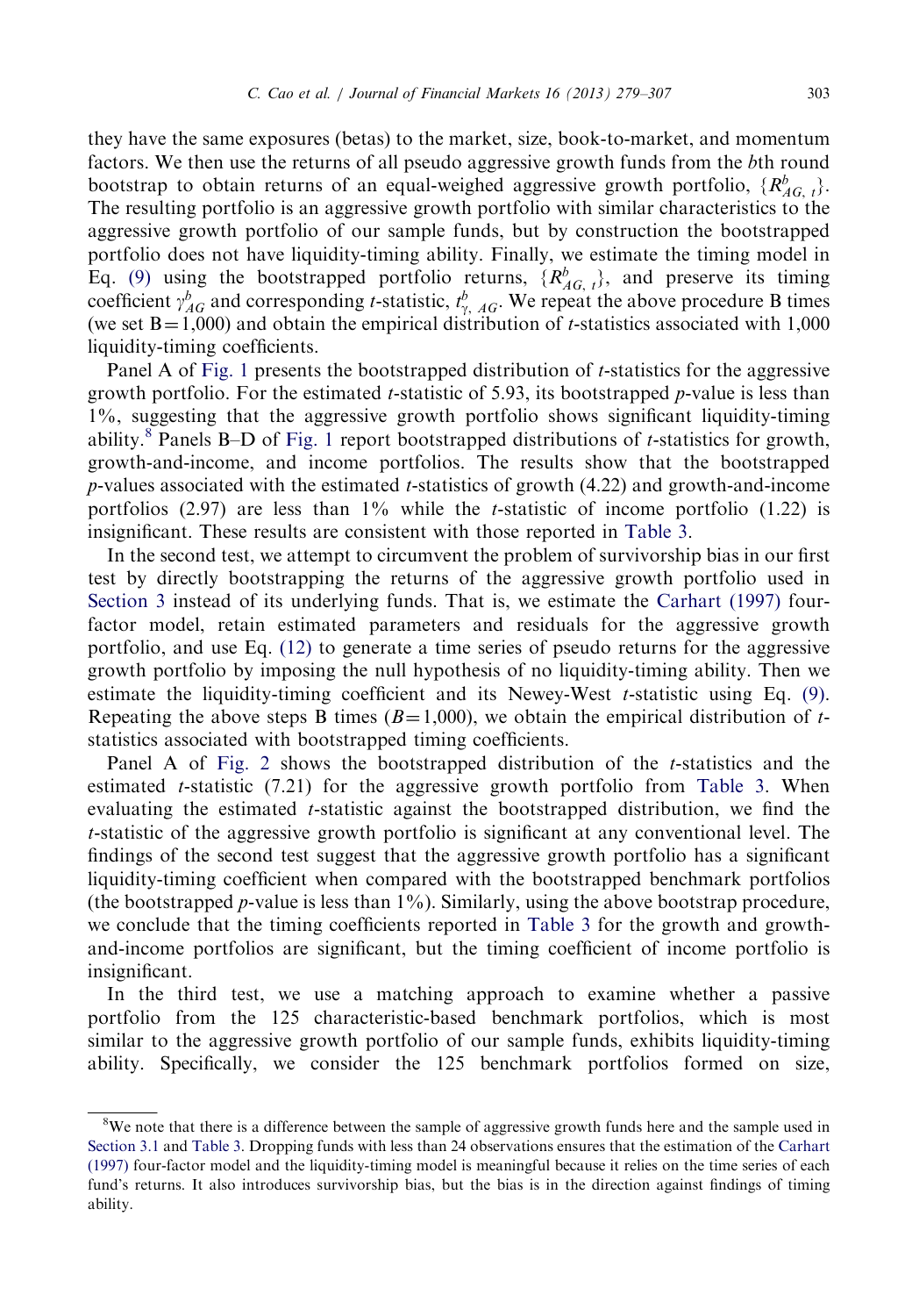they have the same exposures (betas) to the market, size, book-to-market, and momentum factors. We then use the returns of all pseudo aggressive growth funds from the bth round bootstrap to obtain returns of an equal-weighed aggressive growth portfolio,  $\{R_{AG, t}^b\}$ . The resulting portfolio is an aggressive growth portfolio with similar characteristics to the aggressive growth portfolio of our sample funds, but by construction the bootstrapped portfolio does not have liquidity-timing ability. Finally, we estimate the timing model in Eq. (9) using the bootstrapped portfolio returns,  $\{R_{AG, t}^{b}\}$ , and preserve its timing coefficient  $\gamma_{AG}^b$  and corresponding *t*-statistic,  $t_{\gamma, AG}^b$ . We repeat the above procedure B times (we set  $B=1,000$ ) and obtain the empirical distribution of t-statistics associated with 1,000 liquidity-timing coefficients.

Panel A of [Fig. 1](#page-23-0) presents the bootstrapped distribution of t-statistics for the aggressive growth portfolio. For the estimated *t*-statistic of 5.93, its bootstrapped *p*-value is less than 1%, suggesting that the aggressive growth portfolio shows significant liquidity-timing ability.<sup>8</sup> Panels B–D of [Fig. 1](#page-23-0) report bootstrapped distributions of *t*-statistics for growth, growth-and-income, and income portfolios. The results show that the bootstrapped  $p$ -values associated with the estimated t-statistics of growth (4.22) and growth-and-income portfolios (2.97) are less than  $1\%$  while the *t*-statistic of income portfolio (1.22) is insignificant. These results are consistent with those reported in [Table 3.](#page-8-0)

In the second test, we attempt to circumvent the problem of survivorship bias in our first test by directly bootstrapping the returns of the aggressive growth portfolio used in [Section 3](#page-6-0) instead of its underlying funds. That is, we estimate the [Carhart \(1997\)](#page-27-0) fourfactor model, retain estimated parameters and residuals for the aggressive growth portfolio, and use Eq. (12) to generate a time series of pseudo returns for the aggressive growth portfolio by imposing the null hypothesis of no liquidity-timing ability. Then we estimate the liquidity-timing coefficient and its Newey-West  $t$ -statistic using Eq. (9). Repeating the above steps B times ( $B=1,000$ ), we obtain the empirical distribution of tstatistics associated with bootstrapped timing coefficients.

Panel A of [Fig. 2](#page-25-0) shows the bootstrapped distribution of the  $t$ -statistics and the estimated  $t$ -statistic (7.21) for the aggressive growth portfolio from [Table 3](#page-8-0). When evaluating the estimated t-statistic against the bootstrapped distribution, we find the t-statistic of the aggressive growth portfolio is significant at any conventional level. The findings of the second test suggest that the aggressive growth portfolio has a significant liquidity-timing coefficient when compared with the bootstrapped benchmark portfolios (the bootstrapped p-value is less than  $1\%$ ). Similarly, using the above bootstrap procedure, we conclude that the timing coefficients reported in [Table 3](#page-8-0) for the growth and growthand-income portfolios are significant, but the timing coefficient of income portfolio is insignificant.

In the third test, we use a matching approach to examine whether a passive portfolio from the 125 characteristic-based benchmark portfolios, which is most similar to the aggressive growth portfolio of our sample funds, exhibits liquidity-timing ability. Specifically, we consider the 125 benchmark portfolios formed on size,

<sup>&</sup>lt;sup>8</sup>We note that there is a difference between the sample of aggressive growth funds here and the sample used in [Section 3.1](#page-6-0) and [Table 3.](#page-8-0) Dropping funds with less than 24 observations ensures that the estimation of the [Carhart](#page-27-0) [\(1997\)](#page-27-0) four-factor model and the liquidity-timing model is meaningful because it relies on the time series of each fund's returns. It also introduces survivorship bias, but the bias is in the direction against findings of timing ability.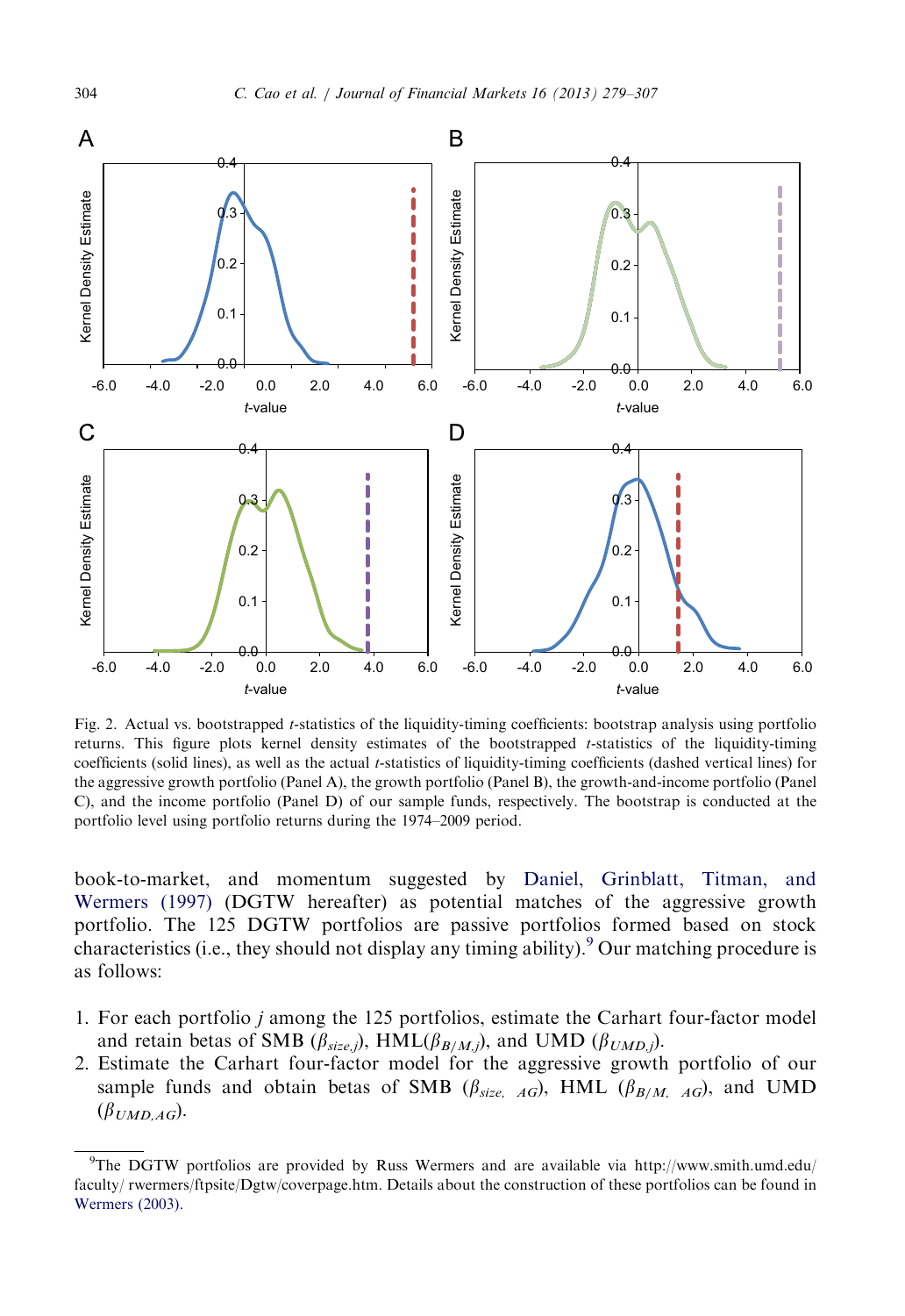

Fig. 2. Actual vs. bootstrapped t-statistics of the liquidity-timing coefficients: bootstrap analysis using portfolio returns. This figure plots kernel density estimates of the bootstrapped t-statistics of the liquidity-timing coefficients (solid lines), as well as the actual t-statistics of liquidity-timing coefficients (dashed vertical lines) for the aggressive growth portfolio (Panel A), the growth portfolio (Panel B), the growth-and-income portfolio (Panel C), and the income portfolio (Panel D) of our sample funds, respectively. The bootstrap is conducted at the portfolio level using portfolio returns during the 1974–2009 period.

book-to-market, and momentum suggested by [Daniel, Grinblatt, Titman, and](#page-28-0) [Wermers \(1997\)](#page-28-0) (DGTW hereafter) as potential matches of the aggressive growth portfolio. The 125 DGTW portfolios are passive portfolios formed based on stock characteristics (i.e., they should not display any timing ability). <sup>9</sup> Our matching procedure is as follows:

- 1. For each portfolio j among the 125 portfolios, estimate the Carhart four-factor model and retain betas of SMB ( $\beta_{size,j}$ ), HML( $\beta_{B/M,j}$ ), and UMD ( $\beta_{UMD,j}$ ).
- 2. Estimate the Carhart four-factor model for the aggressive growth portfolio of our sample funds and obtain betas of SMB ( $\beta_{size}$ ,  $_{AG}$ ), HML ( $\beta_{B/M, AG}$ ), and UMD  $(\beta_{UMD,AG}).$

<span id="page-25-0"></span>

<sup>9</sup> The DGTW portfolios are provided by Russ Wermers and are available via http://www.smith.umd.edu/ faculty/ rwermers/ftpsite/Dgtw/coverpage.htm. Details about the construction of these portfolios can be found in [Wermers \(2003\).](#page-28-0)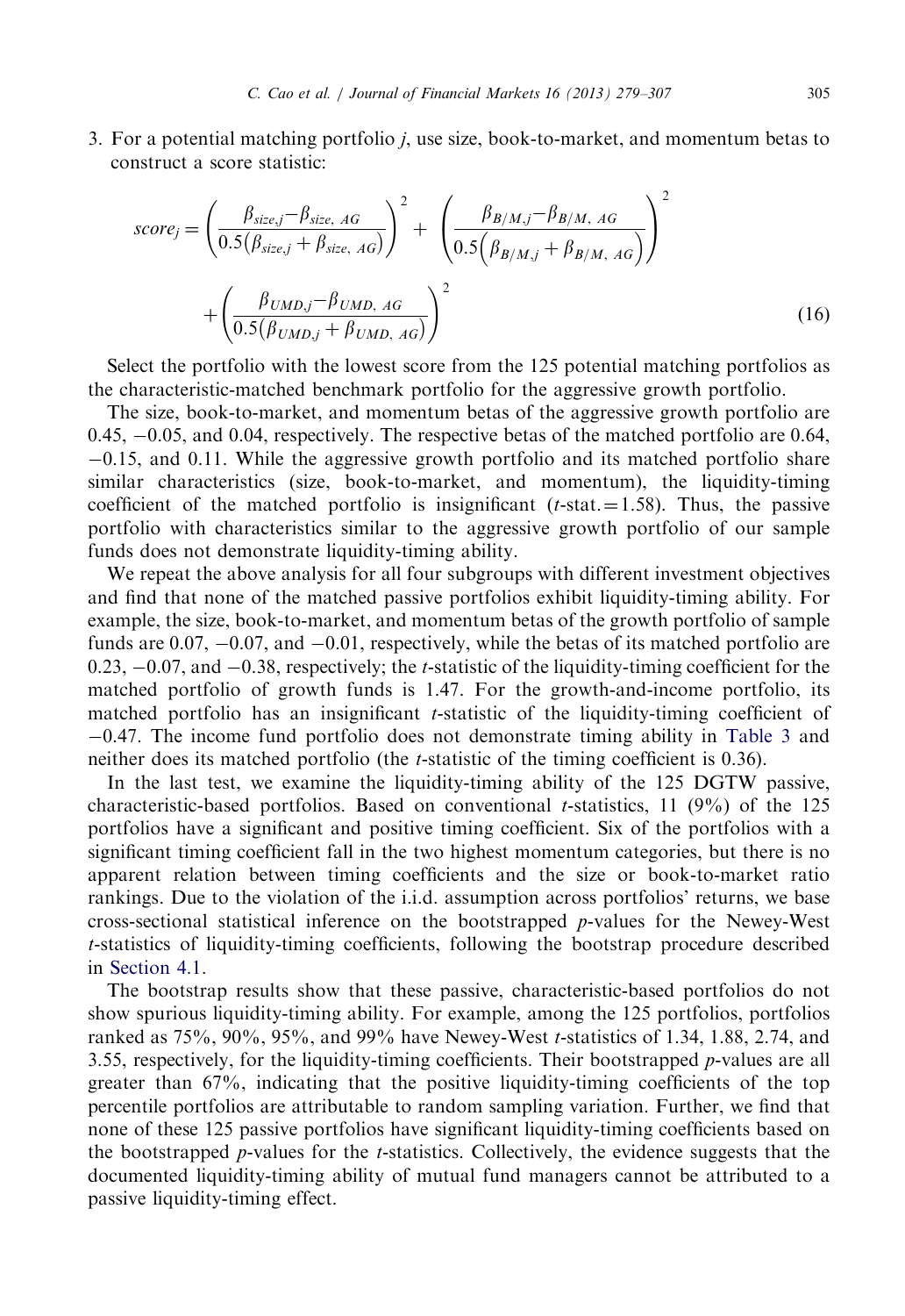3. For a potential matching portfolio j, use size, book-to-market, and momentum betas to construct a score statistic:

$$
score_j = \left(\frac{\beta_{size,j} - \beta_{size, AG}}{0.5(\beta_{size,j} + \beta_{size, AG})}\right)^2 + \left(\frac{\beta_{B/M,j} - \beta_{B/M, AG}}{0.5(\beta_{B/M,j} + \beta_{B/M, AG})}\right)^2 + \left(\frac{\beta_{UMD,j} - \beta_{UMD, AG}}{0.5(\beta_{UMD,j} + \beta_{UMD, AG})}\right)^2
$$
(16)

Select the portfolio with the lowest score from the 125 potential matching portfolios as the characteristic-matched benchmark portfolio for the aggressive growth portfolio.

The size, book-to-market, and momentum betas of the aggressive growth portfolio are 0.45, -0.05, and 0.04, respectively. The respective betas of the matched portfolio are 0.64, -0.15, and 0.11. While the aggressive growth portfolio and its matched portfolio share similar characteristics (size, book-to-market, and momentum), the liquidity-timing coefficient of the matched portfolio is insignificant  $(t\text{-stat.} = 1.58)$ . Thus, the passive portfolio with characteristics similar to the aggressive growth portfolio of our sample funds does not demonstrate liquidity-timing ability.

We repeat the above analysis for all four subgroups with different investment objectives and find that none of the matched passive portfolios exhibit liquidity-timing ability. For example, the size, book-to-market, and momentum betas of the growth portfolio of sample funds are  $0.07, -0.07$ , and  $-0.01$ , respectively, while the betas of its matched portfolio are  $0.23, -0.07$ , and  $-0.38$ , respectively; the *t*-statistic of the liquidity-timing coefficient for the matched portfolio of growth funds is 1.47. For the growth-and-income portfolio, its matched portfolio has an insignificant t-statistic of the liquidity-timing coefficient of -0.47. The income fund portfolio does not demonstrate timing ability in [Table 3](#page-8-0) and neither does its matched portfolio (the t-statistic of the timing coefficient is 0.36).

In the last test, we examine the liquidity-timing ability of the 125 DGTW passive, characteristic-based portfolios. Based on conventional *t*-statistics, 11 (9%) of the 125 portfolios have a significant and positive timing coefficient. Six of the portfolios with a significant timing coefficient fall in the two highest momentum categories, but there is no apparent relation between timing coefficients and the size or book-to-market ratio rankings. Due to the violation of the i.i.d. assumption across portfolios' returns, we base cross-sectional statistical inference on the bootstrapped p-values for the Newey-West t-statistics of liquidity-timing coefficients, following the bootstrap procedure described in [Section 4.1](#page-14-0).

The bootstrap results show that these passive, characteristic-based portfolios do not show spurious liquidity-timing ability. For example, among the 125 portfolios, portfolios ranked as 75%, 90%, 95%, and 99% have Newey-West t-statistics of 1.34, 1.88, 2.74, and 3.55, respectively, for the liquidity-timing coefficients. Their bootstrapped  $p$ -values are all greater than 67%, indicating that the positive liquidity-timing coefficients of the top percentile portfolios are attributable to random sampling variation. Further, we find that none of these 125 passive portfolios have significant liquidity-timing coefficients based on the bootstrapped  $p$ -values for the  $t$ -statistics. Collectively, the evidence suggests that the documented liquidity-timing ability of mutual fund managers cannot be attributed to a passive liquidity-timing effect.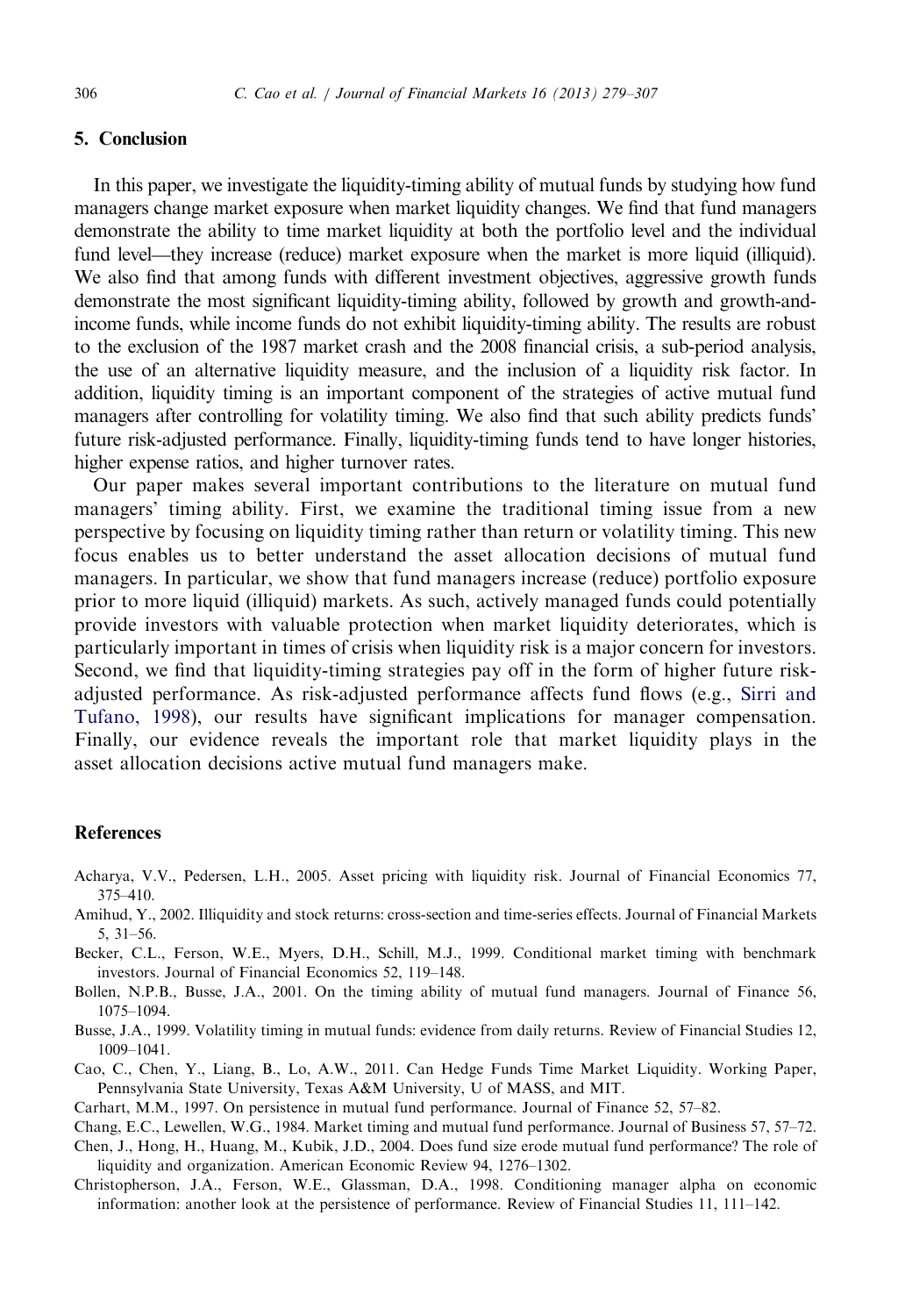## <span id="page-27-0"></span>5. Conclusion

In this paper, we investigate the liquidity-timing ability of mutual funds by studying how fund managers change market exposure when market liquidity changes. We find that fund managers demonstrate the ability to time market liquidity at both the portfolio level and the individual fund level—they increase (reduce) market exposure when the market is more liquid (illiquid). We also find that among funds with different investment objectives, aggressive growth funds demonstrate the most significant liquidity-timing ability, followed by growth and growth-andincome funds, while income funds do not exhibit liquidity-timing ability. The results are robust to the exclusion of the 1987 market crash and the 2008 financial crisis, a sub-period analysis, the use of an alternative liquidity measure, and the inclusion of a liquidity risk factor. In addition, liquidity timing is an important component of the strategies of active mutual fund managers after controlling for volatility timing. We also find that such ability predicts funds' future risk-adjusted performance. Finally, liquidity-timing funds tend to have longer histories, higher expense ratios, and higher turnover rates.

Our paper makes several important contributions to the literature on mutual fund managers' timing ability. First, we examine the traditional timing issue from a new perspective by focusing on liquidity timing rather than return or volatility timing. This new focus enables us to better understand the asset allocation decisions of mutual fund managers. In particular, we show that fund managers increase (reduce) portfolio exposure prior to more liquid (illiquid) markets. As such, actively managed funds could potentially provide investors with valuable protection when market liquidity deteriorates, which is particularly important in times of crisis when liquidity risk is a major concern for investors. Second, we find that liquidity-timing strategies pay off in the form of higher future riskadjusted performance. As risk-adjusted performance affects fund flows (e.g., [Sirri and](#page-28-0) [Tufano, 1998\)](#page-28-0), our results have significant implications for manager compensation. Finally, our evidence reveals the important role that market liquidity plays in the asset allocation decisions active mutual fund managers make.

#### References

- Acharya, V.V., Pedersen, L.H., 2005. Asset pricing with liquidity risk. Journal of Financial Economics 77, 375–410.
- Amihud, Y., 2002. Illiquidity and stock returns: cross-section and time-series effects. Journal of Financial Markets 5, 31–56.
- Becker, C.L., Ferson, W.E., Myers, D.H., Schill, M.J., 1999. Conditional market timing with benchmark investors. Journal of Financial Economics 52, 119–148.
- Bollen, N.P.B., Busse, J.A., 2001. On the timing ability of mutual fund managers. Journal of Finance 56, 1075–1094.
- Busse, J.A., 1999. Volatility timing in mutual funds: evidence from daily returns. Review of Financial Studies 12, 1009–1041.
- Cao, C., Chen, Y., Liang, B., Lo, A.W., 2011. Can Hedge Funds Time Market Liquidity. Working Paper, Pennsylvania State University, Texas A&M University, U of MASS, and MIT.
- Carhart, M.M., 1997. On persistence in mutual fund performance. Journal of Finance 52, 57–82.

Chang, E.C., Lewellen, W.G., 1984. Market timing and mutual fund performance. Journal of Business 57, 57–72.

- Chen, J., Hong, H., Huang, M., Kubik, J.D., 2004. Does fund size erode mutual fund performance? The role of liquidity and organization. American Economic Review 94, 1276–1302.
- Christopherson, J.A., Ferson, W.E., Glassman, D.A., 1998. Conditioning manager alpha on economic information: another look at the persistence of performance. Review of Financial Studies 11, 111–142.